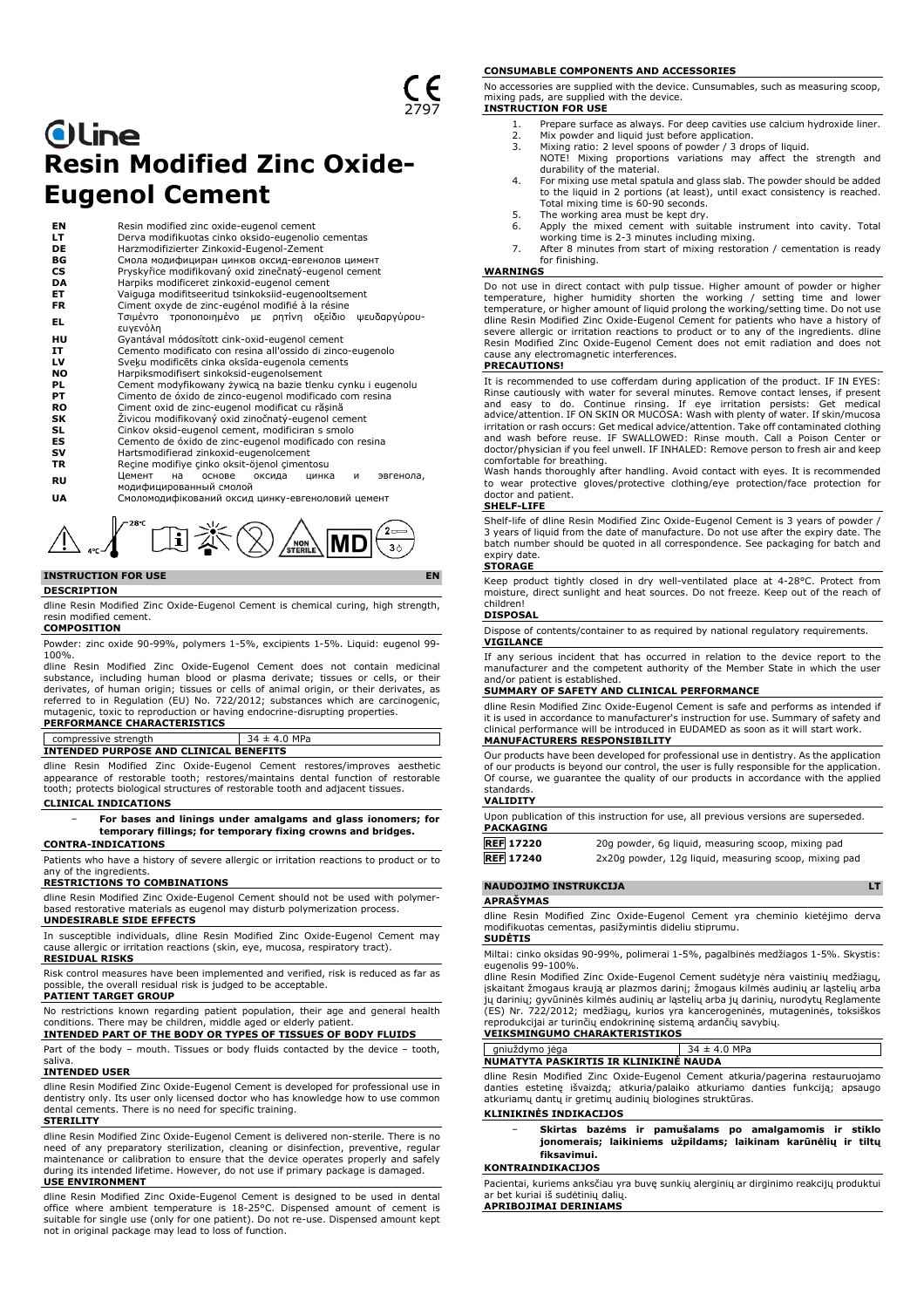# **Oline Resin Modified Zinc Oxide-Eugenol Cement**

| ΕN        | Resin modified zinc oxide-eugenol cement                          |
|-----------|-------------------------------------------------------------------|
| LT.       | Derva modifikuotas cinko oksido-eugenolio cementas                |
| DE        | Harzmodifizierter Zinkoxid-Eugenol-Zement                         |
| ВG        | Смола модифициран цинков оксид-евгенолов цимент                   |
| <b>CS</b> | Pryskyřice modifikovaný oxid zinečnatý-eugenol cement             |
| DA        | Harpiks modificeret zinkoxid-eugenol cement                       |
| ET        | Vaiguga modifitseeritud tsinkoksiid-eugenooltsement               |
| <b>FR</b> | Ciment oxyde de zinc-eugénol modifié à la résine                  |
| EL.       | Τσιμέντο τροποποιημένο με ρητίνη οξείδιο ψευδαργύρου-<br>ευγενόλη |
| HU        | Gyantával módosított cink-oxid-eugenol cement                     |
| IT        | Cemento modificato con resina all'ossido di zinco-eugenolo        |
| LV        | Sveķu modificēts cinka oksīda-eugenola cements                    |
| <b>NO</b> | Harpiksmodifisert sinkoksid-eugenolsement                         |
| PL        | Cement modyfikowany żywicą na bazie tlenku cynku i eugenolu       |
| PТ        | Cimento de óxido de zinco-eugenol modificado com resina           |
| <b>RO</b> | Ciment oxid de zinc-eugenol modificat cu răsină                   |
| SK        | Żivicou modifikovaný oxid zinočnatý-eugenol cement                |
| SL        | Cinkov oksid-eugenol cement, modificiran s smolo                  |
| ES        | Cemento de óxido de zinc-eugenol modificado con resina            |
| sv        | Hartsmodifierad zinkoxid-eugenolcement                            |
| TR        | Recine modifiye cinko oksit-öjenol cimentosu                      |
|           | Цемент<br>основе<br>оксида<br>на<br>цинка<br>эвгенола,<br>и       |
| <b>RU</b> | модифицированный смолой                                           |
| UA        | Смоломодифікований оксид цинку-евгеноловий цемент                 |
|           |                                                                   |

# **INSTRUCTION FOR USE**

#### **DESCRIPTION**

dline Resin Modified Zinc Oxide-Eugenol Cement is chemical curing, high strength, resin modified cement.

 $\int_{\mathbb{R}^2}$   $\int_{\mathbb{R}^2}$   $\mathbb{E}[\mathbb{E}]\geq \mathbb{E}[\mathbb{E}[\mathbb{E}(\mathbb{E})]$ 

#### **COMPOSITION**

Powder: zinc oxide 90-99%, polymers 1-5%, excipients 1-5%. Liquid: eugenol 99- 100%.

dline Resin Modified Zinc Oxide-Eugenol Cement does not contain medicinal substance, including human blood or plasma derivate; tissues or cells, or their derivates, of human origin; tissues or cells of animal origin, or their derivates, as referred to in Regulation (EU) No. 722/2012; substances which are carcinogenic, mutagenic, toxic to reproduction or having endocrine-disrupting properties. **PERFORMANCE CHARACTERISTICS**

# $\sqrt{\frac{1}{34 \pm 4.0}}$  MPa **INTENDED PURPOSE AND CLINICAL BENEFITS**

dline Resin Modified Zinc Oxide-Eugenol Cement restores/improves aesthetic appearance of restorable tooth; restores/maintains dental function of restorable tooth; protects biological structures of restorable tooth and adjacent tissues.

### **CLINICAL INDICATIONS**

## − **For bases and linings under amalgams and glass ionomers; for temporary fillings; for temporary fixing crowns and bridges.**

# **CONTRA-INDICATIONS**

Patients who have a history of severe allergic or irritation reactions to product or to any of the ingredients

#### **RESTRICTIONS TO COMBINATIONS**

dline Resin Modified Zinc Oxide-Eugenol Cement should not be used with polymerbased restorative materials as eugenol may disturb polymerization process.

# **UNDESIRABLE SIDE EFFECTS**

In susceptible individuals, dline Resin Modified Zinc Oxide-Eugenol Cement may cause allergic or irritation reactions (skin, eye, mucosa, respiratory tract). **RESIDUAL RISKS**

Risk control measures have been implemented and verified, risk is reduced as far as the overall residual risk is judged to be acceptable. **PATIENT TARGET GROUP**

No restrictions known regarding patient population, their age and general health conditions. There may be children, middle aged or elderly patient. **INTENDED PART OF THE BODY OR TYPES OF TISSUES OF BODY FLUIDS**

Part of the body – mouth. Tissues or body fluids contacted by the device – tooth, saliva.

#### **INTENDED USER**

dline Resin Modified Zinc Oxide-Eugenol Cement is developed for professional use in dentistry only. Its user only licensed doctor who has knowledge how to use common dental cements. There is no need for specific training.

#### **STERILITY**

dline Resin Modified Zinc Oxide-Eugenol Cement is delivered non-sterile. There is no need of any preparatory sterilization, cleaning or disinfection, preventive, regular maintenance or calibration to ensure that the device operates properly and safely during its intended lifetime. However, do not use if primary package is damaged.

#### **USE ENVIRONMENT**

dline Resin Modified Zinc Oxide-Eugenol Cement is designed to be used in dental office where ambient temperature is 18-25°C. Dispensed amount of cement is suitable for single use (only for one patient). Do not re-use. Dispensed amount kept not in original package may lead to loss of function.

#### **CONSUMABLE COMPONENTS AND ACCESSORIES**

No accessories are supplied with the device. Cunsumables, such as measuring scoop, mixing pads, are supplied with the device. **INSTRUCTION FOR USE**

- 1. Prepare surface as always. For deep cavities use calcium hydroxide liner. 2. Mix powder and liquid just before application.
- 
- 3. Mixing ratio: 2 level spoons of powder / 3 drops of liquid.
- NOTE! Mixing proportions variations may affect the strength and durability of the material.
- 4. For mixing use metal spatula and glass slab. The powder should be added to the liquid in 2 portions (at least), until exact consistency is reached. Total mixing time is 60-90 seconds. 5. The working area must be kept dry.
- 6. Apply the mixed cement with suitable instrument into cavity. Total
- working time is 2-3 minutes including mixing. 7. After 8 minutes from start of mixing restoration / cementation is ready for finishing.

# **WARNINGS**

Do not use in direct contact with pulp tissue. Higher amount of powder or higher temperature, higher humidity shorten the working / setting time and lower temperature, or higher amount of liquid prolong the working/setting time. Do not use dline Resin Modified Zinc Oxide-Eugenol Cement for patients who have a history of severe allergic or irritation reactions to product or to any of the ingredients. dline Resin Modified Zinc Oxide-Eugenol Cement does not emit radiation and does not cause any electromagnetic interferences.

# **PRECAUTIONS!**

It is recommended to use cofferdam during application of the product. IF IN EYES: Rinse cautiously with water for several minutes. Remove contact lenses, if present and easy to do. Continue rinsing. If eye irritation persists: Get medical advice/attention. IF ON SKIN OR MUCOSA: Wash with plenty of water. If skin/mucosa irritation or rash occurs: Get medical advice/attention. Take off contaminated clothing and wash before reuse. IF SWALLOWED: Rinse mouth. Call a Poison Center or doctor/physician if you feel unwell. IF INHALED: Remove person to fresh air and keep

comfortable for breathing. Wash hands thoroughly after handling. Avoid contact with eyes. It is recommended to wear protective gloves/protective clothing/eye protection/face protection for doctor and patient.

# **SHELF-LIFE**

Shelf-life of dline Resin Modified Zinc Oxide-Eugenol Cement is 3 years of powder / 3 years of liquid from the date of manufacture. Do not use after the expiry date. The batch number should be quoted in all correspondence. See packaging for batch and expiry date.

#### **STORAGE**

Keep product tightly closed in dry well-ventilated place at 4-28°C. Protect from moisture, direct sunlight and heat sources. Do not freeze. Keep out of the reach of children!

# **DISPOSAL**

Dispose of contents/container to as required by national regulatory requirements. **VIGILANCE**

If any serious incident that has occurred in relation to the device report to the manufacturer and the competent authority of the Member State in which the user and/or patient is established.

#### **SUMMARY OF SAFETY AND CLINICAL PERFORMANCE**

dline Resin Modified Zinc Oxide-Eugenol Cement is safe and performs as intended if it is used in accordance to manufacturer's instruction for use. Summary of safety and clinical performance will be introduced in EUDAMED as soon as it will start work. **MANUFACTURERS RESPONSIBILITY**

Our products have been developed for professional use in dentistry. As the application of our products is beyond our control, the user is fully responsible for the application. Of course, we guarantee the quality of our products in accordance with the applied standards.

#### **VALIDITY**

| PACKAGING        | Upon publication of this instruction for use, all previous versions are superseded. |
|------------------|-------------------------------------------------------------------------------------|
| <b>REF</b> 17220 | 20g powder, 6g liguid, measuring scoop, mixing pad                                  |

| <b>REF 17240</b> | 2x20g powder, 12g liquid, measuring scoop, mixing pad |  |  |  |
|------------------|-------------------------------------------------------|--|--|--|
|                  |                                                       |  |  |  |

# **NAUDOJIMO INSTRUKCIJA LT**

# **APRAŠYMAS**

dline Resin Modified Zinc Oxide-Eugenol Cement yra cheminio kietėjimo derva modifikuotas cementas, pasižymintis dideliu stiprumu. **SUDĖTIS**

Miltai: cinko oksidas 90-99%, polimerai 1-5%, pagalbinės medžiagos 1-5%. Skystis: eugenolis 99-100%.

dline Resin Modified Zinc Oxide-Eugenol Cement sudėtyje nėra vaistinių medžiagų, įskaitant žmogaus kraują ar plazmos darinį; žmogaus kilmės audinių ar ląstelių arba<br>jų darinių; gyvūninės kilmės audinių ar ląstelių arba jų darinių, nurodytų Reglamente<br>(ES) Nr. 722/2012; medžiagų, kurios yra kancerogenin reprodukcijai ar turinčių endokrininę sistemą ardančių savybių. **VEIKSMINGUMO CHARAKTERISTIKOS**

# gniuždymo jėga 34 ± 4.0 MPa **NUMATYTA PASKIRTIS IR KLINIKINĖ NAUDA**

dline Resin Modified Zinc Oxide-Eugenol Cement atkuria/pagerina restauruojamo danties estetinę išvaizdą; atkuria/palaiko atkuriamo danties funkciją; apsaugo atkuriamų dantų ir gretimų audinių biologines struktūras.

#### **KLINIKINĖS INDIKACIJOS**

− **Skirtas bazėms ir pamušalams po amalgamomis ir stiklo jonomerais; laikiniems užpildams; laikinam karūnėlių ir tiltų fiksavimui.**

# **KONTRAINDIKACIJOS**

Pacientai, kuriems anksčiau yra buvę sunkių alerginių ar dirginimo reakcijų produktui ar bet kuriai iš sudėtinių dalių.

**APRIBOJIMAI DERINIAMS**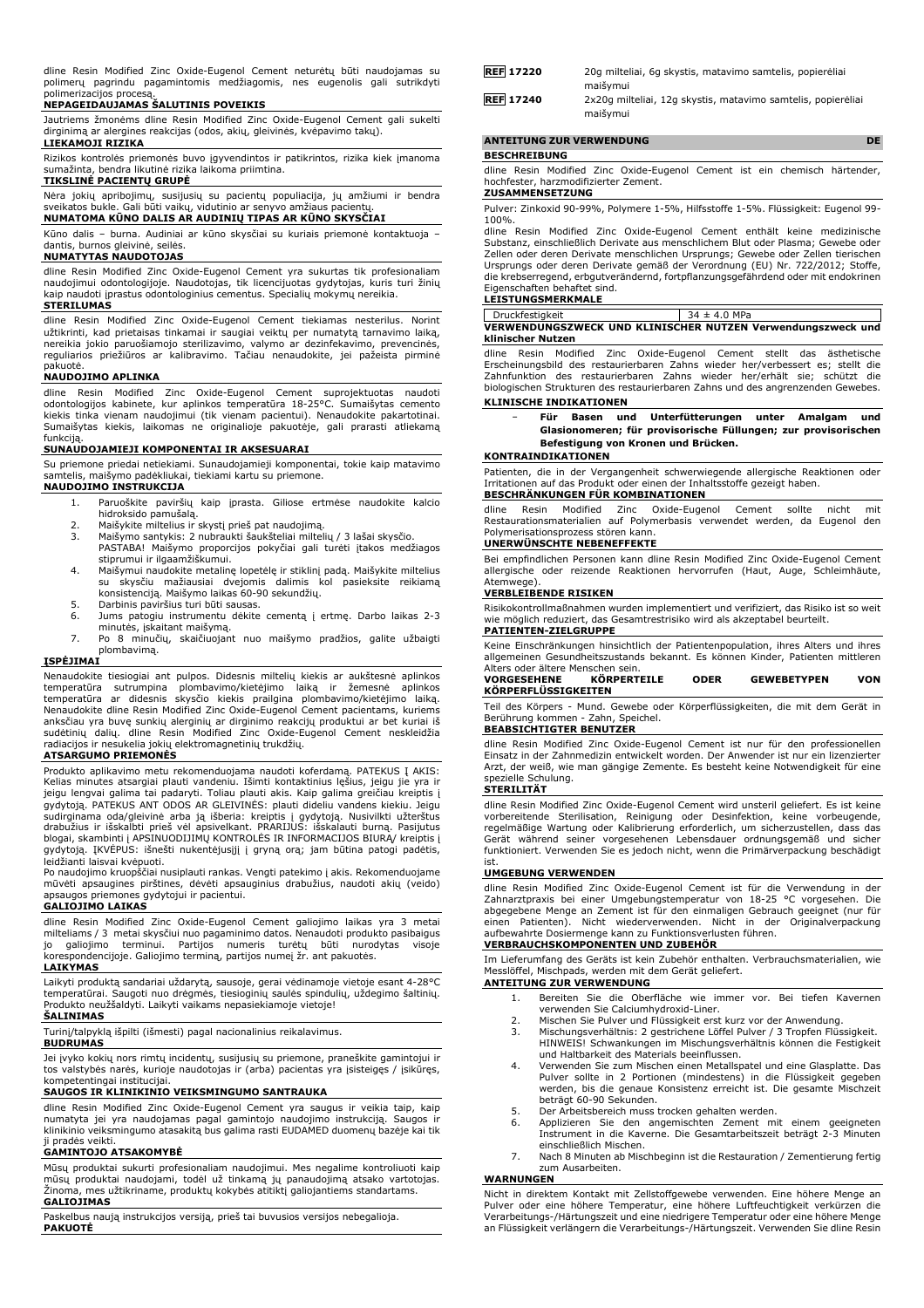dline Resin Modified Zinc Oxide-Eugenol Cement neturėtų būti naudojamas su polimerų pagrindu pagamintomis medžiagomis, nes eugenolis gali sutrikdyti polimerizacijos procesą.

## **NEPAGEIDAUJAMAS ŠALUTINIS POVEIKIS**

Jautriems žmonėms dline Resin Modified Zinc Oxide-Eugenol Cement gali sukelti dirginimą ar alergines reakcijas (odos, akių, gleivinės, kvėpavimo takų). **LIEKAMOJI RIZIKA**

Rizikos kontrolės priemonės buvo įgyvendintos ir patikrintos, rizika kiek įmanoma sumažinta, bendra likutinė rizika laikoma priimtina.

# **TIKSLINĖ PACIENTŲ GRUPĖ**

Nėra jokių apribojimų, susijusių su pacientų populiacija, jų amžiumi ir bendra sveikatos bukle. Gali būti vaikų, vidutinio ar senyvo amžiaus pacientų. **NUMATOMA KŪNO DALIS AR AUDINIŲ TIPAS AR KŪNO SKYSČIAI**

Kūno dalis – burna. Audiniai ar kūno skysčiai su kuriais priemonė kontaktuoja – dantis, burnos gleivinė, seilės.

# **NUMATYTAS NAUDOTOJAS**

dline Resin Modified Zinc Oxide-Eugenol Cement yra sukurtas tik profesionaliam naudojimui odontologijoje. Naudotojas, tik licencijuotas gydytojas, kuris turi žinių kaip naudoti įprastus odontologinius cementus. Specialių mokymų nereikia.

# **STERILUMAS**

dline Resin Modified Zinc Oxide-Eugenol Cement tiekiamas nesterilus. Norint užtikrinti, kad prietaisas tinkamai ir saugiai veiktų per numatytą tarnavimo laiką, nereikia jokio paruošiamojo sterilizavimo, valymo ar dezinfekavimo, prevencinės, reguliarios priežiūros ar kalibravimo. Tačiau nenaudokite, jei pažeista pirminė pakuotė.

### **NAUDOJIMO APLINKA**

dline Resin Modified Zinc Oxide-Eugenol Cement suprojektuotas naudoti odontologijos kabinete, kur aplinkos temperatūra 18-25°C. Sumaišytas cemento kiekis tinka vienam naudojimui (tik vienam pacientui). Nenaudokite pakartotinai. Sumaišytas kiekis, laikomas ne originalioje pakuotėje, gali prarasti atliekamą funkciją

# **SUNAUDOJAMIEJI KOMPONENTAI IR AKSESUARAI**

Su priemone priedai netiekiami. Sunaudojamieji komponentai, tokie kaip matavimo samtelis, maišymo padėkliukai, tiekiami kartu su priemone. **NAUDOJIMO INSTRUKCIJA**

- 1. Paruoškite paviršių kaip įprasta. Giliose ertmėse naudokite kalcio hidroksido pamušalą.
- 
- 2. Maišykite miltelius ir skystį prieš pat naudojimą. 3. Maišymo santykis: 2 nubraukti šaukšteliai miltelių / 3 lašai skysčio. PASTABA! Maišymo proporcijos pokyčiai gali turėti įtakos medžiagos stiprumui ir ilgaamžiškumui.
- 4. Maišymui naudokite metalinę lopetėlę ir stiklinį padą. Maišykite miltelius su skysčiu mažiausiai dvejomis dalimis kol pasieksite reikiamą konsistenciją. Maišymo laikas 60-90 sekundžių.
- 5. Darbinis paviršius turi būti sausas.<br>6. Jums patogiu instrumentu dėkite
- 6. Jums patogiu instrumentu dėkite cementą į ertmę. Darbo laikas 2-3 minutės, įskaitant maišymą.
- 7. Po 8 minučių, skaičiuojant nuo maišymo pradžios, galite užbaigti plombavimą.

## **ĮSPĖJIMAI**

Nenaudokite tiesiogiai ant pulpos. Didesnis miltelių kiekis ar aukštesnė aplinkos<br>temperatūra - sutrumpina - plombavimo/kietėjimo - laiką - ir žemesnė - aplinkos<br>temperatūra - ar didesnis - skysčio kiekis prailgina plombav anksčiau yra buvę sunkių alerginių ar dirginimo reakcijų produktui ar bet kuriai iš<br>sudėtinių dalių. dline Resin Modified Zinc Oxide-Eugenol Cement neskleidžia<br>radiacijos ir nesukelia jokių elektromagnetinių trukdž

#### **ATSARGUMO PRIEMONĖS**

Produkto aplikavimo metu rekomenduojama naudoti koferdamą. PATEKUS Į AKIS: Kelias minutes atsargiai plauti vandeniu. Išimti kontaktinius lęšius, jeigu jie yra ir<br>jeigu lengvai galima tai padaryti. Toliau plauti akis. Kaip galima greičiau kreiptis į<br>gydytoją. PATEKUS ANT ODOS AR GLEIVINĖS: plauti sudirginama oda/gleivinė arba ją išberia: kreiptis į gydytoją. Nusivilkti užterštus<br>drabužius ir išskalbti prieš vėl apsivelkant. PRARIJUS: išskalauti burną. Pasijutus<br>blogai, skambinti į APSINUODIJIMŲ KONTROLĖS IR INFORMA gydytoją. ĮKVĖPUS: išnešti nukentėjusįjį į gryną orą; jam būtina patogi padėtis, leidžianti laisvai kvėpuoti.

Po naudojimo kruopščiai nusiplauti rankas. Vengti patekimo į akis. Rekomenduojame mūvėti apsaugines pirštines, dėvėti apsauginius drabužius, naudoti akių (veido) apsaugos priemones gydytojui ir pacientui.

# **GALIOJIMO LAIKAS**

dline Resin Modified Zinc Oxide-Eugenol Cement galiojimo laikas yra 3 metai milteliams / 3 metai skysčiui nuo pagaminimo datos. Nenaudoti produkto pasibaigus jo galiojimo terminui. Partijos numeris turėtų būti nurodytas visoje korespondencijoje. Galiojimo terminą, partijos numeį žr. ant pakuotės.

#### **LAIKYMAS**

Laikyti produktą sandariai uždarytą, sausoje, gerai vėdinamoje vietoje esant 4-28°C temperatūrai. Saugoti nuo drėgmės, tiesioginių saulės spindulių, uždegimo šaltinių. Produkto neužšaldyti. Laikyti vaikams nepasiekiamoje vietoje!

# **ŠALINIMAS**

Turinį/talpyklą išpilti (išmesti) pagal nacionalinius reikalavimus.

#### **BUDRUMAS**

Jei įvyko kokių nors rimtų incidentų, susijusių su priemone, praneškite gamintojui ir tos valstybės narės, kurioje naudotojas ir (arba) pacientas yra įsisteigęs / įsikūręs, kompetentingai institucijai.

### **SAUGOS IR KLINIKINIO VEIKSMINGUMO SANTRAUKA**

dline Resin Modified Zinc Oxide-Eugenol Cement yra saugus ir veikia taip, kaip numatyta jei yra naudojamas pagal gamintojo naudojimo instrukciją. Saugos ir klinikinio veiksmingumo atasakitą bus galima rasti EUDAMED duomenų bazėje kai tik ji pradės veikti.

#### **GAMINTOJO ATSAKOMYBĖ**

Mūsų produktai sukurti profesionaliam naudojimui. Mes negalime kontroliuoti kaip mūsų produktai naudojami, todėl už tinkamą jų panaudojimą atsako vartotojas. Žinoma, mes užtikriname, produktų kokybės atitiktį galiojantiems standartams. **GALIOJIMAS**

Paskelbus naują instrukcijos versiją, prieš tai buvusios versijos nebegalioja. **PAKUOTĖ**

| <b>REF</b> 17220 | 20q milteliai, 6q skystis, matavimo samtelis, popierėliai                            |
|------------------|--------------------------------------------------------------------------------------|
| <b>REF</b> 17240 | maišvmui<br>2x20q milteliai, 12q skystis, matavimo samtelis, popierėliai<br>maišvmui |

# **ANTEITUNG ZUR VERWENDUNG DE**

**BESCHREIBUNG**

dline Resin Modified Zinc Oxide-Eugenol Cement ist ein chemisch härtender, hochfester, harzmodifizierter Zement.

# **ZUSAMMENSETZUNG**

Pulver: Zinkoxid 90-99%, Polymere 1-5%, Hilfsstoffe 1-5%. Flüssigkeit: Eugenol 99- 100%.

dline Resin Modified Zinc Oxide-Eugenol Cement enthält keine medizinische Substanz, einschließlich Derivate aus menschlichem Blut oder Plasma; Gewebe oder Zellen oder deren Derivate menschlichen Ursprungs; Gewebe oder Zellen tierischen Ursprungs oder deren Derivate gemäß der Verordnung (EU) Nr. 722/2012; Stoffe, die krebserregend, erbgutverändernd, fortpflanzungsgefährdend oder mit endokrinen Eigenschaften behaftet sind.

### **LEISTUNGSMERKMALE**

Druckfestigkeit 34 ± 4.0 MPa **VERWENDUNGSZWECK UND KLINISCHER NUTZEN Verwendungszweck und klinischer Nutzen**

dline Resin Modified Zinc Oxide-Eugenol Cement stellt das ästhetische Erscheinungsbild des restaurierbaren Zahns wieder her/verbessert es; stellt die Zahnfunktion des restaurierbaren Zahns wieder her/erhält sie; schützt die biologischen Strukturen des restaurierbaren Zahns und des angrenzenden Gewebes.

# **KLINISCHE INDIKATIONEN**

− **Für Basen und Unterfütterungen unter Amalgam und Glasionomeren; für provisorische Füllungen; zur provisorischen Befestigung von Kronen und Brücken.**

#### **KONTRAINDIKATIONEN**

Patienten, die in der Vergangenheit schwerwiegende allergische Reaktionen oder Irritationen auf das Produkt oder einen der Inhaltsstoffe gezeigt haben.

### **BESCHRÄNKUNGEN FÜR KOMBINATIONEN**

dline Resin Modified Zinc Oxide-Eugenol Cement sollte nicht mit Restaurationsmaterialien auf Polymerbasis verwendet werden, da Eugenol den Polymerisationsprozess stören kann. **UNERWÜNSCHTE NEBENEFFEKTE**

Bei empfindlichen Personen kann dline Resin Modified Zinc Oxide-Eugenol Cement allergische oder reizende Reaktionen hervorrufen (Haut, Auge, Schleimhäute, Atemwege).

#### **VERBLEIBENDE RISIKEN**

Risikokontrollmaßnahmen wurden implementiert und verifiziert, das Risiko ist so weit wie möglich reduziert, das Gesamtrestrisiko wird als akzeptabel beurteilt. **PATIENTEN-ZIELGRUPPE**

Keine Einschränkungen hinsichtlich der Patientenpopulation, ihres Alters und ihres allgemeinen Gesundheitszustands bekannt. Es können Kinder, Patienten mittleren Alters oder ältere Menschen sein.

| <b>VORGESEHENE</b>  | KÖRPERTEILE | <b>ODER</b> | <b>GEWEBETYPEN</b> | VON |
|---------------------|-------------|-------------|--------------------|-----|
| KÖRPERFLÜSSIGKEITEN |             |             |                    |     |

Teil des Körpers - Mund. Gewebe oder Körperflüssigkeiten, die mit dem Gerät in Berührung kommen - Zahn, Speichel. **BEABSICHTIGTER BENUTZER**

dline Resin Modified Zinc Oxide-Eugenol Cement ist nur für den professionellen Einsatz in der Zahnmedizin entwickelt worden. Der Anwender ist nur ein lizenzierter Arzt, der weiß, wie man gängige Zemente. Es besteht keine Notwendigkeit für eine spezielle Schulung.

# **STERILITÄT**

dline Resin Modified Zinc Oxide-Eugenol Cement wird unsteril geliefert. Es ist keine vorbereitende Sterilisation, Reinigung oder Desinfektion, keine vorbeugende,<br>regelmäßige Wartung oder Kalibrierung erforderlich, um sicherzustellen, dass das<br>Gerät während seiner vorgesehenen Lebensdauer ordnungsgemäß und funktioniert. Verwenden Sie es jedoch nicht, wenn die Primärverpackung beschädigt

# ist. **UMGEBUNG VERWENDEN**

dline Resin Modified Zinc Oxide-Eugenol Cement ist für die Verwendung in der Zahnarztpraxis bei einer Umgebungstemperatur von 18-25 °C vorgesehen. Die abgegebene Menge an Zement ist für den einmaligen Gebrauch geeignet (nur für einen Patienten). Nicht wiederverwenden. Nicht in der Originalverpackung aufbewahrte Dosiermenge kann zu Funktionsverlusten führen.

#### **VERBRAUCHSKOMPONENTEN UND ZUBEHÖR**

Im Lieferumfang des Geräts ist kein Zubehör enthalten. Verbrauchsmaterialien, wie Messlöffel, Mischpads, werden mit dem Gerät geliefert.

### **ANTEITUNG ZUR VERWENDUNG**

- 1. Bereiten Sie die Oberfläche wie immer vor. Bei tiefen Kavernen verwenden Sie Calciumhydroxid-Liner.
- 2. Mischen Sie Pulver und Flüssigkeit erst kurz vor der Anwendung.
- 3. Mischungsverhältnis: 2 gestrichene Löffel Pulver / 3 Tropfen Flüssigkeit. HINWEIS! Schwankungen im Mischungsverhältnis können die Festigkeit und Haltbarkeit des Materials beeinflussen.
- 4. Verwenden Sie zum Mischen einen Metallspatel und eine Glasplatte. Das Pulver sollte in 2 Portionen (mindestens) in die Flüssigkeit gegeben werden, bis die genaue Konsistenz erreicht ist. Die gesamte Mischzeit beträgt 60-90 Sekunden.
- 5. Der Arbeitsbereich muss trocken gehalten werden.
- 6. Applizieren Sie den angemischten Zement mit einem geeigneten Instrument in die Kaverne. Die Gesamtarbeitszeit beträgt 2-3 Minuten einschließlich Mischen.
- 7. Nach 8 Minuten ab Mischbeginn ist die Restauration / Zementierung fertig zum Ausarbeiten.

## **WARNUNGEN**

Nicht in direktem Kontakt mit Zellstoffgewebe verwenden. Eine höhere Menge an Pulver oder eine höhere Temperatur, eine höhere Luftfeuchtigkeit verkürzen die Verarbeitungs-/Härtungszeit und eine niedrigere Temperatur oder eine höhere Menge an Flüssigkeit verlängern die Verarbeitungs-/Härtungszeit. Verwenden Sie dline Resin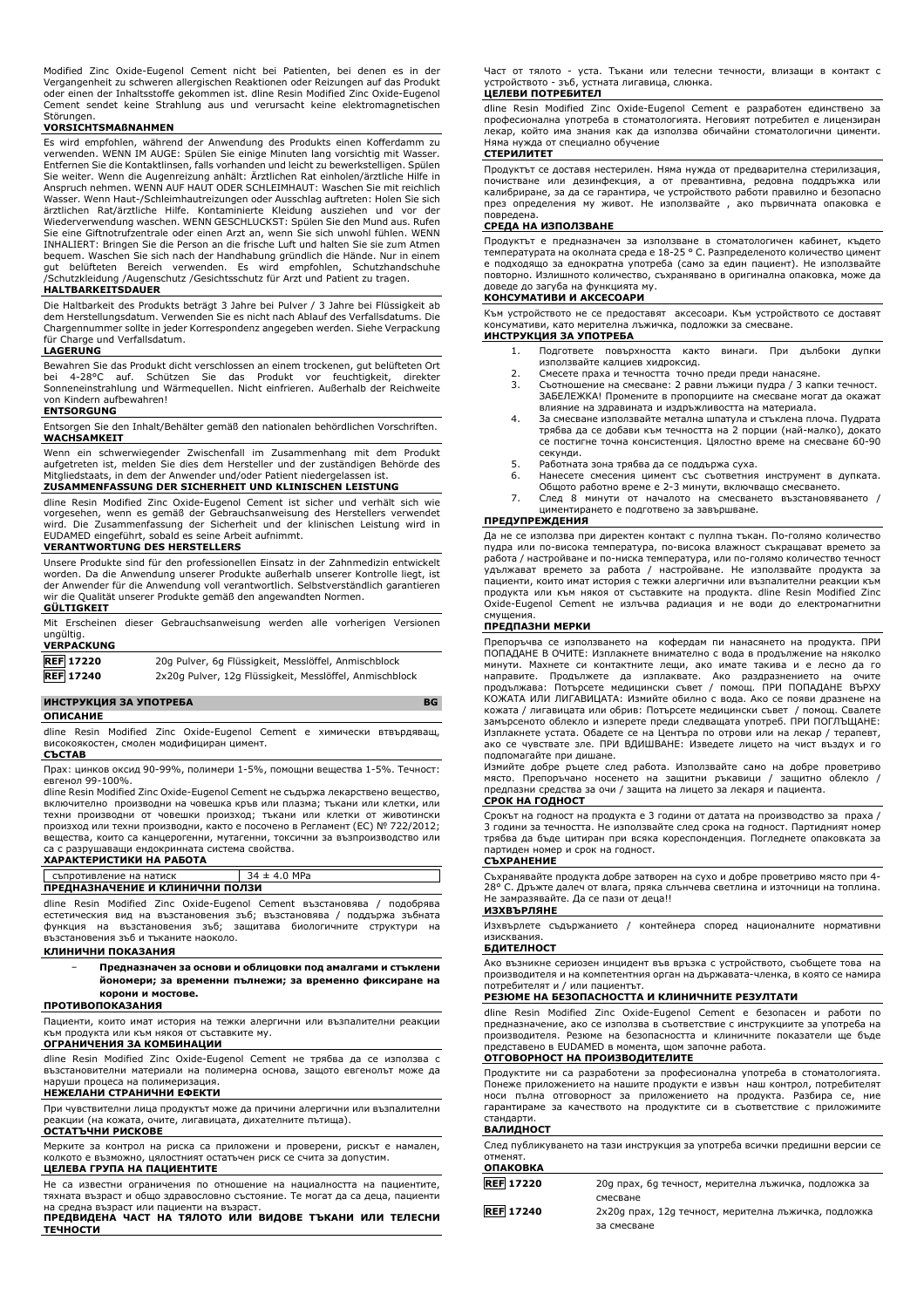Modified Zinc Oxide-Eugenol Cement nicht bei Patienten, bei denen es in der Vergangenheit zu schweren allergischen Reaktionen oder Reizungen auf das Produkt oder einen der Inhaltsstoffe gekommen ist. dline Resin Modified Zinc Oxide-Eugenol Cement sendet keine Strahlung aus und verursacht keine elektromagnetischen Störungen.

# **VORSICHTSMAßNAHMEN**

Es wird empfohlen, während der Anwendung des Produkts einen Kofferdamm zu verwenden. WENN IM AUGE: Spülen Sie einige Minuten lang vorsichtig mit Wasser. Entfernen Sie die Kontaktlinsen, falls vorhanden und leicht zu bewerkstelligen. Spülen Sie weiter. Wenn die Augenreizung anhält: Arztlichen Rat einholen/ärztliche Hilfe in<br>Anspruch nehmen. WENN AUF HAUT ODER SCHLEIMHAUT: Waschen Sie mit reichlich<br>Wasser. Wenn Haut-/Schleimhautreizungen oder Ausschlag auftret ärztlichen Rat/ärztliche Hilfe. Kontaminierte Kleidung ausziehen und vor der Wiederverwendung waschen. WENN GESCHLUCKST: Spülen Sie den Mund aus. Rufen Sie eine Giftnotrufzentrale oder einen Arzt an, wenn Sie sich unwohl fühlen. WENN INHALIERT: Bringen Sie die Person an die frische Luft und halten Sie sie zum Atmen bequem. Waschen Sie sich nach der Handhabung gründlich die Hände. Nur in einem<br>gut belüfteten Bereich verwenden. Es wird empfohlen, Schutzhandschuhe<br>/Schutzkleidung /Augenschutz /Gesichtsschutz für Arzt und P

#### **HALTBARKEITSDAUER**

Die Haltbarkeit des Produkts beträgt 3 Jahre bei Pulver / 3 Jahre bei Flüssigkeit ab dem Herstellungsdatum. Verwenden Sie es nicht nach Ablauf des Verfallsdatums. Die Chargennummer sollte in jeder Korrespondenz angegeben werden. Siehe Verpackung für Charge und Verfallsdatum.

# **LAGERUNG**

Bewahren Sie das Produkt dicht verschlossen an einem trockenen, gut belüfteten Ort bei 4-28°C auf. Schützen Sie das Produkt vor feuchtigkeit, direkter Sonneneinstrahlung und Wärmequellen. Nicht einfrieren. Außerhalb der Reichweite von Kindern aufbewahren!

#### **ENTSORGUNG**

Entsorgen Sie den Inhalt/Behälter gemäß den nationalen behördlichen Vorschriften. **WACHSAMKEIT**

Wenn ein schwerwiegender Zwischenfall im Zusammenhang mit dem Produkt aufgetreten ist, melden Sie dies dem Hersteller und der zuständigen Behörde des Mitgliedstaats, in dem der Anwender und/oder Patient niedergelassen ist.

### **ZUSAMMENFASSUNG DER SICHERHEIT UND KLINISCHEN LEISTUNG**

dline Resin Modified Zinc Oxide-Eugenol Cement ist sicher und verhält sich wie vorgesehen, wenn es gemäß der Gebrauchsanweisung des Herstellers verwendet wird. Die Zusammenfassung der Sicherheit und der klinischen Leistung wird in EUDAMED eingeführt, sobald es seine Arbeit aufnimmt. **VERANTWORTUNG DES HERSTELLERS**

Unsere Produkte sind für den professionellen Einsatz in der Zahnmedizin entwickelt worden. Da die Anwendung unserer Produkte außerhalb unserer Kontrolle liegt, ist

der Anwender für die Anwendung voll verantwortlich. Selbstverständlich garantieren wir die Qualität unserer Produkte gemäß den angewandten Normen. **GÜLTIGKEIT**

|                   | Mit Erscheinen dieser Gebrauchsanweisung werden alle vorherigen Versionen |  |  |
|-------------------|---------------------------------------------------------------------------|--|--|
| unaültia.         |                                                                           |  |  |
| <b>VERPACKUNG</b> |                                                                           |  |  |
| <b>REF</b> 17220  | 20g Pulver, 6g Flüssigkeit, Messlöffel, Anmischblock                      |  |  |

**REF 17240** 2x20g Pulver, 12g Flüssigkeit, Messlöffel, Anmischblock

### **ИНСТРУКЦИЯ ЗА УПОТРЕБА BG**

#### **ОПИСАНИЕ**

dline Resin Modified Zinc Oxide-Eugenol Cement е химически втвърдяващ, високоякостен, смолен модифициран цимент. **СЪСТАВ**

#### Прах: цинков оксид 90-99%, полимери 1-5%, помощни вещества 1-5%. Течност: евгенол 99-100%.

dline Resin Modified Zinc Oxide-Eugenol Cement не съдържа лекарствено вещество, включително производни на човешка кръв или плазма; тъкани или клетки, или техни производни от човешки произход; тъкани или клетки от животински произход или техни производни, както е посочено в Регламент (ЕС) № 722/2012; вещества, които са канцерогенни, мутагенни, токсични за възпроизводство или са с разрушаващи ендокринната система свойства.

## **ХАРАКТЕРИСТИКИ НА РАБОТА**

| Съпротивление на натиск         | $34 \pm 4.0$ MPa |  |  |
|---------------------------------|------------------|--|--|
| ПРЕДНАЗНАЧЕНИЕ И КЛИНИЧНИ ПОЛЗИ |                  |  |  |

dline Resin Modified Zinc Oxide-Eugenol Cement възстановява / подобрява естетическия вид на възстановения зъб; възстановява / поддържа зъбната функция на възстановения зъб; защитава биологичните структури на възстановения зъб и тъканите наоколо.

#### **КЛИНИЧНИ ПОКАЗАНИЯ**

− **Предназначен за основи и облицовки под амалгами и стъклени йономери; за временни пълнежи; за временно фиксиране на корони и мостове.**

#### **ПРОТИВОПОКАЗАНИЯ**

Пациенти, които имат история на тежки алергични или възпалителни реакции към продукта или към някоя от съставките му.

# **ОГРАНИЧЕНИЯ ЗА КОМБИНАЦИИ**

dline Resin Modified Zinc Oxide-Eugenol Cement не трябва да се използва с възстановителни материали на полимерна основа, защото евгенолът може да наруши процеса на полимеризация.

# **НЕЖЕЛАНИ СТРАНИЧНИ ЕФЕКТИ**

При чувствителни лица продуктът може да причини алергични или възпалителни реакции (на кожата, очите, лигавицата, дихателните пътища). **ОСТАТЪЧНИ РИСКОВЕ**

Мерките за контрол на риска са приложени и проверени, рискът е намален, колкото е възможно, цялостният остатъчен риск се счита за допустим.

# **ЦЕЛЕВА ГРУПА НА ПАЦИЕНТИТЕ**

Не са известни ограничения по отношение на нациалността на пациентите, тяхната възраст и общо здравословно състояние. Те могат да са деца, пациенти на средна възраст или пациенти на възраст. **ПРЕДВИДЕНА ЧАСТ НА ТЯЛОТО ИЛИ ВИДОВЕ ТЪКАНИ ИЛИ ТЕЛЕСНИ**

**ТЕЧНОСТИ**

Част от тялото - уста. Тъкани или телесни течности, влизащи в контакт с устройството - зъб, устната лигавица, слюнка.

# **ЦЕЛЕВИ ПОТРЕБИТЕЛ**

dline Resin Modified Zinc Oxide-Eugenol Cement е разработен единствено за професионална употреба в стоматологията. Неговият потребител е лицензиран лекар, който има знания как да използва обичайни стоматологични цименти. Няма нужда от специално обучение **СТЕРИЛИТЕТ**

Продуктът се доставя нестерилен. Няма нужда от предварителна стерилизация, почистване или дезинфекция, а от превантивна, редовна поддръжка или калибриране, за да се гарантира, че устройството работи правилно и безопасно през определения му живот. Не използвайте , ако първичната опаковка е повредена.

#### **СРЕДА НА ИЗПОЛЗВАНЕ**

Продуктът е предназначен за използване в стоматологичен кабинет, където температурата на околната среда е 18-25 ° C. Разпределеното количество цимент е подходящо за еднократна употреба (само за един пациент). Не използвайте повторно. Излишното количество, съхранявано в оригинална опаковка, може да доведе до загуба на функцията му.

#### **КОНСУМАТИВИ И АКСЕСОАРИ**

Към устройството не се предоставят аксесоари. Към устройството се доставят консумативи, като мерителна лъжичка, подложки за смесване. **ИНСТРУКЦИЯ ЗА УПОТРЕБА**

- 1. Подгответе повърхността както винаги. При дълбоки дупки използвайте калциев хидроксид.
	-
- 2. Смесете праха и течността точно преди преди нанасяне. 3. Съотношение на смесване: 2 равни лъжици пудра / 3 капки течност. ЗАБЕЛЕЖКА! Промените в пропорциите на смесване могат да окажат влияние на здравината и издръжливостта на материала.
- 4. За смесване използвайте метална шпатула и стъклена плоча. Пудрата трябва да се добави към течността на 2 порции (най-малко), докато се постигне точна консистенция. Цялостно време на смесване 60-90 секунди.
- 
- 5. Работната зона трябва да се поддържа суха. 6. Нанесете смесения цимент със съответния инструмент в дупката. Общото работно време е 2-3 минути, включващо смесването.
- 7. След 8 минути от началото на смесването възстановяването / циментирането е подготвено за завършване.

#### **ПРЕДУПРЕЖДЕНИЯ**

Да не се използва при директен контакт с пулпна тъкан. По-голямо количество пудра или по-висока температура, по-висока влажност съкращават времето за работа / настройване и по-ниска температура, или по-голямо количество течност удължават времето за работа / настройване. Не използвайте продукта за пациенти, които имат история с тежки алергични или възпалителни реакции към продукта или към някоя от съставките на продукта. dline Resin Modified Zinc Oxide-Eugenol Cement не излъчва радиация и не води до електромагнитни смущения.

#### **ПРЕДПАЗНИ МЕРКИ**

Препоръчва се използването на кофердам пи нанасянето на продукта. ПРИ ПОПАДАНЕ В ОЧИТЕ: Изплакнете внимателно с вода в продължение на няколко минути. Махнете си контактните лещи, ако имате такива и е лесно да го направите. Продължете да изплаквате. Ако раздразнението на очите продължава: Потърсете медицински съвет / помощ. ПРИ ПОПАДАНЕ ВЪРХУ КОЖАТА ИЛИ ЛИГАВИЦАТА: Измийте обилно с вода. Ако се появи дразнене на кожата / лигавицата или обрив: Потърсете медицински съвет / помощ. Свалете замърсеното облекло и изперете преди следващата употреб. ПРИ ПОГЛЪЩАНЕ: Изплакнете устата. Обадете се на Центъра по отрови или на лекар / терапевт, ако се чувствате зле. ПРИ ВДИШВАНЕ: Изведете лицето на чист въздух и го подпомагайте при дишане.

Измийте добре ръцете след работа. Използвайте само на добре проветриво място. Препоръчано носенето на защитни ръкавици / защитно облекло / предпазни средства за очи / защита на лицето за лекаря и пациента. **СРОК НА ГОДНОСТ**

Срокът на годност на продукта е 3 години от датата на производство за праха / 3 години за течността. Не използвайте след срока на годност. Партидният номер трябва да бъде цитиран при всяка кореспонденция. Погледнете опаковката за партиден номер и срок на годност. **СЪХРАНЕНИЕ**

Съхранявайте продукта добре затворен на сухо и добре проветриво място при 4- 28° C. Дръжте далеч от влага, пряка слънчева светлина и източници на топлина. Не замразявайте. Да се пази от деца!!

# **ИЗХВЪРЛЯНЕ**

Изхвърлете съдържанието / контейнера според националните нормативни изисквания.

# **БДИТЕЛНОСТ**

Ако възникне сериозен инцидент във връзка с устройството, съобщете това на производителя и на компетентния орган на държавата-членка, в която се намира потребителят и / или пациентът.

# **РЕЗЮМЕ НА БЕЗОПАСНОСТТА И КЛИНИЧНИТЕ РЕЗУЛТАТИ**

dline Resin Modified Zinc Oxide-Eugenol Cement е безопасен и работи по предназначение, ако се използва в съответствие с инструкциите за употреба на производителя. Резюме на безопасността и клиничните показатели ще бъде представено в EUDAMED в момента, щом започне работа.

# **ОТГОВОРНОСТ НА ПРОИЗВОДИТЕЛИТЕ**

Продуктите ни са разработени за професионална употреба в стоматологията. Понеже приложението на нашите продукти е извън наш контрол, потребителят носи пълна отговорност за приложението на продукта. Разбира се, ние гарантираме за качеството на продуктите си в съответствие с приложимите стандарти.

### **ВАЛИДНОСТ**

| отменят.<br><b>ОПАКОВКА</b> | След публикуването на тази инструкция за употреба всички предишни версии се |
|-----------------------------|-----------------------------------------------------------------------------|
| <b>REF</b> 17220            | 20 дпрах, 6 дтечност, мерителна лъжичка, подложка за                        |
| <b>REF 17240</b>            | смесване<br>2х20д прах, 12д течност, мерителна лъжичка, подложка            |
|                             | за смесване                                                                 |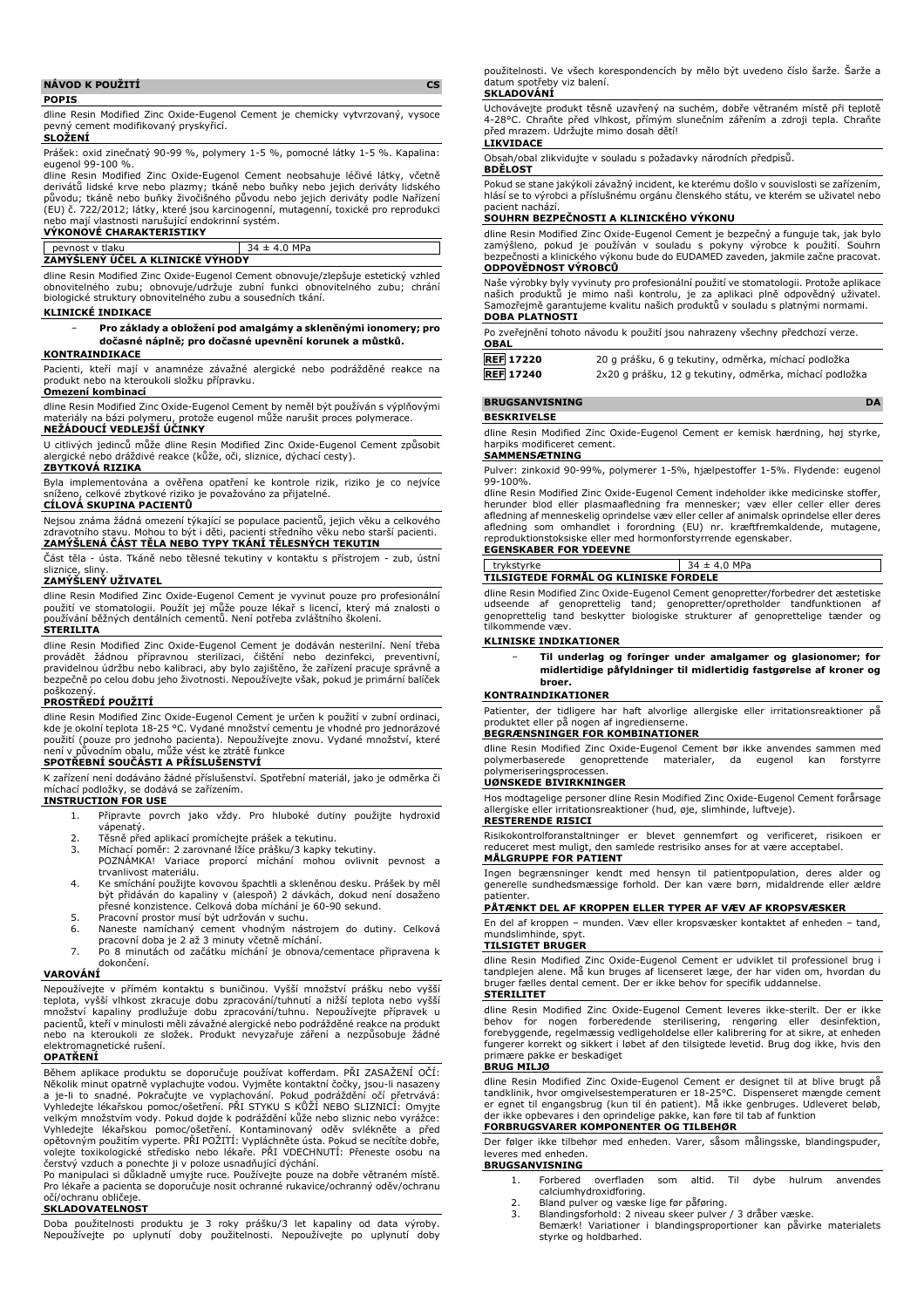### **NÁVOD K POUŽITÍ CS POPIS**

dline Resin Modified Zinc Oxide-Eugenol Cement je chemicky vytvrzovaný, vysoce pevný cement modifikovaný pryskyřicí.

#### **SLOŽENÍ**

Prášek: oxid zinečnatý 90-99 %, polymery 1-5 %, pomocné látky 1-5 %. Kapalina: eugenol 99-100 %.

dline Resin Modified Zinc Oxide-Eugenol Cement neobsahuje léčivé látky, včetně derivátů lidské krve nebo plazmy; tkáně nebo buňky nebo jejich deriváty lidského původu; tkáně nebo buňky živočišného původu nebo jejich deriváty podle Nařízení (EU) č. 722/2012; látky, které jsou karcinogenní, mutagenní, toxické pro reprodukci nebo mají vlastnosti narušující endokrinní systém. **VÝKONOVÉ CHARAKTERISTIKY**

# pevnost v tlaku 34 ± 4.0 MPa **ZAMÝŠLENÝ ÚČEL A KLINICKÉ VÝHODY**

dline Resin Modified Zinc Oxide-Eugenol Cement obnovuje/zlepšuje estetický vzhled obnovitelného zubu; obnovuje/udržuje zubní funkci obnovitelného zubu; chrání biologické struktury obnovitelného zubu a sousedních tkání.

## **KLINICKÉ INDIKACE**

#### − **Pro základy a obložení pod amalgámy a skleněnými ionomery; pro dočasné náplně; pro dočasné upevnění korunek a můstků.**

### **KONTRAINDIKACE**

Pacienti, kteří mají v anamnéze závažné alergické nebo podrážděné reakce na produkt nebo na kteroukoli složku přípravku. **Omezení kombinací**

dline Resin Modified Zinc Oxide-Eugenol Cement by neměl být používán s výplňovými materiály na bázi polymeru, protože eugenol může narušit proces polymerace.

# **NEŽÁDOUCÍ VEDLEJŠÍ ÚČINKY**

U citlivých jedinců může dline Resin Modified Zinc Oxide-Eugenol Cement způsobit alergické nebo dráždivé reakce (kůže, oči, sliznice, dýchací cesty). **ZBYTKOVÁ RIZIKA**

Byla implementována a ověřena opatření ke kontrole rizik, riziko je co nejvíce sníženo, celkové zbytkové riziko je považováno za přijatelné.

# **CÍLOVÁ SKUPINA PACIENTŮ**

Nejsou známa žádná omezení týkající se populace pacientů, jejich věku a celkového zdravotního stavu. Mohou to být i děti, pacienti středního věku nebo starší pacienti. **ZAMÝŠLENÁ ČÁST TĚLA NEBO TYPY TKÁNÍ TĚLESNÝCH TEKUTIN**

Část těla - ústa. Tkáně nebo tělesné tekutiny v kontaktu s přístrojem - zub, ústní sliznice, sliny.

# **ZAMÝŠLENÝ UŽIVATEL**

dline Resin Modified Zinc Oxide-Eugenol Cement je vyvinut pouze pro profesionální použití ve stomatologii. Použít jej může pouze lékař s licencí, který má znalosti o používání běžných dentálních cementů. Není potřeba zvláštního školení. **STERILITA**

#### dline Resin Modified Zinc Oxide-Eugenol Cement je dodáván nesterilní. Není třeba provádět žádnou přípravnou sterilizaci, čištění nebo dezinfekci, preventivní, pravidelnou údržbu nebo kalibraci, aby bylo zajištěno, že zařízení pracuje správně a bezpečně po celou dobu jeho životnosti. Nepoužívejte však, pokud je primární balíček

# poškozený. **PROSTŘEDÍ POUŽITÍ**

dline Resin Modified Zinc Oxide-Eugenol Cement je určen k použití v zubní ordinaci, kde je okolní teplota 18-25 °C. Vydané množství cementu je vhodné pro jednorázové použití (pouze pro jednoho pacienta). Nepoužívejte znovu. Vydané množství, které není v původním obalu, může vést ke ztrátě funkce

## **SPOTŘEBNÍ SOUČÁSTI A PŘÍSLUŠENSTVÍ**

K zařízení není dodáváno žádné příslušenství. Spotřební materiál, jako je odměrka či míchací podložky, se dodává se zařízením.

# **INSTRUCTION FOR USE**

1. Připravte povrch jako vždy. Pro hluboké dutiny použijte hydroxid vápenatý.

- 
- 2. Těsně před aplikací promíchejte prášek a tekutinu.<br>3. Míchací poměr: 2 zarovnané lžíce prášku/3 kapky t
- 3. Míchací poměr: 2 zarovnané lžíce prášku/3 kapky tekutiny. POZNÁMKA! Variace proporcí míchání mohou ovlivnit pevnost a trvanlivost materiálu.
- 4. Ke smíchání použijte kovovou špachtli a skleněnou desku. Prášek by měl být přidáván do kapaliny v (alespoň) 2 dávkách, dokud není dosaženo přesné konzistence. Celková doba míchání je 60-90 sekund.
- 
- 5. Pracovní prostor musí být udržován v suchu. 6. Naneste namíchaný cement vhodným nástrojem do dutiny. Celková pracovní doba je 2 až 3 minuty včetně míchání.
- 7. Po 8 minutách od začátku míchání je obnova/cementace připravena k dokončení.

# **VAROVÁNÍ**

Nepoužívejte v přímém kontaktu s buničinou. Vyšší množství prášku nebo vyšší<br>teplota, vyšší vlhkost zkracuje dobu zpracování/tuhnutí a nižší teplota nebo vyšší<br>množství kapaliny prodlužuje dobu zpracování/tuhnu. Nepoužívej pacientů, kteří v minulosti měli závažné alergické nebo podrážděné reakce na produkt nebo na kteroukoli ze složek. Produkt nevyzařuje záření a nezpůsobuje žádné elektromagnetické rušení.

# **OPATŘENÍ**

Během aplikace produktu se doporučuje používat kofferdam. PŘI ZASAŽENÍ OČÍ: Několik minut opatrně vyplachujte vodou. Vyjměte kontaktní čočky, jsou-li nasazeny a je-li to snadné. Pokračujte ve vyplachování. Pokud podráždění očí přetrvává:<br>Vyhledejte lékařskou pomoc/ošetření. PŘI STYKU S KŮŽÍ NEBO SLIZNICÍ: Omyjte<br>velkým množstvím vody. Pokud dojde k podráždění kůže nebo sliznic n čerstvý vzduch a ponechte ji v poloze usnadňující dýchání.

Po manipulaci si důkladně umyjte ruce. Používejte pouze na dobře větraném místě. Pro lékaře a pacienta se doporučuje nosit ochranné rukavice/ochranný oděv/ochranu očí/ochranu obličeje.

### **SKLADOVATELNOST**

Doba použitelnosti produktu je 3 roky prášku/3 let kapaliny od data výroby. Nepoužívejte po uplynutí doby použitelnosti. Nepoužívejte po uplynutí doby použitelnosti. Ve všech korespondencích by mělo být uvedeno číslo šarže. Šarže a datum spotřeby viz balení. **SKLADOVÁNÍ**

# Uchovávejte produkt těsně uzavřený na suchém, dobře větraném místě při teplotě 4-28°C. Chraňte před vlhkost, přímým slunečním zářením a zdroji tepla. Chraňte před mrazem. Udržujte mimo dosah dětí!

# **LIKVIDACE**

Obsah/obal zlikvidujte v souladu s požadavky národních předpisů. **BDĚLOST**

Pokud se stane jakýkoli závažný incident, ke kterému došlo v souvislosti se zařízením, hlásí se to výrobci a příslušnému orgánu členského státu, ve kterém se uživatel nebo pacient nachází.

# **SOUHRN BEZPEČNOSTI A KLINICKÉHO VÝKONU**

dline Resin Modified Zinc Oxide-Eugenol Cement je bezpečný a funguje tak, jak bylo zamýšleno, pokud je používán v souladu s pokyny výrobce k použití. Souhrn bezpečnosti a klinického výkonu bude do EUDAMED zaveden, jakmile začne pracovat. **ODPOVĚDNOST VÝROBCŮ**

Naše výrobky byly vyvinuty pro profesionální použití ve stomatologii. Protože aplikace našich produktů je mimo naši kontrolu, je za aplikaci plně odpovědný uživatel. Samozřejmě garantujeme kvalitu našich produktů v souladu s platnými normami. **DOBA PLATNOSTI**

| <b>OBAL</b>      | Po zveřejnění tohoto návodu k použití jsou nahrazeny všechny předchozí verze. |
|------------------|-------------------------------------------------------------------------------|
| <b>REF</b> 17220 | 20 g prášku, 6 g tekutiny, odměrka, míchací podložka                          |
| <b>REF</b> 17240 | 2x20 g prášku, 12 g tekutiny, odměrka, míchací podložka                       |

# **BRUGSANVISNING DA**

# **BESKRIVELSE**

dline Resin Modified Zinc Oxide-Eugenol Cement er kemisk hærdning, høj styrke, harpiks modificeret cement.

#### **SAMMENSÆTNING**

Pulver: zinkoxid 90-99%, polymerer 1-5%, hjælpestoffer 1-5%. Flydende: eugenol 99-100%.

dline Resin Modified Zinc Oxide-Eugenol Cement indeholder ikke medicinske stoffer, herunder blod eller plasmaafledning fra mennesker; væv eller celler eller deres afledning af menneskelig oprindelse væv eller celler af animalsk oprindelse eller deres afledning som omhandlet i forordning (EU) nr. kræftfremkaldende, mutagene, reproduktionstoksiske eller med hormonforstyrrende egenskaber. **EGENSKABER FOR YDEEVNE**

# trykstyrke 34 ± 4.0 MPa

# **TILSIGTEDE FORMÅL OG KLINISKE FORDELE**

dline Resin Modified Zinc Oxide-Eugenol Cement genopretter/forbedrer det æstetiske udseende af genoprettelig tand; genopretter/opretholder tandfunktionen af genoprettelig tand beskytter biologiske strukturer af genoprettelige tænder og tilkommende væv.

### **KLINISKE INDIKATIONER**

− **Til underlag og foringer under amalgamer og glasionomer; for midlertidige påfyldninger til midlertidig fastgørelse af kroner og broer.**

#### **KONTRAINDIKATIONER**

Patienter, der tidligere har haft alvorlige allergiske eller irritationsreaktioner på produktet eller på nogen af ingredienserne.

# **BEGRÆNSNINGER FOR KOMBINATIONER**

dline Resin Modified Zinc Oxide-Eugenol Cement bør ikke anvendes sammen med polymerbaserede genoprettende materialer, da eugenol kan forstyrre polymeriseringsprocessen.

# **UØNSKEDE BIVIRKNINGER**

Hos modtagelige personer dline Resin Modified Zinc Oxide-Eugenol Cement forårsage allergiske eller irritationsreaktioner (hud, øje, slimhinde, luftveje). **RESTERENDE RISICI**

Risikokontrolforanstaltninger er blevet gennemført og verificeret, risikoen er reduceret mest muligt, den samlede restrisiko anses for at være acceptabel. **MÅLGRUPPE FOR PATIENT**

Ingen begrænsninger kendt med hensyn til patientpopulation, deres alder og generelle sundhedsmæssige forhold. Der kan være børn, midaldrende eller ældre patienter.

# **PÅTÆNKT DEL AF KROPPEN ELLER TYPER AF VÆV AF KROPSVÆSKER**

En del af kroppen – munden. Væv eller kropsvæsker kontaktet af enheden – tand, mundslimhinde, spyt.

# **TILSIGTET BRUGER**

dline Resin Modified Zinc Oxide-Eugenol Cement er udviklet til professionel brug i tandplejen alene. Må kun bruges af licenseret læge, der har viden om, hvordan du bruger fælles dental cement. Der er ikke behov for specifik uddannelse. **STERILITET**

dline Resin Modified Zinc Oxide-Eugenol Cement leveres ikke-sterilt. Der er ikke behov for nogen forberedende sterilisering, rengøring eller desinfektion,<br>forebyggende,regelmæssig-vedligeholdelse-eller-kalibrering-for-at-sikre,-at-enheden<br>fungerer-korrekt-og-sikkert-i-løbet-af-den-tilsigtede-levetid.-B primære pakke er beskadiget

# **BRUG MILJØ**

dline Resin Modified Zinc Oxide-Eugenol Cement er designet til at blive brugt på tandklinik, hvor omgivelsestemperaturen er 18-25°C. Dispenseret mængde cement er egnet til engangsbrug (kun til én patient). Må ikke genbruges. Udleveret beløb, der ikke opbevares i den oprindelige pakke, kan føre til tab af funktion

### **FORBRUGSVARER KOMPONENTER OG TILBEHØR**

Der følger ikke tilbehør med enheden. Varer, såsom målingsske, blandingspuder, leveres med enheden. **BRUGSANVISNING**

- 1. Forbered overfladen som altid. Til dybe hulrum anvendes calciumhydroxidforing.
- 2. Bland pulver og væske lige før påføring.<br>3. Blandingsforhold: 2 niveau skeer pulver
- 3. Blandingsforhold: 2 niveau skeer pulver / 3 dråber væske. Bemærk! Variationer i blandingsproportioner kan påvirke materialets
- styrke og holdbarhed.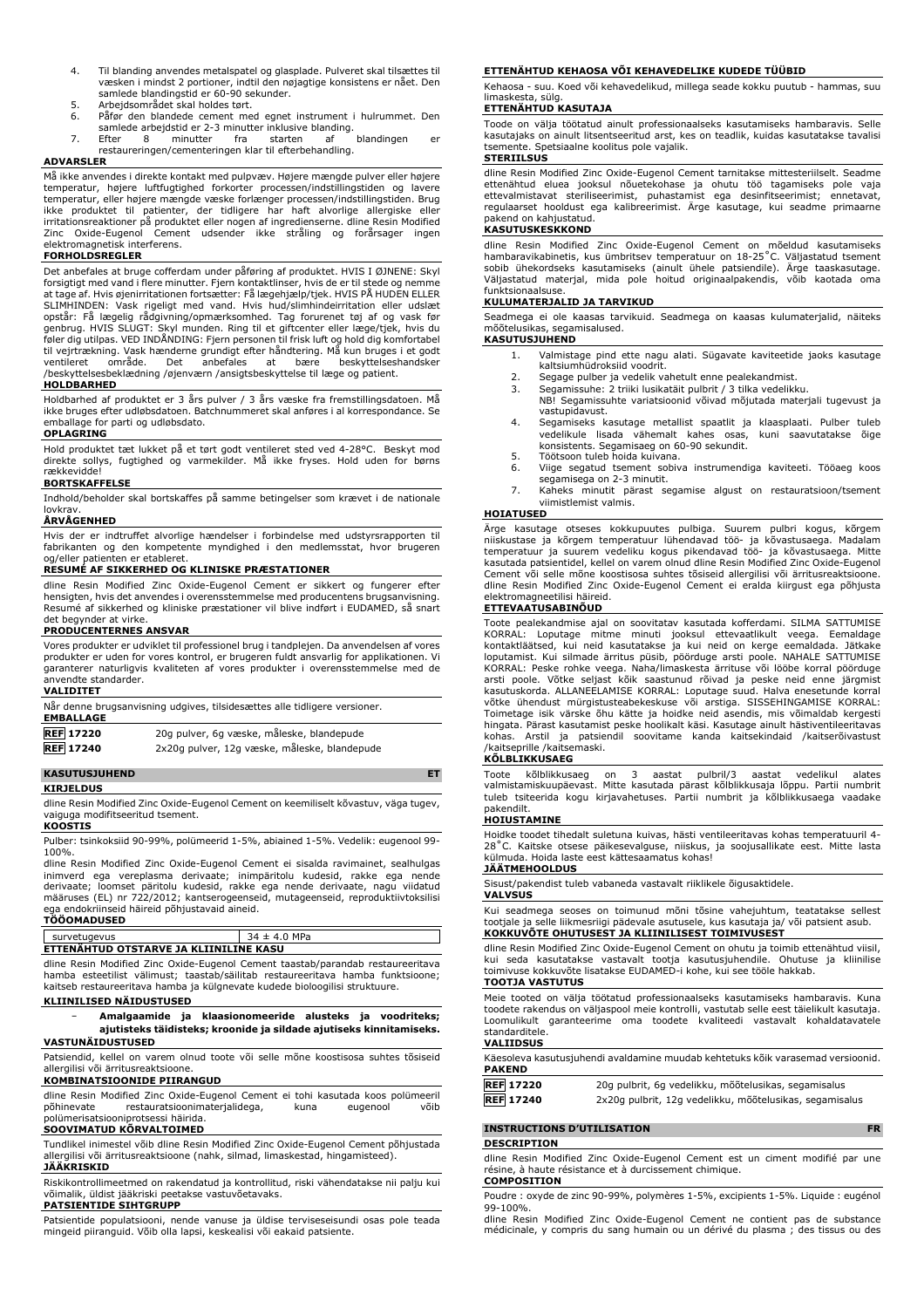- 4. Til blanding anvendes metalspatel og glasplade. Pulveret skal tilsættes til væsken i mindst 2 portioner, indtil den nøjagtige konsistens er nået. Den samlede blandingstid er 60-90 sekunder.
- 
- 5. Arbejdsområdet skal holdes tørt.<br>6. Påfør den blandede cement med egnet instrument i hulrummet. Den<br>samlede arbejdstid er 2-3 minutter inklusive blanding.<br>7. Efter 8 minutter fra starten af blandingen er<br>restaureringen/
- 

#### **ADVARSLER**

Må ikke anvendes i direkte kontakt med pulpvæv. Højere mængde pulver eller højere temperatur, højere luftfugtighed forkorter processen/indstillingstiden og lavere temperatur, eller højere mængde væske forlænger processen/indstillingstiden. Brug ikke produktet til patienter, der tidligere har haft alvorlige allergiske eller<br>irritationsreaktioner på produktet eller nogen af ingredienserne. dline-Resin-Modified<br>Zinc Oxide-Eugenol Cement udsender ikke stråling og for elektromagnetisk interferens.

### **FORHOLDSREGLER**

Det anbefales at bruge cofferdam under påføring af produktet. HVIS I ØJNENE: Skyl forsigtigt med vand i flere minutter. Fjern kontaktlinser, hvis de er til stede og nemme at tage af. Hvis øjenirritationen fortsætter: Få lægehjælp/tjek. HVIS PÅ HUDEN ELLER SLIMHINDEN: Vask rigeligt med vand. Hvis hud/slimhindeirritation eller udslæt opstår: Få lægelig rådgivning/opmærksomhed. Tag forurenet tøj af og vask før genbrug. HVIS SLUGT: Skyl munden. Ring til et giftcenter eller læge/tjek, hvis du<br>føler dig utilpas. VED INDÅNDING: Fjern personen til frisk luft og hold dig komfortabel<br>til vejrtrækning. Vask hænderne grundigt efter håndt ventileret område. Det anbefales at bære beskyttelseshandsker /beskyttelsesbeklædning /øjenværn /ansigtsbeskyttelse til læge og patient. **HOLDBARHED**

Holdbarhed af produktet er 3 års pulver / 3 års væske fra fremstillingsdatoen. Må ikke bruges efter udløbsdatoen. Batchnummeret skal anføres i al korrespondance. Se emballage for parti og udløbsdato.

# **OPLAGRING**

Hold produktet tæt lukket på et tørt godt ventileret sted ved 4-28°C. Beskyt mod direkte sollys, fugtighed og varmekilder. Må ikke fryses. Hold uden for børns rækkevidde!

## **BORTSKAFFELSE**

Indhold/beholder skal bortskaffes på samme betingelser som krævet i de nationale **lovkray** 

# **ÅRVÅGENHED**

Hvis der er indtruffet alvorlige hændelser i forbindelse med udstyrsrapporten til fabrikanten og den kompetente myndighed i den medlemsstat, hvor brugeren og/eller patienten er etableret.

### **RESUMÉ AF SIKKERHED OG KLINISKE PRÆSTATIONER**

dline Resin Modified Zinc Oxide-Eugenol Cement er sikkert og fungerer efter hensigten, hvis det anvendes i overensstemmelse med producentens brugsanvisning. Resumé af sikkerhed og kliniske præstationer vil blive indført i EUDAMED, så snart det begynder at virke.

#### **PRODUCENTERNES ANSVAR**

Vores produkter er udviklet til professionel brug i tandplejen. Da anvendelsen af vores produkter er uden for vores kontrol, er brugeren fuldt ansvarlig for applikationen. Vi garanterer naturligvis kvaliteten af vores produkter i overensstemmelse med de anvendte standarder.

| <b>VALIDITET</b> |                                                                           |
|------------------|---------------------------------------------------------------------------|
| <b>EMBALLAGE</b> | Når denne brugsanvisning udgives, tilsidesættes alle tidligere versioner. |
| <b>REF</b> 17220 | 20g pulver, 6g væske, måleske, blandepude                                 |

**REF 17240** 2x20g pulver, 12g væske, måleske, blandepude

# **KASUTUSJUHEND ET**

#### **KIRJELDUS**

dline Resin Modified Zinc Oxide-Eugenol Cement on keemiliselt kõvastuv, väga tugev, vaiguga modifitseeritud tsement.

#### **KOOSTIS**

Pulber: tsinkoksiid 90-99%, polümeerid 1-5%, abiained 1-5%. Vedelik: eugenool 99- 100%.

dline Resin Modified Zinc Oxide-Eugenol Cement ei sisalda ravimainet, sealhulgas inimverd ega vereplasma derivaate; inimpäritolu kudesid, rakke ega nende derivaate; loomset päritolu kudesid, rakke ega nende derivaate, nagu viidatud määruses (EL) nr 722/2012; kantserogeenseid, mutageenseid, reproduktiivtoksilisi ega endokriinseid häireid põhjustavaid aineid. **TÖÖOMADUSED**

| survetugevus                           | $34 \pm 4.0$ MPa |  |  |  |
|----------------------------------------|------------------|--|--|--|
| ETTENAHTUD OTSTARVE JA KLIINILINE KASU |                  |  |  |  |

dline Resin Modified Zinc Oxide-Eugenol Cement taastab/parandab restaureeritava hamba esteetilist välimust; taastab/säilitab restaureeritava hamba funktsioone; kaitseb restaureeritava hamba ja külgnevate kudede bioloogilisi struktuure.

### **KLIINILISED NÄIDUSTUSED**

− **Amalgaamide ja klaasionomeeride alusteks ja voodriteks; ajutisteks täidisteks; kroonide ja sildade ajutiseks kinnitamiseks. VASTUNÄIDUSTUSED**

Patsiendid, kellel on varem olnud toote või selle mõne koostisosa suhtes tõsiseid allergilisi või ärritusreaktsioone.

# **KOMBINATSIOONIDE PIIRANGUD**

dline Resin Modified Zinc Oxide-Eugenol Cement ei tohi kasutada koos polümeeril<br>põhinevate restauratsioonimaterjalidega, kuna eugenool võib restauratsioonimaterjalidega, polümerisatsiooniprotsessi häirida.

# **SOOVIMATUD KÕRVALTOIMED**

Tundlikel inimestel võib dline Resin Modified Zinc Oxide-Eugenol Cement põhjustada allergilisi või ärritusreaktsioone (nahk, silmad, limaskestad, hingamisteed). **JÄÄKRISKID**

Riskikontrollimeetmed on rakendatud ja kontrollitud, riski vähendatakse nii palju kui võimalik, üldist jääkriski peetakse vastuvõetavaks.

#### **PATSIENTIDE SIHTGRUPP**

Patsientide populatsiooni, nende vanuse ja üldise terviseseisundi osas pole teada mingeid piiranguid. Võib olla lapsi, keskealisi või eakaid patsiente.

#### **ETTENÄHTUD KEHAOSA VÕI KEHAVEDELIKE KUDEDE TÜÜBID**

Kehaosa - suu. Koed või kehavedelikud, millega seade kokku puutub - hammas, suu limaskesta, sülg.

### **ETTENÄHTUD KASUTAJA**

Toode on välja töötatud ainult professionaalseks kasutamiseks hambaravis. Selle kasutajaks on ainult litsentseeritud arst, kes on teadlik, kuidas kasutatakse tavalisi tsemente. Spetsiaalne koolitus pole vajalik.

# **STERIILSUS**

dline Resin Modified Zinc Oxide-Eugenol Cement tarnitakse mittesteriilselt. Seadme ettenähtud eluea jooksul nõuetekohase ja ohutu töö tagamiseks pole vaja ettevalmistavat steriliseerimist, puhastamist ega desinfitseerimist; ennetavat, regulaarset hooldust ega kalibreerimist. Ärge kasutage, kui seadme primaarne pakend on kahjustatud.

### **KASUTUSKESKKOND**

dline Resin Modified Zinc Oxide-Eugenol Cement on mõeldud kasutamiseks hambaravikabinetis, kus ümbritsev temperatuur on 18-25˚C. Väljastatud tsement sobib ühekordseks kasutamiseks (ainult ühele patsiendile). Ärge taaskasutage. Väljastatud materjal, mida pole hoitud originaalpakendis, võib kaotada oma funktsionaalsuse.

# **KULUMATERJALID JA TARVIKUD**

Seadmega ei ole kaasas tarvikuid. Seadmega on kaasas kulumaterjalid, näiteks mõõtelusikas, segamisalused.

- **KASUTUSJUHEND**
	- 1. Valmistage pind ette nagu alati. Sügavate kaviteetide jaoks kasutage kaltsiumhüdroksiid voodrit.
	- 2. Segage pulber ja vedelik vahetult enne pealekandmist. 3. Segamissuhe: 2 triiki lusikatäit pulbrit / 3 tilka vedelikku.
	- NB! Segamissuhte variatsioonid võivad mõjutada materjali tugevust ja
	- vastupidavust. 4. Segamiseks kasutage metallist spaatlit ja klaasplaati. Pulber tuleb vedelikule lisada vähemalt kahes osas, kuni saavutatakse õige
	- konsistents. Segamisaeg on 60-90 sekundit. 5. Töötsoon tuleb hoida kuivana.<br>6. Viige segatud tsement sobiv
	- Viige segatud tsement sobiva instrumendiga kaviteeti. Tööaeg koos segamisega on 2-3 minutit.
	- 7. Kaheks minutit pärast segamise algust on restauratsioon/tsement viimistlemist valmis.

#### **HOIATUSED**

Ärge kasutage otseses kokkupuutes pulbiga. Suurem pulbri kogus, kõrgem niiskustase ja kõrgem temperatuur lühendavad töö- ja kõvastusaega. Madalam<br>temperatuur ja suurem vedeliku kogus pikendavad töö- ja kõvastusaega. Mitte<br>kasutada-patsientidel, kellel-on-varem-olnud-dline-Resin-Modified-Zinc-Cement või selle mõne koostisosa suhtes tõsiseid allergilisi või ärritusreaktsioone. dline Resin Modified Zinc Oxide-Eugenol Cement ei eralda kiirgust ega põhjusta elektromagneetilisi häireid.

#### **ETTEVAATUSABINÕUD**

Toote pealekandmise ajal on soovitatav kasutada kofferdami. SILMA SATTUMISE KORRAL: Loputage mitme minuti jooksul ettevaatlikult veega. Eemaldage kontaktläätsed, kui neid kasutatakse ja kui neid on kerge eemaldada. Jätkake loputamist. Kui silmade ärritus püsib, pöörduge arsti poole. NAHALE SATTUMISE KORRAL: Peske rohke veega. Naha/limaskesta ärrituse või lööbe korral pöörduge arsti poole. Võtke seljast kõik saastunud rõivad ja peske neid enne järgmist<br>kasutuskorda. ALLANEELAMISE KORRAL: Loputage suud. Halva enesetunde korral<br>võtke ühendust mürgistusteabekeskuse või arstiga. SISSEHINGAMISE KORRA Toimetage isik värske õhu kätte ja hoidke neid asendis, mis võimaldab kergesti hingata. Pärast kasutamist peske hoolikalt käsi. Kasutage ainult hästiventileeritavas kohas. Arstil ja patsiendil soovitame kanda kaitsekindaid /kaitserõivastust /kaitseprille /kaitsemaski.

# **KÕLBLIKKUSAEG**

Toote kõlblikkusaeg on 3 aastat pulbril/3 aastat vedelikul alates<br>valmistamiskuupäevast. Mitte-kasutada-pärast-kõlblikkusaja-lõppu. Partii numbrit<br>tuleb-tsiteerida-kogu-kirjavahetuses. Partii numbrit ja-kõlblikkusaega-vaad pakendilt.

#### **HOIUSTAMINE**

Hoidke toodet tihedalt suletuna kuivas, hästi ventileeritavas kohas temperatuuril 4- 28˚C. Kaitske otsese päikesevalguse, niiskus, ja soojusallikate eest. Mitte lasta külmuda. Hoida laste eest kättesaamatus kohas!

# **JÄÄTMEHOOLDUS**

Sisust/pakendist tuleb vabaneda vastavalt riiklikele õigusaktidele. **VALVSUS**

Kui seadmega seoses on toimunud mõni tõsine vahejuhtum, teatatakse sellest tootjale ja selle liikmesriigi pädevale asutusele, kus kasutaja ja/ või patsient asub. **KOKKUVÕTE OHUTUSEST JA KLIINILISEST TOIMIVUSEST**

dline Resin Modified Zinc Oxide-Eugenol Cement on ohutu ja toimib ettenähtud viisil, kui seda kasutatakse vastavalt tootja kasutusjuhendile. Ohutuse ja kliinilise toimivuse kokkuvõte lisatakse EUDAMED-i kohe, kui see tööle hakkab.

# **TOOTJA VASTUTUS**

Meie tooted on välja töötatud professionaalseks kasutamiseks hambaravis. Kuna toodete rakendus on väljaspool meie kontrolli, vastutab selle eest täielikult kasutaja. Loomulikult garanteerime oma toodete kvaliteedi vastavalt kohaldatavatele standarditele.

#### **VALIIDSUS**

| Käesoleva kasutusjuhendi avaldamine muudab kehtetuks kõik varasemad versioonid. |  |
|---------------------------------------------------------------------------------|--|
| <b>PAKEND</b>                                                                   |  |

| <b>REF 17220</b> | 20g pulbrit, 6g vedelikku, mõõtelusikas, segamisalus    |
|------------------|---------------------------------------------------------|
| <b>REF 17240</b> | 2x20g pulbrit, 12g vedelikku, mõõtelusikas, segamisalus |

# **INSTRUCTIONS D'UTILISATION FR**

#### **DESCRIPTION**

dline Resin Modified Zinc Oxide-Eugenol Cement est un ciment modifié par une résine, à haute résistance et à durcissement chimique. **COMPOSITION**

Poudre : oxyde de zinc 90-99%, polymères 1-5%, excipients 1-5%. Liquide : eugénol 99-100%.

dline Resin Modified Zinc Oxide-Eugenol Cement ne contient pas de substance médicinale, y compris du sang humain ou un dérivé du plasma ; des tissus ou des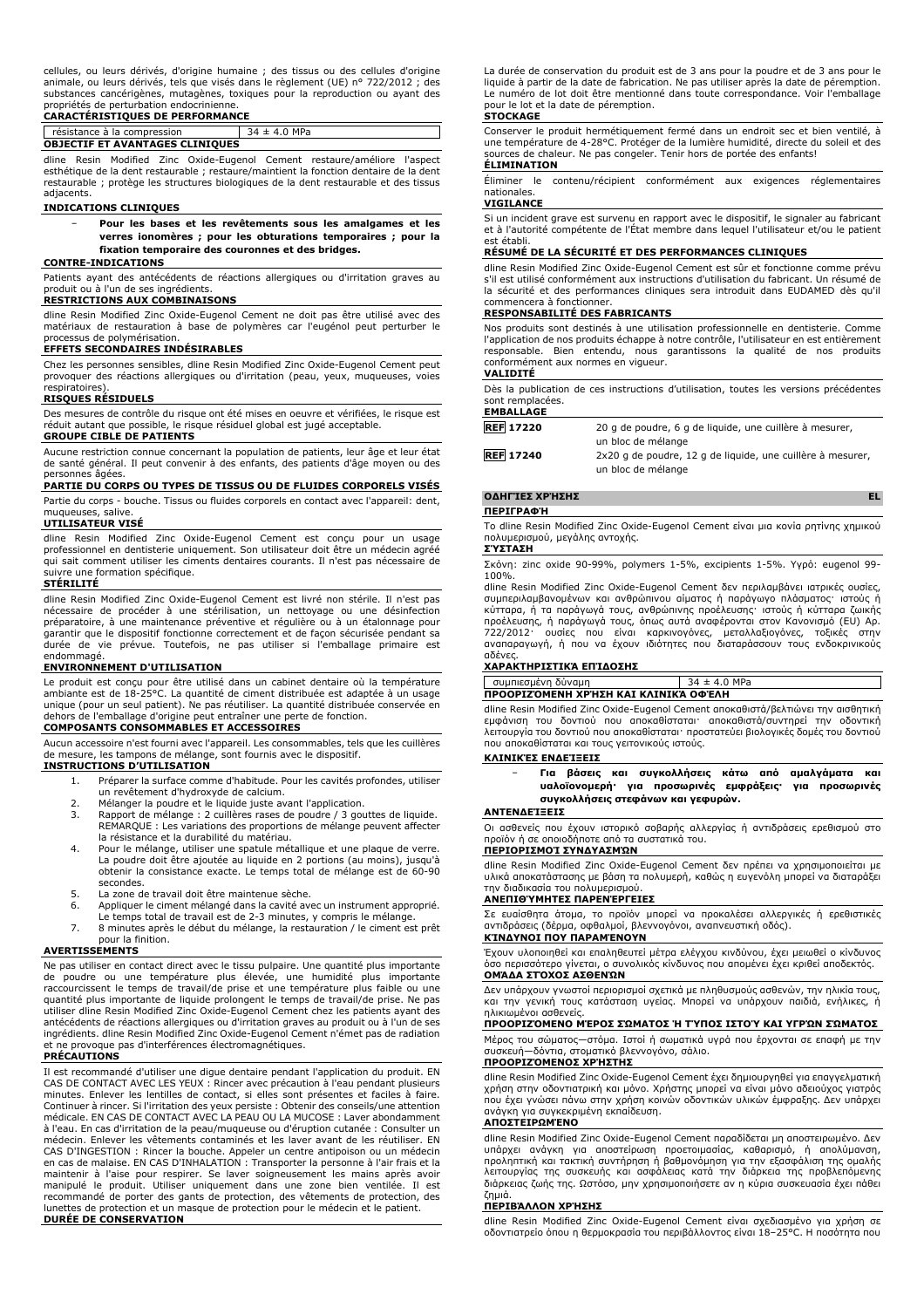# **CARACTÉRISTIQUES DE PERFORMANCE**

#### résistance à la compression  $\boxed{34 \pm 4.0 \text{ MPa}}$ **OBJECTIF ET AVANTAGES CLINIQUES**

dline Resin Modified Zinc Oxide-Eugenol Cement restaure/améliore l'aspect esthétique de la dent restaurable ; restaure/maintient la fonction dentaire de la dent restaurable ; protège les structures biologiques de la dent restaurable et des tissus adjacents.

### **INDICATIONS CLINIQUES**

− **Pour les bases et les revêtements sous les amalgames et les verres ionomères ; pour les obturations temporaires ; pour la fixation temporaire des couronnes et des bridges.**

### **CONTRE-INDICATIONS**

Patients ayant des antécédents de réactions allergiques ou d'irritation graves au produit ou à l'un de ses ingrédients.

# **RESTRICTIONS AUX COMBINAISONS**

dline Resin Modified Zinc Oxide-Eugenol Cement ne doit pas être utilisé avec des matériaux de restauration à base de polymères car l'eugénol peut perturber le processus de polymérisation.

# **EFFETS SECONDAIRES INDÉSIRABLES**

Chez les personnes sensibles, dline Resin Modified Zinc Oxide-Eugenol Cement peut provoquer des réactions allergiques ou d'irritation (peau, yeux, muqueuses, voies respiratoires).

# **RISQUES RÉSIDUELS**

Des mesures de contrôle du risque ont été mises en oeuvre et vérifiées, le risque est réduit autant que possible, le risque résiduel global est jugé acceptable.

# **GROUPE CIBLE DE PATIENTS**

Aucune restriction connue concernant la population de patients, leur âge et leur état de santé général. Il peut convenir à des enfants, des patients d'âge moyen ou des personnes âgées.

# **PARTIE DU CORPS OU TYPES DE TISSUS OU DE FLUIDES CORPORELS VISÉS** Partie du corps - bouche. Tissus ou fluides corporels en contact avec l'appareil: dent,

muqueuses, salive. **UTILISATEUR VISÉ**

dline Resin Modified Zinc Oxide-Eugenol Cement est conçu pour un usage professionnel en dentisterie uniquement. Son utilisateur doit être un médecin agréé qui sait comment utiliser les ciments dentaires courants. Il n'est pas nécessaire de suivre une formation spécifique.

#### **STÉRILITÉ**

dline Resin Modified Zinc Oxide-Eugenol Cement est livré non stérile. Il n'est pas nécessaire de procéder à une stérilisation, un nettoyage ou une désinfection préparatoire, à une maintenance préventive et régulière ou à un étalonnage pour garantir que le dispositif fonctionne correctement et de façon sécurisée pendant sa durée de vie prévue. Toutefois, ne pas utiliser si l'emballage primaire est endommagé.

#### **ENVIRONNEMENT D'UTILISATION**

Le produit est conçu pour être utilisé dans un cabinet dentaire où la température ambiante est de 18-25°C. La quantité de ciment distribuée est adaptée à un usage unique (pour un seul patient). Ne pas réutiliser. La quantité distribuée conservée en dehors de l'emballage d'origine peut entraîner une perte de fonction.

### **COMPOSANTS CONSOMMABLES ET ACCESSOIRES**

Aucun accessoire n'est fourni avec l'appareil. Les consommables, tels que les cuillères de mesure, les tampons de mélange, sont fournis avec le dispositif.

#### **INSTRUCTIONS D'UTILISATION**

- 1. Préparer la surface comme d'habitude. Pour les cavités profondes, utiliser un revêtement d'hydroxyde de calcium.
- 2. Mélanger la poudre et le liquide juste avant l'application.<br>3. Rapport de mélange : 2 cuillères rases de poudre / 3 gou
- 3. Rapport de mélange : 2 cuillères rases de poudre / 3 gouttes de liquide. REMARQUE : Les variations des proportions de mélange peuvent affecter la résistance et la durabilité du matériau.
- 4. Pour le mélange, utiliser une spatule métallique et une plaque de verre. La poudre doit être ajoutée au liquide en 2 portions (au moins), jusqu'à obtenir la consistance exacte. Le temps total de mélange est de 60-90 secondes.
- 5. La zone de travail doit être maintenue sèche.<br>6. Appliquer le ciment mélangé dans la cavité av
- 6. Appliquer le ciment mélangé dans la cavité avec un instrument approprié. Le temps total de travail est de 2-3 minutes, y compris le mélange.
- 7. 8 minutes après le début du mélange, la restauration / le ciment est prêt pour la finition.

## **AVERTISSEMENTS**

Ne pas utiliser en contact direct avec le tissu pulpaire. Une quantité plus importante de poudre ou une température plus élevée, une humidité plus importante raccourcissent le temps de travail/de prise et une température plus faible ou une quantité plus importante de liquide prolongent le temps de travail/de prise. Ne pas utiliser dline Resin Modified Zinc Oxide-Eugenol Cement chez les patients ayant des antécédents de réactions allergiques ou d'irritation graves au produit ou à l'un de ses ingrédients. dline Resin Modified Zinc Oxide-Eugenol Cement n'émet pas de radiation provoque pas d'interférences électromagnétiques.

#### **PRÉCAUTIONS**

Il est recommandé d'utiliser une digue dentaire pendant l'application du produit. EN CAS DE CONTACT AVEC LES YEUX : Rincer avec précaution à l'eau pendant plusieurs minutes. Enlever les lentilles de contact, si elles sont présentes et faciles à faire. Continuer à rincer. Si l'irritation des yeux persiste : Obtenir des conseils/une attention médicale. EN CAS DE CONTACT AVEC LA PEAU OU LA MUCOSE : Laver abondamment à l'eau. En cas d'irritation de la peau/muqueuse ou d'éruption cutanée : Consulter un médecin. Enlever les vêtements contaminés et les laver avant de les réutiliser. EN CAS D'INGESTION : Rincer la bouche. Appeler un centre antipoison ou un médecin en cas de malaise. EN CAS D'INHALATION : Transporter la personne à l'air frais et la maintenir à l'aise pour respirer. Se laver soigneusement les mains après avoir<br>manipulé le produit. Utiliser uniquement dans une zone bien ventilée. Il est<br>recommandé de porter des gants de protection, des vêtements de pro lunettes de protection et un masque de protection pour le médecin et le patient. **DURÉE DE CONSERVATION**

La durée de conservation du produit est de 3 ans pour la poudre et de 3 ans pour le liquide à partir de la date de fabrication. Ne pas utiliser après la date de péremption. Le numéro de lot doit être mentionné dans toute correspondance. Voir l'emballage pour le lot et la date de péremption.

#### **STOCKAGE**

Conserver le produit hermétiquement fermé dans un endroit sec et bien ventilé, à une température de 4-28°C. Protéger de la lumière humidité, directe du soleil et des sources de chaleur. Ne pas congeler. Tenir hors de portée des enfants! **ÉLIMINATION**

Éliminer le contenu/récipient conformément aux exigences réglementaires nationales.

# **VIGILANCE**

Si un incident grave est survenu en rapport avec le dispositif, le signaler au fabricant et à l'autorité compétente de l'État membre dans lequel l'utilisateur et/ou le patient est établi.

#### **RÉSUMÉ DE LA SÉCURITÉ ET DES PERFORMANCES CLINIQUES**

dline Resin Modified Zinc Oxide-Eugenol Cement est sûr et fonctionne comme prévu s'il est utilisé conformément aux instructions d'utilisation du fabricant. Un résumé de la sécurité et des performances cliniques sera introduit dans EUDAMED dès qu'il commencera à fonctionner.

### **RESPONSABILITÉ DES FABRICANTS**

Nos produits sont destinés à une utilisation professionnelle en dentisterie. Comme l'application de nos produits échappe à notre contrôle, l'utilisateur en est entièrement responsable. Bien entendu, nous garantissons la qualité de nos produits conformément aux normes en vigueur.

#### **VALIDITÉ**

Dès la publication de ces instructions d'utilisation, toutes les versions précédentes sont remplacées.

### **EMBALLAGE**

| 20 g de poudre, 6 g de liquide, une cuillère à mesurer,<br><b>REF 17220</b> |
|-----------------------------------------------------------------------------|
|-----------------------------------------------------------------------------|

un bloc de mélange **REF 17240** 2x20 g de poudre, 12 g de liquide, une cuillère à mesurer,

un bloc de mélange

# **ΟΔΗΓΊΕΣ ΧΡΉΣΗΣ EL**

**ΠΕΡΙΓΡΑΦΉ**

Το dline Resin Modified Zinc Oxide-Eugenol Cement είναι μια κονία ρητίνης χημικού πολυμερισμού, μεγάλης αντοχής.

#### **ΣΎΣΤΑΣΗ**

Σκόνη: zinc oxide 90-99%, polymers 1-5%, excipients 1-5%. Υγρό: eugenol 99- 100%. dline Resin Modified Zinc Oxide-Eugenol Cement δεν περιλαμβάνει ιατρικές ουσίες,

συμπεριλαμβανομένων και ανθρώπινου αίματος ή παράγωγο πλάσματος· ιστούς ή<br>κύτταρα, ή τα παράγωγά τους, ανθρώπινης προέλευσης· ιστούς ή κύτταρα ζωικής<br>προέλευσης, ή παράγωγά τους, όπως αυτά αναφέρονται στον Κανονισμό (EU) αναπαραγωγή, ή που να έχουν ιδιότητες που διαταράσσουν τους ενδοκρινικούς αδένες.

#### **ΧΑΡΑΚΤΗΡΙΣΤΙΚΆ ΕΠΊΔΟΣΗΣ**

συμπιεσμένη δύναμη 34 ± 4.0 MPa **ΠΡΟΟΡΙΖΌΜΕΝΗ ΧΡΉΣΗ ΚΑΙ ΚΛΙΝΙΚΆ ΟΦΈΛΗ**

dline Resin Modified Zinc Oxide-Eugenol Cement αποκαθιστά/βελτιώνει την αισθητική εμφάνιση του δοντιού που αποκαθίσταται· αποκαθιστά/συντηρεί την οδοντική λειτουργία του δοντιού που αποκαθίσταται· προστατεύει βιολογικές δομές του δοντιού που αποκαθίσταται και τους γειτονικούς ιστούς.

## **ΚΛΙΝΙΚΈΣ ΕΝΔΕΊΞΕΙΣ**

− **Για βάσεις και συγκολλήσεις κάτω από αμαλγάματα και υαλοϊονομερή· για προσωρινές εμφράξεις· για προσωρινές συγκολλήσεις στεφάνων και γεφυρών.**

#### **ΑΝΤΕΝΔΕΊΞΕΙΣ**

Οι ασθενείς που έχουν ιστορικό σοβαρής αλλεργίας ή αντιδράσεις ερεθισμού στο προϊόν ή σε οποιοδήποτε από τα συστατικά του. **ΠΕΡΙΟΡΙΣΜΟΊ ΣΥΝΔΥΑΣΜΏΝ**

dline Resin Modified Zinc Oxide-Eugenol Cement δεν πρέπει να χρησιμοποιείται με υλικά αποκατάστασης με βάση τα πολυμερή, καθώς η ευγενόλη μπορεί να διαταράξει την διαδικασία του πολυμερισμού.

#### **ΑΝΕΠΙΘΎΜΗΤΕΣ ΠΑΡΕΝΈΡΓΕΙΕΣ**

Σε ευαίσθητα άτομα, το προϊόν μπορεί να προκαλέσει αλλεργικές ή ερεθιστικές αντιδράσεις (δέρμα, οφθαλμοί, βλεννογόνοι, αναπνευστική οδός). **ΚΊΝΔΥΝΟΙ ΠΟΥ ΠΑΡΑΜΈΝΟΥΝ**

Έχουν υλοποιηθεί και επαληθευτεί μέτρα ελέγχου κινδύνου, έχει μειωθεί ο κίνδυνος όσο περισσότερο γίνεται, ο συνολικός κίνδυνος που απομένει έχει κριθεί αποδεκτός. **ΟΜΆΔΑ ΣΤΌΧΟΣ ΑΣΘΕΝΏΝ**

Δεν υπάρχουν γνωστοί περιορισμοί σχετικά με πληθυσμούς ασθενών, την ηλικία τους, και την γενική τους κατάσταση υγείας. Μπορεί να υπάρχουν παιδιά, ενήλικες, ή ηλικιωμένοι ασθενείς.

# **ΠΡΟΟΡΙΖΌΜΕΝΟ ΜΈΡΟΣ ΣΏΜΑΤΟΣ Ή ΤΎΠΟΣ ΙΣΤΟΎ ΚΑΙ ΥΓΡΏΝ ΣΏΜΑΤΟΣ**

Μέρος του σώματος—στόμα. Ιστοί ή σωματικά υγρά που έρχονται σε επαφή με την συσκευή—δόντια, στοματικό βλεννογόνο, σάλιο.

# **ΠΡΟΟΡΙΖΌΜΕΝΟΣ ΧΡΉΣΤΗΣ**

dline Resin Modified Zinc Oxide-Eugenol Cement έχει δημιουργηθεί για επαγγελματική χρήση στην οδοντιατρική και μόνο. Χρήστης μπορεί να είναι μόνο αδειούχος γιατρός που έχει γνώσει πάνω στην χρήση κοινών οδοντικών υλικών έμφραξης. Δεν υπάρχει ανάγκη για συγκεκριμένη εκπαίδευση.

#### **ΑΠΟΣΤΕΙΡΩΜΈΝΟ**

dline Resin Modified Zinc Oxide-Eugenol Cement παραδίδεται μη αποστειρωμένο. Δεν υπάρχει ανάγκη για αποστείρωση προετοιμασίας, καθαρισμό, ή απολύμανση,<br>προληπτική και τακτική συντήρηση ή βαθμονόμηση για την εξασφάλιση της ομαλής<br>λειτουργίας της συσκευής και ασφάλειας κατά την διάρκεια της προβλεπόμενη διάρκειας ζωής της. Ωστόσο, μην χρησιμοποιήσετε αν η κύρια συσκευασία έχει πάθει ζημιά.

#### **ΠΕΡΙΒΆΛΛΟΝ ΧΡΉΣΗΣ**

dline Resin Modified Zinc Oxide-Eugenol Cement είναι σχεδιασμένο για χρήση σε οδοντιατρείο όπου η θερμοκρασία του περιβάλλοντος είναι 18–25°C. Η ποσότητα που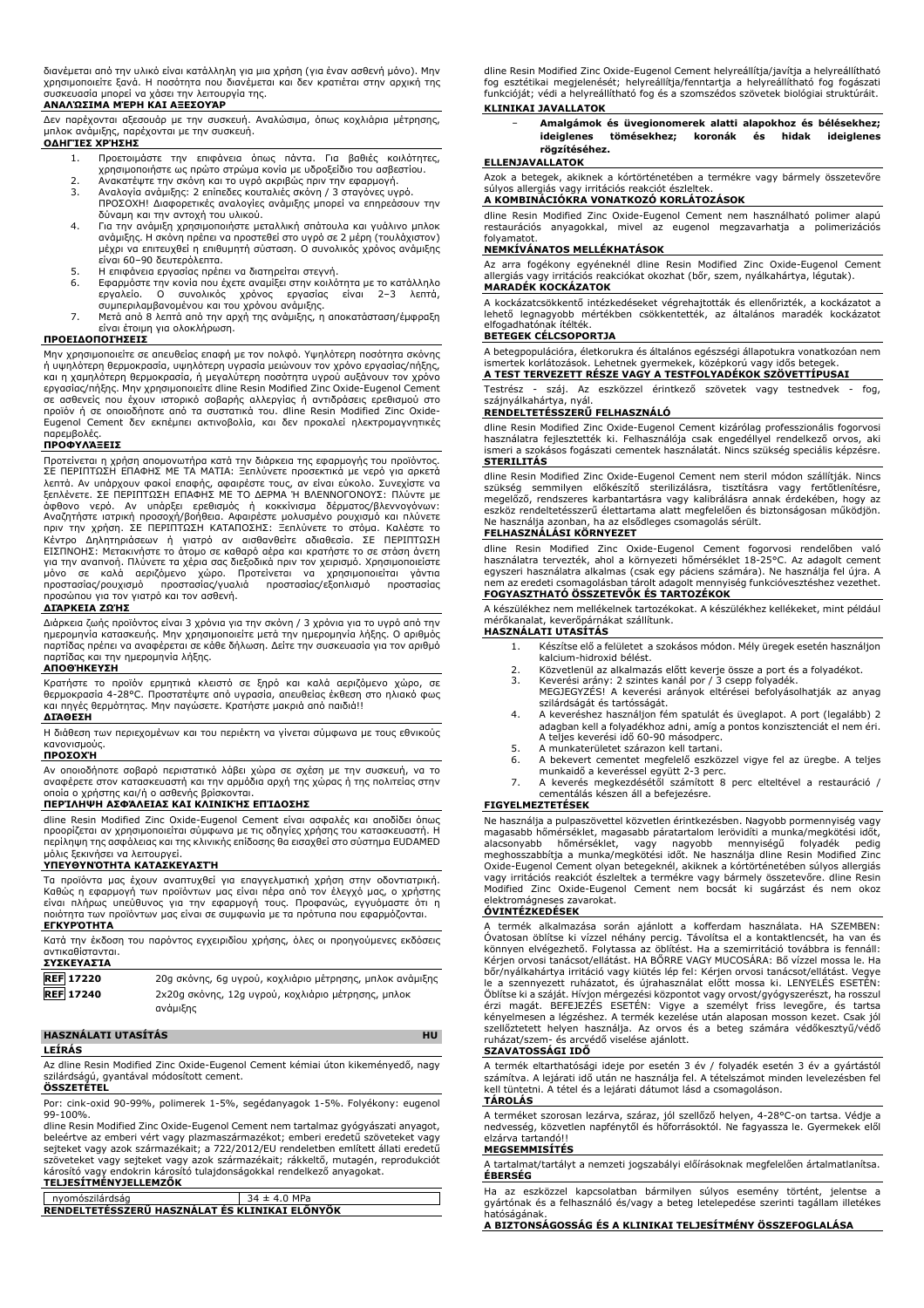διανέμεται από την υλικό είναι κατάλληλη για μια χρήση (για έναν ασθενή μόνο). Μην χρησιμοποιείτε ξανά. Η ποσότητα που διανέμεται και δεν κρατιέται στην αρχική της συσκευασία μπορεί να χάσει την λειτουργία της.

#### **ΑΝΑΛΏΣΙΜΑ ΜΈΡΗ ΚΑΙ ΑΞΕΣΟΥΆΡ**

Δεν παρέχονται αξεσουάρ με την συσκευή. Αναλώσιμα, όπως κοχλιάρια μέτρησης, μπλοκ ανάμιξης, παρέχονται με την συσκευή.

# **ΟΔΗΓΊΕΣ ΧΡΉΣΗΣ**

- 1. Προετοιμάστε την επιφάνεια όπως πάντα. Για βαθιές κοιλότητες,<br>- χρησιμοποιήστε ως πρώτο στρώμα κονία με υδροξείδιο του ασβεστίου.<br>2. Ανακατέψτε την σκόνη και το υγρό ακριβώς πριν την εφαρμογή.
- 3. Αναλογία ανάμιξης: 2 επίπεδες κουταλιές σκόνη / 3 σταγόνες υγρό.
- ΠΡΟΣΟΧΗ! Διαφορετικές αναλογίες ανάμιξης μπορεί να επηρεάσουν την δύναμη και την αντοχή του υλικού.
- 4. Για την ανάμιξη χρησιμοποιήστε μεταλλική σπάτουλα και γυάλινο μπλοκ ανάμιξης. Η σκόνη πρέπει να προστεθεί στο υγρό σε 2 μέρη (τουλάχιστον) μέχρι να επιτευχθεί η επιθυμητή σύσταση. Ο συνολικός χρόνος ανάμιξης είναι 60–90 δευτερόλεπτα.
- 5. Η επιφάνεια εργασίας πρέπει να διατηρείται στεγνή.
- 6. Εφαρμόστε την κονία που έχετε αναμίξει στην κοιλότητα με το κατάλληλο εργαλείο. Ο συνολικός χρόνος εργασίας είναι 2–3 λεπτά, συμπεριλαμβανομένου και του χρόνου ανάμιξης.
- 7. Μετά από 8 λεπτά από την αρχή της ανάμιξης, η αποκατάσταση/έμφραξη είναι έτοιμη για ολοκλήρωση.

#### **ΠΡΟΕΙΔΟΠΟΙΉΣΕΙΣ**

Μην χρησιμοποιείτε σε απευθείας επαφή με τον πολφό. Υψηλότερη ποσότητα σκόνης ή υψηλότερη θερμοκρασία, υψηλότερη υγρασία μειώνουν τον χρόνο εργασίας/πήξης, και η χαμηλότερη θερμοκρασία, ή μεγαλύτερη ποσότητα υγρού αυξάνουν τον χρόνο εργασίας/πήξης. Μην χρησιμοποιείτε dline Resin Modified Zinc Oxide-Eugenol Cement σε ασθενείς που έχουν ιστορικό σοβαρής αλλεργίας ή αντιδράσεις ερεθισμού στο<br>προϊόν ή σε οποιοδήποτε από τα συστατικά του. dline Resin Modified Zinc Oxide-<br>Eugenol Cement δεν εκπέμπει ακτινοβολία, και δεν προκαλεί ηλεκτρο παρεμβολές.

#### **ΠΡΟΦΥΛΆΞΕΙΣ**

Προτείνεται η χρήση απομονωτήρα κατά την διάρκεια της εφαρμογής του προϊόντος. ΣΕ ΠΕΡΙΠΤΩΣΗ ΕΠΑΦΗΣ ΜΕ ΤΑ ΜΑΤΙΑ: Ξεπλύνετε προσεκτικά με νερό για αρκετά λεπτά. Αν υπάρχουν φακοί επαφής, αφαιρέστε τους, αν είναι εύκολο. Συνεχίστε να<br>ξεπλένετε. ΣΕ ΠΕΡΙΠΤΩΣΗ ΕΠΑΦΗΣ ΜΕ ΤΟ ΔΕΡΜΑ Ή ΒΛΕΝΝΟΓΟΝΟΥΣ: Πλύντε με<br>άφθονο νερό. Αν υπάρξει ερεθισμός ή κοκκίνισμα δέρματος/βλεννογόνω για την αναπνοή. Πλύνετε τα χέρια σας διεξοδικά πριν τον χειρισμό. Χρησιμοποιείστε μόνο σε καλά αεριζόμενο χώρο. Προτείνεται να χρησιμοποιείται γάντια προστασίας/ρουχισμό προστασίας/γυαλιά προστασίας/εξοπλισμό προστασίας προσώπου για τον γιατρό και τον ασθενή.

#### **ΔΙΆΡΚΕΙΑ ΖΩΉΣ**

Διάρκεια ζωής προϊόντος είναι 3 χρόνια για την σκόνη / 3 χρόνια για το υγρό από την ημερομηνία κατασκευής. Μην χρησιμοποιείτε μετά την ημερομηνία λήξης. Ο αριθμός παρτίδας πρέπει να αναφέρεται σε κάθε δήλωση. Δείτε την συσκευασία για τον αριθμό παρτίδας και την ημερομηνία λήξης.

#### **ΑΠΟΘΉΚΕΥΣΗ**

Κρατήστε το προϊόν ερμητικά κλειστό σε ξηρό και καλά αεριζόμενο χώρο, σε<br>θερμοκρασία 4-28°C. Προστατέψτε από υγρασία, απευθείας έκθεση στο ηλιακό φως<br>και πηγές θερμότητας. Μην παγώσετε. Κρατήστε μακριά από παιδιά!! **ΔΙΆΘΕΣΗ**

Η διάθεση των περιεχομένων και του περιέκτη να γίνεται σύμφωνα με τους εθνικούς κανονισμούς. **ΠΡΟΣΟΧΉ**

Αν οποιοδήποτε σοβαρό περιστατικό λάβει χώρα σε σχέση με την συσκευή, να το αναφέρετε στον κατασκευαστή και την αρμόδια αρχή της χώρας ή της πολιτείας στην οποία ο χρήστης και/ή ο ασθενής βρίσκονται.

# **ΠΕΡΊΛΗΨΗ ΑΣΦΆΛΕΙΑΣ ΚΑΙ ΚΛΙΝΙΚΉΣ ΕΠΊΔΟΣΗΣ**

dline Resin Modified Zinc Oxide-Eugenol Cement είναι ασφαλές και αποδίδει όπως προορίζεται αν χρησιμοποιείται σύμφωνα με τις οδηγίες χρήσης του κατασκευαστή. Η περίληψη της ασφάλειας και της κλινικής επίδοσης θα εισαχθεί στο σύστημα EUDAMED μόλις ξεκινήσει να λειτουργεί.

#### **ΥΠΕΥΘΥΝΌΤΗΤΑ ΚΑΤΑΣΚΕΥΑΣΤΉ**

Τα προϊόντα μας έχουν αναπτυχθεί για επαγγελματική χρήση στην οδοντιατρική. Καθώς η εφαρμογή των προϊόντων μας είναι πέρα από τον έλεγχό μας, ο χρήστης είναι πλήρως υπεύθυνος για την εφαρμογή τους. Προφανώς, εγγυόμαστε ότι η ποιότητα των προϊόντων μας είναι σε συμφωνία με τα πρότυπα που εφαρμόζονται. **ΕΓΚΥΡΌΤΗΤΑ**

Κατά την έκδοση του παρόντος εγχειριδίου χρήσης, όλες οι προηγούμενες εκδόσεις αντικαθίστανται. **ΣΥΣΚΕΥΑΣΊΑ**

| ----------       |                                                                |
|------------------|----------------------------------------------------------------|
| <b>REF</b> 17220 | 20g σκόνης, 6g υγρού, κοχλιάριο μέτρησης, μπλοκ ανάμιξης       |
| <b>REF 17240</b> | 2x20g σκόνης, 12g υγρού, κοχλιάριο μετρησης, μπλοκ<br>ανάμιξης |
|                  |                                                                |

#### **HASZNÁLATI UTASÍTÁS HU LEÍRÁS**

Az dline Resin Modified Zinc Oxide-Eugenol Cement kémiai úton kikeményedő, nagy szilárdságú, gyantával módosított cement.

**ÖSSZETÉTEL** Por: cink-oxid 90-99%, polimerek 1-5%, segédanyagok 1-5%. Folyékony: eugenol 99-100%.

dline Resin Modified Zinc Oxide-Eugenol Cement nem tartalmaz gyógyászati anyagot,<br>beleértve az emberi vért vagy plazmaszármazékot; emberi eredetű szöveteket vagy<br>sejteket vagy azok származékait; a 722/2012/EU rendeletben e szöveteket vagy sejteket vagy azok származékait; rákkeltő, mutagén, reprodukciót károsító vagy endokrin károsító tulajdonságokkal rendelkező anyagokat. **TELJESÍTMÉNYJELLEMZŐK**

| nvomószilárdság                                | $34 \pm 4.0$ MPa |
|------------------------------------------------|------------------|
| RENDELTETESSZERU HASZNÁLAT ÉS KLINIKAI ELÖNYÖK |                  |

dline Resin Modified Zinc Oxide-Eugenol Cement helyreállítja/javítja a helyreállítható fog esztétikai megjelenését; helyreállítja/fenntartja a helyreállítható fog fogászati funkcióját; védi a helyreállítható fog és a szomszédos szövetek biológiai struktúráit. **KLINIKAI JAVALLATOK**

− **Amalgámok és üvegionomerek alatti alapokhoz és bélésekhez; ideiglenes tömésekhez; koronák és hidak ideiglenes rögzítéséhez.**

# **ELLENJAVALLATOK**

Azok a betegek, akiknek a kórtörténetében a termékre vagy bármely összetevőre súlyos allergiás vagy irritációs reakciót észleltek. **A KOMBINÁCIÓKRA VONATKOZÓ KORLÁTOZÁSOK**

dline Resin Modified Zinc Oxide-Eugenol Cement nem használható polimer alapú restaurációs anyagokkal, mivel az eugenol megzavarhatja a polimerizációs folyamatot.

### **NEMKÍVÁNATOS MELLÉKHATÁSOK**

Az arra fogékony egyéneknél dline Resin Modified Zinc Oxide-Eugenol Cement allergiás vagy irritációs reakciókat okozhat (bőr, szem, nyálkahártya, légutak). **MARADÉK KOCKÁZATOK**

A kockázatcsökkentő intézkedéseket végrehajtották és ellenőrizték, a kockázatot a lehető legnagyobb mértékben csökkentették, az általános maradék kockázatot elfogadhatónak ítélték.

#### **BETEGEK CÉLCSOPORTJA**

A betegpopulációra, életkorukra és általános egészségi állapotukra vonatkozóan nem ismertek korlátozások. Lehetnek gyermekek, középkorú vagy idős betegek. **A TEST TERVEZETT RÉSZE VAGY A TESTFOLYADÉKOK SZÖVETTÍPUSAI**

Testrész - száj. Az eszközzel érintkező szövetek vagy testnedvek - fog, szájnyálkahártya, nyál.

# **RENDELTETÉSSZERŰ FELHASZNÁLÓ**

dline Resin Modified Zinc Oxide-Eugenol Cement kizárólag professzionális fogorvosi használatra fejlesztették ki. Felhasználója csak engedéllyel rendelkező orvos, aki ismeri a szokásos fogászati cementek használatát. Nincs szükség speciális képzésre. **STERILITÁS**

dline Resin Modified Zinc Oxide-Eugenol Cement nem steril módon szállítják. Nincs<br>szükség semmilyen előkészítő sterilizálásra, tiszításra vagy fertőtlenítésre,<br>megelőző, rendszeres karbantartásra vagy kalibrálás Ne használja azonban, ha az elsődleges csomagolás sérült.

# **FELHASZNÁLÁSI KÖRNYEZET**

dline Resin Modified Zinc Oxide-Eugenol Cement fogorvosi rendelőben való használatra tervezték, ahol a környezeti hőmérséklet 18-25°C. Az adagolt cement egyszeri használatra alkalmas (csak egy páciens számára). Ne használja fel újra. A nem az eredeti csomagolásban tárolt adagolt mennyiség funkcióvesztéshez vezethet. **FOGYASZTHATÓ ÖSSZETEVŐK ÉS TARTOZÉKOK**

A készülékhez nem mellékelnek tartozékokat. A készülékhez kellékeket, mint például mérőkanalat, keverőpárnákat szállítunk. **HASZNÁLATI UTASÍTÁS**

- 1. Készítse elő a felületet a szokásos módon. Mély üregek esetén használjon
- kalcium-hidroxid bélést.
- 
- 2. Közvetlenül az alkalmazás előtt keverje össze a port és a folyadékot. 3. Keverési arány: 2 szintes kanál por / 3 csepp folyadék. MEGJEGYZÉS! A keverési arányok eltérései befolyásolhatják az anyag szilárdságát és tartósságát.
- 4. A keveréshez használjon fém spatulát és üveglapot. A port (legalább) 2 adagban kell a folyadékhoz adni, amíg a pontos konzisztenciát el nem éri. A teljes keverési idő 60-90 másodperc.
- 5. A munkaterületet szárazon kell tartani.
- 6. A bekevert cementet megfelelő eszközzel vigye fel az üregbe. A teljes munkaidő a keveréssel együtt 2-3 perc. 7. A keverés megkezdésétől számított 8 perc elteltével a restauráció /
- cementálás készen áll a befejezésre.

# **FIGYELMEZTETÉSEK**

Ne használja a pulpaszövettel közvetlen érintkezésben. Nagyobb pormennyiség vagy<br>magasabb hőmérséklet, magasabb páratartalom lerövidíti a munka/megkötési időt,<br>alacsonyabb hőmérséklet, vagy nagyobb mennyiségű fol Oxide-Eugenol Cement olyan betegeknél, akiknek a kórtörténetében súlyos allergiás vagy irritációs reakciót észleltek a termékre vagy bármely összetevőre. dline Resin Modified Zinc Oxide-Eugenol Cement nem bocsát ki sugárzást és nem okoz elektromágneses zavarokat.

#### **ÓVINTÉZKEDÉSEK**

A termék alkalmazása során ajánlott a kofferdam használata. HA SZEMBEN: Óvatosan öblítse ki vízzel néhány percig. Távolítsa el a kontaktlencsét, ha van és könnyen elvégezhető. Folytassa az öblítést. Ha a szemirritáció továbbra is fennáll: Kérjen orvosi tanácsot/ellátást. HA BŐRRE VAGY MUCOSÁRA: Bő vízzel mossa le. Ha bőr/nyálkahártya irritáció vagy kiütés lép fel: Kérjen orvosi tanácsot/ellátást. Vegye le a szennyezett ruházatot, és újrahasználat előtt mossa ki. LENYELÉS ESETÉN: Öblítse ki a száját. Hívjon mérgezési központot vagy orvost/gyógyszerészt, ha rosszul érzi magát. BEFEJEZÉS ESETÉN: Vigye a személyt friss levegőre, és tartsa kényelmesen a légzéshez. A termék kezelése után alaposan mosson kezet. Csak jól szellőztetett helyen használja. Az orvos és a beteg számára védőkesztyű/védő ruházat/szem- és arcyédő viselése ajánlott.

# **SZAVATOSSÁGI IDŐ**

A termék eltarthatósági ideje por esetén 3 év / folyadék esetén 3 év a gyártástól számítva. A lejárati idő után ne használja fel. A tételszámot minden levelezésben fel kell tüntetni. A tétel és a lejárati dátumot lásd a csomagoláson. **TÁROLÁS**

A terméket szorosan lezárva, száraz, jól szellőző helyen, 4-28°C-on tartsa. Védje a nedvesség, közvetlen napfénytől és hőforrásoktól. Ne fagyassza le. Gyermekek elől elzárva tartandó!!

# **MEGSEMMISÍTÉS**

A tartalmat/tartályt a nemzeti jogszabályi előírásoknak megfelelően ártalmatlanítsa. **ÉBERSÉG**

Ha az eszközzel kapcsolatban bármilyen súlyos esemény történt, jelentse a gyártónak és a felhasználó és/vagy a beteg letelepedése szerinti tagállam illetékes hatóságának.

**A BIZTONSÁGOSSÁG ÉS A KLINIKAI TELJESÍTMÉNY ÖSSZEFOGLALÁSA**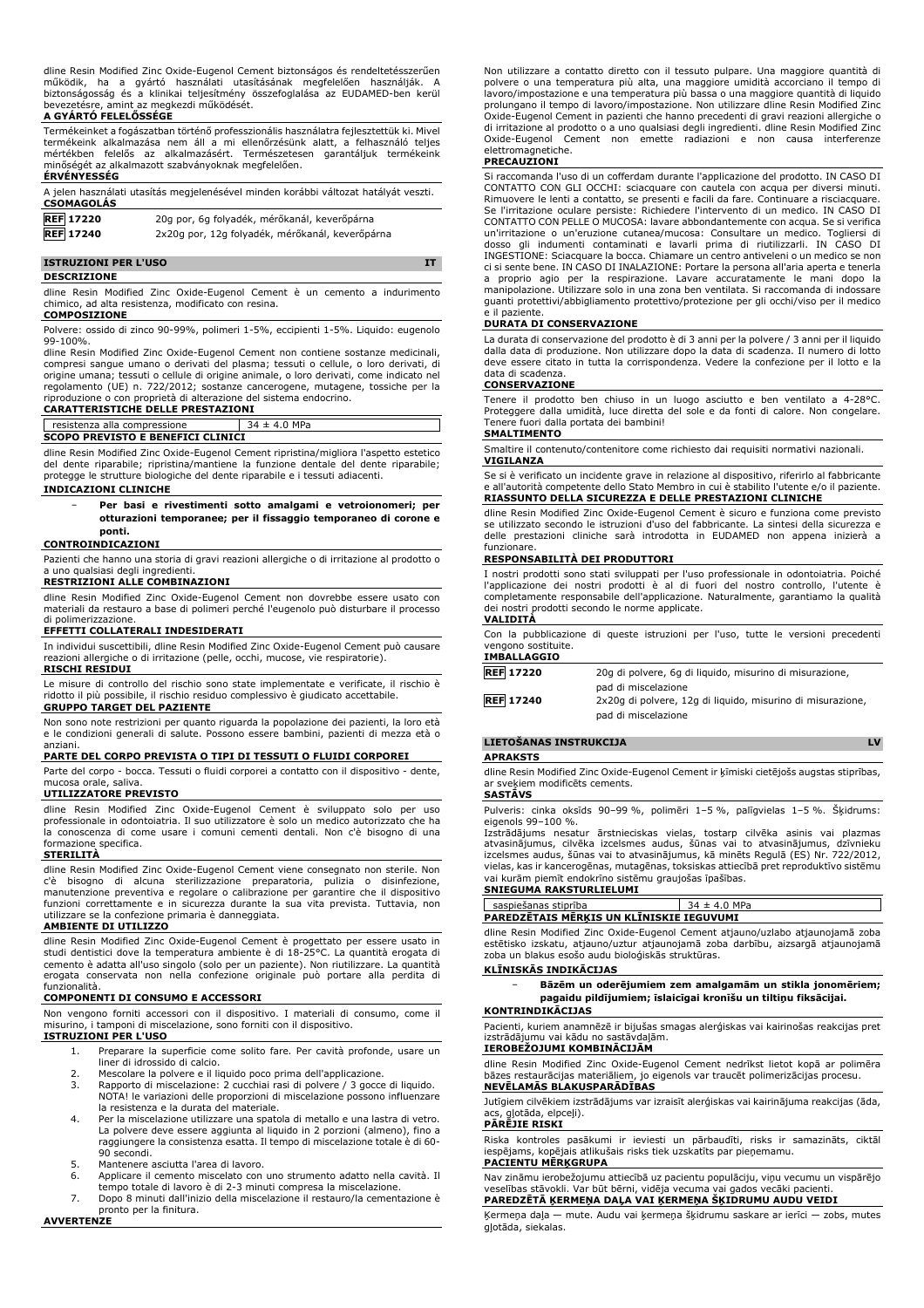dline Resin Modified Zinc Oxide-Eugenol Cement biztonságos és rendeltetésszerűen működik, ha a gyártó használati utasításának megfelelően használják. A biztonságosság és a klinikai teljesítmény összefoglalása az EUDAMED-ben kerül bevezetésre, amint az megkezdi működését.

#### **A GYÁRTÓ FELELŐSSÉGE**

Termékeinket a fogászatban történő professzionális használatra fejlesztettük ki. Mivel termékeink alkalmazása nem áll a mi ellenőrzésünk alatt, a felhasználó teljes mértékben felelős az alkalmazásért. Természetesen garantáljuk termékeink minőségét az alkalmazott szabványoknak megfelelően.

#### **ÉRVÉNYESSÉG**

| A jelen használati utasítás megjelenésével minden korábbi változat hatályát veszti.<br><b>CSOMAGOLÁS</b> |                                                 |
|----------------------------------------------------------------------------------------------------------|-------------------------------------------------|
| <b>REF</b> 17220                                                                                         | 20g por, 6g folyadék, mérőkanál, keverőpárna    |
| <b>REF</b> 17240                                                                                         | 2x20g por, 12g folyadék, mérőkanál, keverőpárna |

#### **ISTRUZIONI PER L'USO IT**

#### **DESCRIZIONE**

dline Resin Modified Zinc Oxide-Eugenol Cement è un cemento a indurimento chimico, ad alta resistenza, modificato con resina. **COMPOSIZIONE**

Polvere: ossido di zinco 90-99%, polimeri 1-5%, eccipienti 1-5%. Liquido: eugenolo 99-100%.

dline Resin Modified Zinc Oxide-Eugenol Cement non contiene sostanze medicinali, compresi sangue umano o derivati del plasma; tessuti o cellule, o loro derivati, di origine umana; tessuti o cellule di origine animale, o loro derivati, come indicato nel regolamento (UE) n. 722/2012; sostanze cancerogene, mutagene, tossiche per la riproduzione o con proprietà di alterazione del sistema endocrino.

#### **CARATTERISTICHE DELLE PRESTAZIONI** resistenza alla compressione  $34 \pm 4.0$  MPa

#### **SCOPO PREVISTO E BENEFICI CLINICI**

dline Resin Modified Zinc Oxide-Eugenol Cement ripristina/migliora l'aspetto estetico del dente riparabile; ripristina/mantiene la funzione dentale del dente riparabile; protegge le strutture biologiche del dente riparabile e i tessuti adiacenti.

#### **INDICAZIONI CLINICHE**

− **Per basi e rivestimenti sotto amalgami e vetroionomeri; per otturazioni temporanee; per il fissaggio temporaneo di corone e ponti.**

#### **CONTROINDICAZIONI**

Pazienti che hanno una storia di gravi reazioni allergiche o di irritazione al prodotto o a uno qualsiasi degli ingredienti.

# **RESTRIZIONI ALLE COMBINAZIONI**

dline Resin Modified Zinc Oxide-Eugenol Cement non dovrebbe essere usato con materiali da restauro a base di polimeri perché l'eugenolo può disturbare il processo di polimerizzazione.

### **EFFETTI COLLATERALI INDESIDERATI**

In individui suscettibili, dline Resin Modified Zinc Oxide-Eugenol Cement può causare reazioni allergiche o di irritazione (pelle, occhi, mucose, vie respiratorie). **RISCHI RESIDUI**

Le misure di controllo del rischio sono state implementate e verificate, il rischio è ridotto il più possibile, il rischio residuo complessivo è giudicato accettabile. **GRUPPO TARGET DEL PAZIENTE**

Non sono note restrizioni per quanto riguarda la popolazione dei pazienti, la loro età e le condizioni generali di salute. Possono essere bambini, pazienti di mezza età o anziani.

# **PARTE DEL CORPO PREVISTA O TIPI DI TESSUTI O FLUIDI CORPOREI**

Parte del corpo - bocca. Tessuti o fluidi corporei a contatto con il dispositivo - dente, mucosa orale, saliva.

## **UTILIZZATORE PREVISTO**

dline Resin Modified Zinc Oxide-Eugenol Cement è sviluppato solo per uso professionale in odontoiatria. Il suo utilizzatore è solo un medico autorizzato che ha la conoscenza di come usare i comuni cementi dentali. Non c'è bisogno di una formazione specifica.

#### **STERILITÀ**

dline Resin Modified Zinc Oxide-Eugenol Cement viene consegnato non sterile. Non<br>c'è bisogno di alcuna sterliizzazione preparatoria, pulizia o disinfezione,<br>manutenzione preventiva e regolare o calibrazione funzioni correttamente e in sicurezza durante la sua vita prevista. Tuttavia, non utilizzare se la confezione primaria è danneggiata.

### **AMBIENTE DI UTILIZZO**

dline Resin Modified Zinc Oxide-Eugenol Cement è progettato per essere usato in studi dentistici dove la temperatura ambiente è di 18-25°C. La quantità erogata di cemento è adatta all'uso singolo (solo per un paziente). Non riutilizzare. La quantità erogata conservata non nella confezione originale può portare alla perdita di funzionalità.

### **COMPONENTI DI CONSUMO E ACCESSORI**

Non vengono forniti accessori con il dispositivo. I materiali di consumo, come il misurino, i tamponi di miscelazione, sono forniti con il dispositivo.

# **ISTRUZIONI PER L'USO**

- 1. Preparare la superficie come solito fare. Per cavità profonde, usare un liner di idrossido di calcio.
- 2. Mescolare la polvere e il liquido poco prima dell'applicazione.<br>3. Rapporto di miscelazione: 2 cucchiai rasi di polvere / 3 gocce
- Rapporto di miscelazione: 2 cucchiai rasi di polvere / 3 gocce di liquido. NOTA! le variazioni delle proporzioni di miscelazione possono influenzare la resistenza e la durata del materiale.
- 4. Per la miscelazione utilizzare una spatola di metallo e una lastra di vetro. La polvere deve essere aggiunta al liquido in 2 porzioni (almeno), fino a raggiungere la consistenza esatta. Il tempo di miscelazione totale è di 60- 90 secondi.
- 5. Mantenere asciutta l'area di lavoro.
- 6. Applicare il cemento miscelato con uno strumento adatto nella cavità. Il tempo totale di lavoro è di 2-3 minuti compresa la miscelazione.
- 7. Dopo 8 minuti dall'inizio della miscelazione il restauro/la cementazione è pronto per la finitura.

**AVVERTENZE**

Non utilizzare a contatto diretto con il tessuto pulpare. Una maggiore quantità di polvere o una temperatura più alta, una maggiore umidità accorciano il tempo di lavoro/impostazione e una temperatura più bassa o una maggiore quantità di liquido prolungano il tempo di lavoro/impostazione. Non utilizzare dline Resin Modified Zinc Oxide-Eugenol Cement in pazienti che hanno precedenti di gravi reazioni allergiche o di irritazione al prodotto o a uno qualsiasi degli ingredienti. dline Resin Modified Zinc Oxide-Eugenol Cement non emette radiazioni e non causa interferenze elettromagnetiche.

#### **PRECAUZIONI**

Si raccomanda l'uso di un cofferdam durante l'applicazione del prodotto. IN CASO DI CONTATTO CON GLI OCCHI: sciacquare con cautela con acqua per diversi minuti. Rimuovere le lenti a contatto, se presenti e facili da fare. Continuare a risciacquare. Se l'irritazione oculare persiste: Richiedere l'intervento di un medico. IN CASO DI CONTATTO CON PELLE O MUCOSA: lavare abbondantemente con acqua. Se si verifica un'irritazione o un'eruzione cutanea/mucosa: Consultare un medico. Togliersi di dosso gli indumenti contaminati e lavarli prima di riutilizzarli. IN CASO DI INGESTIONE: Sciacquare la bocca. Chiamare un centro antiveleni o un medico se non ci si sente bene. IN CASO DI INALAZIONE: Portare la persona all'aria aperta e tenerla a proprio agio per la respirazione. Lavare accuratamente le mani dopo la manipolazione. Utilizzare solo in una zona ben ventilata. Si raccomanda di indossare guanti protettivi/abbigliamento protettivo/protezione per gli occhi/viso per il medico il paziente.

#### **DURATA DI CONSERVAZIONE**

La durata di conservazione del prodotto è di 3 anni per la polvere / 3 anni per il liquido dalla data di produzione. Non utilizzare dopo la data di scadenza. Il numero di lotto deve essere citato in tutta la corrispondenza. Vedere la confezione per il lotto e la data di scadenza.

# **CONSERVAZIONE**

Tenere il prodotto ben chiuso in un luogo asciutto e ben ventilato a 4-28°C. Proteggere dalla umidità, luce diretta del sole e da fonti di calore. Non congelare. Tenere fuori dalla portata dei bambini!

# **SMALTIMENTO**

Smaltire il contenuto/contenitore come richiesto dai requisiti normativi nazionali. **VIGILANZA**

Se si è verificato un incidente grave in relazione al dispositivo, riferirlo al fabbricante e all'autorità competente dello Stato Membro in cui è stabilito l'utente e/o il paziente. **RIASSUNTO DELLA SICUREZZA E DELLE PRESTAZIONI CLINICHE**

dline Resin Modified Zinc Oxide-Eugenol Cement è sicuro e funziona come previsto se utilizzato secondo le istruzioni d'uso del fabbricante. La sintesi della sicurezza e delle prestazioni cliniche sarà introdotta in EUDAMED non appena inizierà a funzionare.

#### **RESPONSABILITÀ DEI PRODUTTORI**

I nostri prodotti sono stati sviluppati per l'uso professionale in odontoiatria. Poiché l'applicazione dei nostri prodotti è al di fuori del nostro controllo, l'utente è completamente responsabile dell'applicazione. Naturalmente, garantiamo la qualità dei nostri prodotti secondo le norme applicate.

# **VALIDITÀ**

Con la pubblicazione di queste istruzioni per l'uso, tutte le versioni precedenti vengono sostituite.

# **IMBALLAGGIO**

| <b>REF 17220</b> | 20g di polvere, 6g di liguido, misurino di misurazione,    |
|------------------|------------------------------------------------------------|
|                  | pad di miscelazione                                        |
| <b>REF 17240</b> | 2x20q di polvere, 12q di liquido, misurino di misurazione, |
|                  | pad di miscelazione                                        |

# **LIETOŠANAS INSTRUKCIJA LV**

**APRAKSTS**

dline Resin Modified Zinc Oxide-Eugenol Cement ir ķīmiski cietējošs augstas stiprības, ar sveķiem modificēts cements.

#### **SASTĀVS**

Pulveris: cinka oksīds 90–99 %, polimēri 1–5 %, palīgvielas 1–5 %. Šķidrums: eigenols 99–100 %.

Izstrādājums nesatur ārstnieciskas vielas, tostarp cilvēka asinis vai plazmas atvasinājumus, cilvēka izcelsmes audus, šūnas vai to atvasinājumus, dzīvnieku izcelsmes audus, šūnas vai to atvasinājumus, kā minēts Regulā (ES) Nr. 722/2012, vielas, kas ir kancerogēnas, mutagēnas, toksiskas attiecībā pret reproduktīvo sistēmu vai kurām piemīt endokrīno sistēmu graujošas īpašības.

### **SNIEGUMA RAKSTURLIELUMI**

saspiešanas stiprība  $34 + 4.0$  MPa **PAREDZĒTAIS MĒRĶIS UN KLĪNISKIE IEGUVUMI**

dline Resin Modified Zinc Oxide-Eugenol Cement atjauno/uzlabo atjaunojamā zoba estētisko izskatu, atjauno/uztur atjaunojamā zoba darbību, aizsargā atjaunojamā zoba un blakus esošo audu bioloģiskās struktūras.

# **KLĪNISKĀS INDIKĀCIJAS**

− **Bāzēm un oderējumiem zem amalgamām un stikla jonomēriem; pagaidu pildījumiem; īslaicīgai kronīšu un tiltiņu fiksācijai.**

#### **KONTRINDIKĀCIJAS**

Pacienti, kuriem anamnēzē ir bijušas smagas alerģiskas vai kairinošas reakcijas pret izstrādājumu vai kādu no sastāvdaļām.

# **IEROBEŽOJUMI KOMBINĀCIJĀM**

dline Resin Modified Zinc Oxide-Eugenol Cement nedrīkst lietot kopā ar polimēra bāzes restaurācijas materiāliem, jo eigenols var traucēt polimerizācijas procesu. **NEVĒLAMĀS BLAKUSPARĀDĪBAS**

Jutīgiem cilvēkiem izstrādājums var izraisīt alerģiskas vai kairinājuma reakcijas (āda, acs, gļotāda, elpceļi).

#### **PĀRĒJIE RISKI**

Riska kontroles pasākumi ir ieviesti un pārbaudīti, risks ir samazināts, ciktāl iespējams, kopējais atlikušais risks tiek uzskatīts par pieņemamu.

# **PACIENTU MĒRĶGRUPA**

Nav zināmu ierobežojumu attiecībā uz pacientu populāciju, viņu vecumu un vispārējo veselības stāvokli. Var būt bērni, vidēja vecuma vai gados vecāki pacienti. **PAREDZĒTĀ ĶERMEŅA DAĻA VAI ĶERMEŅA ŠĶIDRUMU AUDU VEIDI**

Ķermeņa daļa — mute. Audu vai ķermeņa šķidrumu saskare ar ierīci — zobs, mutes gļotāda, siekalas.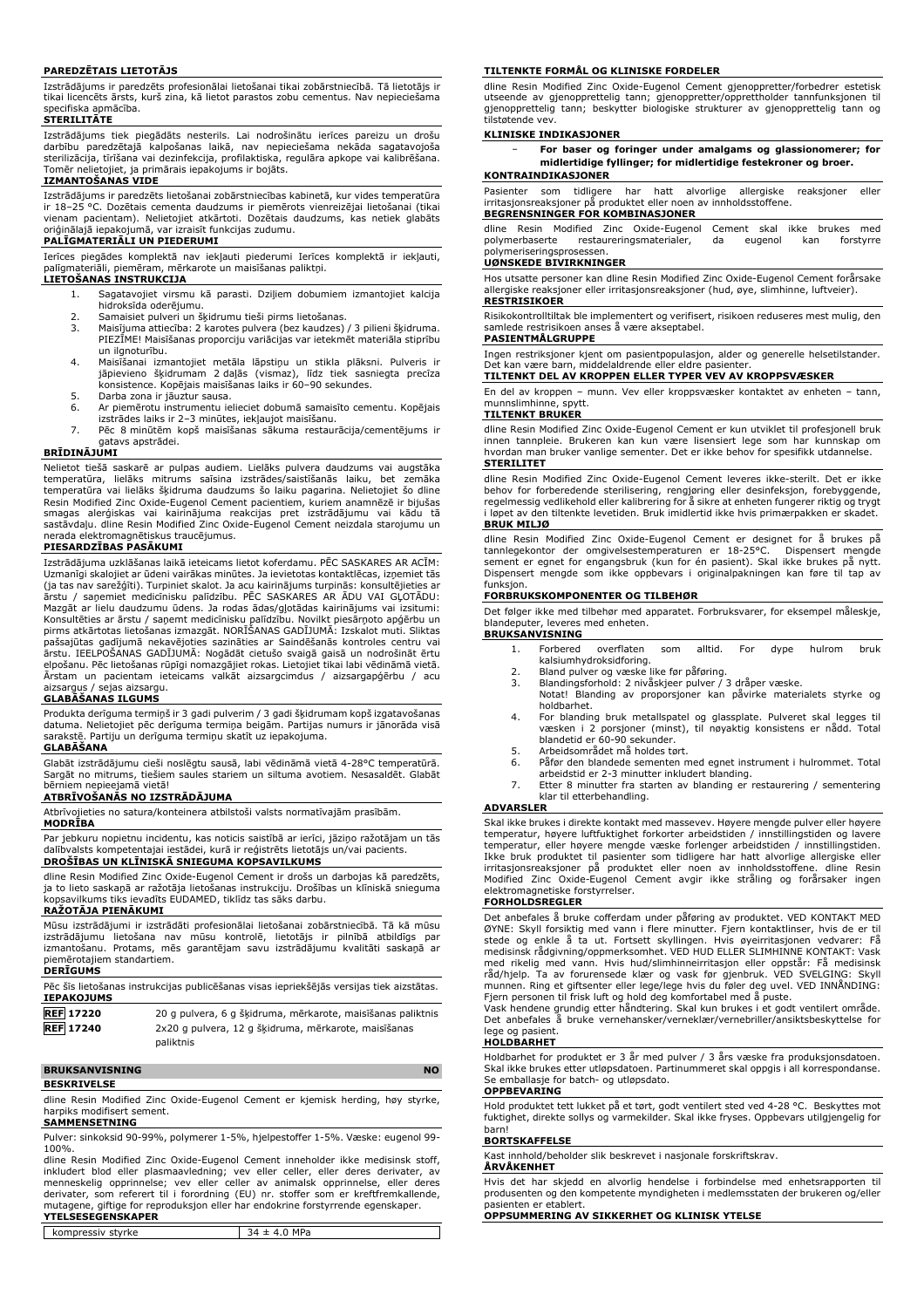#### **PAREDZĒTAIS LIETOTĀJS**

Izstrādājums ir paredzēts profesionālai lietošanai tikai zobārstniecībā. Tā lietotājs ir tikai licencēts ārsts, kurš zina, kā lietot parastos zobu cementus. Nav nepieciešama specifiska apmācība.

#### **STERILITĀTE**

Izstrādājums tiek piegādāts nesterils. Lai nodrošinātu ierīces pareizu un drošu darbību paredzētajā kalpošanas laikā, nav nepieciešama nekāda sagatavojoša sterilizācija, tīrīšana vai dezinfekcija, profilaktiska, regulāra apkope vai kalibrēšana. Tomēr nelietojiet, ja primārais iepakojums ir bojāts. **IZMANTOŠANAS VIDE**

Izstrādājums ir paredzēts lietošanai zobārstniecības kabinetā, kur vides temperatūra ir 18–25 °C. Dozētais cementa daudzums ir piemērots vienreizējai lietošanai (tikai vienam pacientam). Nelietojiet atkārtoti. Dozētais daudzums, kas netiek glabāts oriģinālajā iepakojumā, var izraisīt funkcijas zudumu. **PALĪGMATERIĀLI UN PIEDERUMI**

Ierīces piegādes komplektā nav iekļauti piederumi Ierīces komplektā ir iekļauti, palīgmateriāli, piemēram, mērkarote un maisīšanas paliktņi.

# **LIETOŠANAS INSTRUKCIJA**

- 1. Sagatavojiet virsmu kā parasti. Dziļiem dobumiem izmantojiet kalcija hidroksīda oderējumu.
- 
- 2. Samaisiet pulveri un šķidrumu tieši pirms lietošanas. 3. Maisījuma attiecība: 2 karotes pulvera (bez kaudzes) / 3 pilieni šķidruma. PIEZĪME! Maisīšanas proporciju variācijas var ietekmēt materiāla stiprību un ilgnoturību.
- 4. Maisīšanai izmantojiet metāla lāpstiņu un stikla plāksni. Pulveris ir jāpievieno šķidrumam 2 daļās (vismaz), līdz tiek sasniegta precīza konsistence. Kopējais maisīšanas laiks ir 60–90 sekundes.
- 5. Darba zona ir jāuztur sausa.<br>6. Ar piemērotu instrumentu ie
- 6. Ar piemērotu instrumentu ielieciet dobumā samaisīto cementu. Kopējais
- izstrādes laiks ir 2–3 minūtes, iekļaujot maisīšanu. 7. Pēc 8 minūtēm kopš maisīšanas sākuma restaurācija/cementējums ir
- gatavs apstrādei.

#### **BRĪDINĀJUMI**

Nelietot tiešā saskarē ar pulpas audiem. Lielāks pulvera daudzums vai augstāka<br>temperatūra, lielāks mitrums saīsina izstrādes/saistišanās laiku, bet zemāka<br>temperatūra vai lielāks šķidruma daudzums šo laiku pagarina. Nelie Resin Modified Zinc Oxide-Eugenol Cement pacientiem, kuriem anamnēzē ir bijušas<br>smagas alerģiskas vai kairinājuma reakcijas pret izstrādājumu vai kādu tā<br>sastāvdaļu. dline Resin Modified Zinc Oxide-Eugenol Cement nerada elektromagnētiskus traucējumus.

#### **PIESARDZĪBAS PASĀKUMI**

Izstrādājuma uzklāšanas laikā ieteicams lietot koferdamu. PĒC SASKARES AR ACĪM: Uzmanīgi skalojiet ar ūdeni vairākas minūtes. Ja ievietotas kontaktlēcas, izņemiet tās (ja tas nav sarežģīti). Turpiniet skalot. Ja acu kairinājums turpinās: konsultējieties ar<br>ārstu / saņemiet medicīnisku palīdzību. PĒC SASKARES AR ĀDU VAI GĻOTĀDU:<br>Mazgāt ar lielu daudzumu ūdens. Ja rodas ādas/gļotādas kair ārstu. IEELPOŠANAS GADĪJUMĀ: Nogādāt cietušo svaigā gaisā un nodrošināt ērtu elpošanu. Pēc lietošanas rūpīgi nomazgājiet rokas. Lietojiet tikai labi vēdināmā vietā. Ārstam un pacientam ieteicams valkāt aizsargcimdus / aizsargapģērbu / acu aizsargus / sejas aizsargu.

#### **GLABĀŠANAS ILGUMS**

Produkta derīguma termiņš ir 3 gadi pulverim / 3 gadi šķidrumam kopš izgatavošanas datuma. Nelietojiet pēc derīguma termiņa beigām. Partijas numurs ir jānorāda visā sarakstē. Partiju un derīguma termiņu skatīt uz iepakojuma.

#### **GLABĀŠANA**

Glabāt izstrādājumu cieši noslēgtu sausā, labi vēdināmā vietā 4-28°C temperatūrā. Sargāt no mitrums, tiešiem saules stariem un siltuma avotiem. Nesasaldēt. Glabāt

# bērniem nepieejamā vietā! **ATBRĪVOŠANĀS NO IZSTRĀDĀJUMA**

Atbrīvojieties no satura/konteinera atbilstoši valsts normatīvajām prasībām.

# **MODRĪBA**

Par jebkuru nopietnu incidentu, kas noticis saistībā ar ierīci, jāziņo ražotājam un tās dalībvalsts kompetentajai iestādei, kurā ir reģistrēts lietotājs un/vai pacients. **DROŠĪBAS UN KLĪNISKĀ SNIEGUMA KOPSAVILKUMS**

dline Resin Modified Zinc Oxide-Eugenol Cement ir drošs un darbojas kā paredzēts, ja to lieto saskaņā ar ražotāja lietošanas instrukciju. Drošības un klīniskā snieguma kopsavilkums tiks ievadīts EUDAMED, tiklīdz tas sāks darbu.

# **RAŽOTĀJA PIENĀKUMI**

Mūsu izstrādājumi ir izstrādāti profesionālai lietošanai zobārstniecībā. Tā kā mūsu izstrādājumu lietošana nav mūsu kontrolē, lietotājs ir pilnībā atbildīgs par izmantošanu. Protams, mēs garantējam savu izstrādājumu kvalitāti saskaņā ar piemērotajiem standartiem.

#### **DERĪGUMS**

| Pēc šīs lietošanas instrukcijas publicēšanas visas iepriekšējās versijas tiek aizstātas. |                                                             |  |
|------------------------------------------------------------------------------------------|-------------------------------------------------------------|--|
| <b>IEPAKOJUMS</b>                                                                        |                                                             |  |
| <b>REF 17220</b>                                                                         | 20 g pulvera, 6 g šķidruma, mērkarote, maisīšanas paliktnis |  |
| <b>REF</b> 17240                                                                         | 2x20 g pulvera, 12 g šķidruma, mērkarote, maisīšanas        |  |
|                                                                                          | paliktnis                                                   |  |

# **BRUKSANVISNING NO**

**BESKRIVELSE**

dline Resin Modified Zinc Oxide-Eugenol Cement er kjemisk herding, høy styrke, harpiks modifisert sement.

## **SAMMENSETNING**

Pulver: sinkoksid 90-99%, polymerer 1-5%, hjelpestoffer 1-5%. Væske: eugenol 99- 100%.

dline Resin Modified Zinc Oxide-Eugenol Cement inneholder ikke medisinsk stoff, inkludert blod eller plasmaavledning; vev eller celler, eller deres derivater, av<br>menneskelig opprinnelse; vev eller celler av animalsk opprinnelse, eller deres<br>derivater, som referert til i forordning (EU) nr. stoffer som mutagene, giftige for reproduksjon eller har endokrine forstyrrende egenskaper. **YTELSESEGENSKAPER**

kompressiv styrke  $34 \pm 4.0$  MPa

#### **TILTENKTE FORMÅL OG KLINISKE FORDELER**

dline Resin Modified Zinc Oxide-Eugenol Cement gjenoppretter/forbedrer estetisk utseende av gjenopprettelig tann; gjenoppretter/opprettholder tannfunksjonen til gjenopprettelig tann; beskytter biologiske strukturer av gjenopprettelig tann og tilstøtende vev.

#### **KLINISKE INDIKASJONER**

− **For baser og foringer under amalgams og glassionomerer; for midlertidige fyllinger; for midlertidige festekroner og broer.**

# **KONTRAINDIKASJONER**

Pasienter som tidligere har hatt alvorlige allergiske reaksjoner eller irritasjonsreaksjoner på produktet eller noen av innholdsstoffene.

**BEGRENSNINGER FOR KOMBINASJONER** dline Resin Modified Zinc Oxide-Eugenol Cement skal ikke brukes med polymerbaserte restaureringsmaterialer, da eugenol kan forstyrre polymeriseringsprosessen.

# **UØNSKEDE BIVIRKNINGER**

Hos utsatte personer kan dline Resin Modified Zinc Oxide-Eugenol Cement forårsake allergiske reaksjoner eller irritasjonsreaksjoner (hud, øye, slimhinne, luftveier). **RESTRISIKOER**

Risikokontrolltiltak ble implementert og verifisert, risikoen reduseres mest mulig, den samlede restrisikoen anses å være akseptabel.

#### **PASIENTMÅLGRUPPE**

Ingen restriksjoner kjent om pasientpopulasjon, alder og generelle helsetilstander.

# Det kan være barn, middelaldrende eller eldre pasienter. **TILTENKT DEL AV KROPPEN ELLER TYPER VEV AV KROPPSVÆSKER**

En del av kroppen – munn. Vev eller kroppsvæsker kontaktet av enheten – tann, munnslimhinne, spytt.

## **TILTENKT BRUKER**

dline Resin Modified Zinc Oxide-Eugenol Cement er kun utviklet til profesjonell bruk innen tannpleie. Brukeren kan kun være lisensiert lege som har kunnskap om hvordan man bruker vanlige sementer. Det er ikke behov for spesifikk utdannelse. **STERILITET**

dline Resin Modified Zinc Oxide-Eugenol Cement leveres ikke-sterilt. Det er ikke behov for forberedende sterilisering, rengjøring eller desinfeksjon, forebyggende, regelmessig vedlikehold eller kalibrering for å sikre at enheten fungerer riktig og trygt i løpet av den tiltenkte levetiden. Bruk imidlertid ikke hvis primærpakken er skadet. **BRUK MILJØ**

# dline Resin Modified Zinc Oxide-Eugenol Cement er designet for å brukes på<br>tannlegekontor der omgivelsestemperaturen er 18-25°C. Dispensert mengde<br>sement er egnet for engangsbruk (kun for én pasient). Skal ikke brukes på n Dispensert mengde som ikke oppbevars i originalpakningen kan føre til tap av funksjon.

#### **FORBRUKSKOMPONENTER OG TILBEHØR**

Det følger ikke med tilbehør med apparatet. Forbruksvarer, for eksempel måleskje, blandeputer, leveres med enheten. **BRUKSANVISNING**

- 1. Forbered overflaten som alltid. For dype hulrom bruk kalsiumhydroksidforing.
- 
- 2. Bland pulver og væske like før påføring.<br>3. Blandingsforhold: 2 nivåskjeer pulver / 3 dråper væske.<br> Notat! Blanding av proporsjoner kan påvirke materialets styrke og
- holdbarhet. 4. For blanding bruk metallspatel og glassplate. Pulveret skal legges til væsken i 2 porsjoner (minst), til nøyaktig konsistens er nådd. Total blandetid er 60-90 sekunder.
- 
- 5. Arbeidsområdet må holdes tørt.<br>6. Påfør den blandede sementen n Påfør den blandede sementen med egnet instrument i hulrommet. Total arbeidstid er 2-3 minutter inkludert blanding.
- 7. Etter 8 minutter fra starten av blanding er restaurering / sementering klar til etterbehandling.

#### **ADVARSLER**

Skal ikke brukes i direkte kontakt med massevev. Høyere mengde pulver eller høyere temperatur, høyere luftfuktighet forkorter arbeidstiden / innstillingstiden og lavere temperatur, eller høyere mengde væske forlenger arbeidstiden / innstillingstiden. Ikke bruk produktet til pasienter som tidligere har hatt alvorlige allergiske eller irritasjonsreaksjoner på produktet eller noen av innholdsstoffene. dline Resin Modified Zinc Oxide-Eugenol Cement avgir ikke stråling og forårsaker ingen elektromagnetiske forstyrrelser.

#### **FORHOLDSREGLER**

Det anbefales å bruke cofferdam under påføring av produktet. VED KONTAKT MED ØYNE: Skyll forsiktig med vann i flere minutter. Fjern kontaktlinser, hvis de er til stede og enkle å ta ut. Fortsett skyllingen. Hvis øyeirritasjonen vedvarer: Få medisinsk rådgivning/oppmerksomhet. VED HUD ELLER SLIMHINNE KONTAKT: Vask med rikelig med vann. Hvis hud/slimhinneirritasjon eller oppstär: Fä medisinsk<br>råd/hjelp. Ta av forurensede klær og vask før gjenbruk. VED SVELGING: Skyll<br>munnen. Ring et giftsenter eller lege/lege hvis du føler deg uvel. Fjern personen til frisk luft og hold deg komfortabel med å puste.

Vask hendene grundig etter håndtering. Skal kun brukes i et godt ventilert område. Det anbefales å bruke vernehansker/verneklær/vernebriller/ansiktsbeskyttelse for lege og pasient.

#### **HOLDBARHET**

Holdbarhet for produktet er 3 år med pulver / 3 års væske fra produksjonsdatoen. Skal ikke brukes etter utløpsdatoen. Partinummeret skal oppgis i all korrespondanse. Se emballasje for batch- og utløpsdato.

**OPPBEVARING**

Hold produktet tett lukket på et tørt, godt ventilert sted ved 4-28 °C. Beskyttes mot fuktighet, direkte sollys og varmekilder. Skal ikke fryses. Oppbevars utilgjengelig for barn!

#### **BORTSKAFFELSE**

Kast innhold/beholder slik beskrevet i nasjonale forskriftskrav.

# **ÅRVÅKENHET**

Hvis det har skjedd en alvorlig hendelse i forbindelse med enhetsrapporten til produsenten og den kompetente myndigheten i medlemsstaten der brukeren og/eller pasienten er etablert.

**OPPSUMMERING AV SIKKERHET OG KLINISK YTELSE**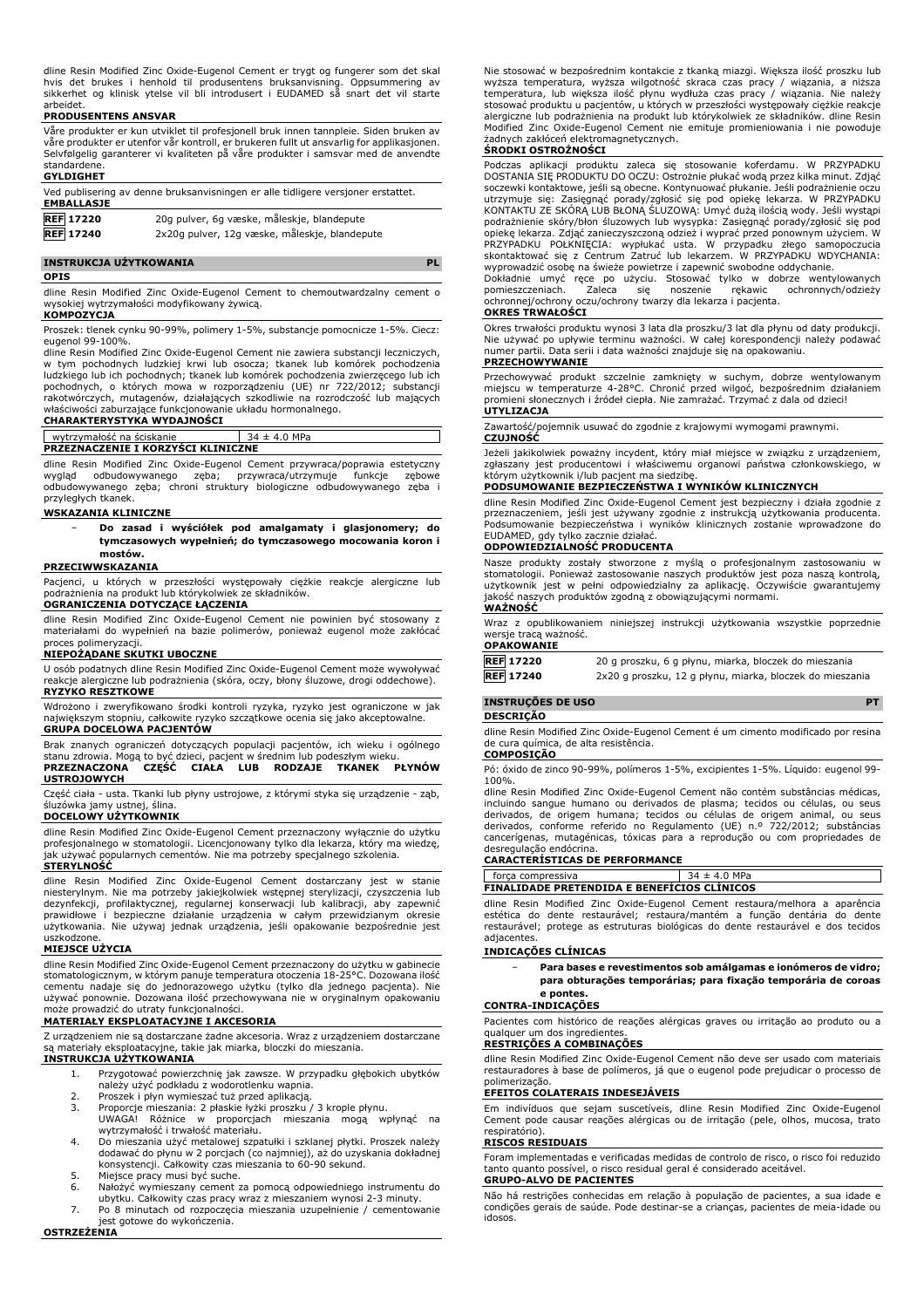dline Resin Modified Zinc Oxide-Eugenol Cement er trygt og fungerer som det skal<br>hvis det brukes i henhold til produsentens bruksanvisning. Oppsummering av<br>sikkerhet og klinisk ytelse vil bli introdusert i EUDAMED så snart arbeidet.

#### **PRODUSENTENS ANSVAR**

Våre produkter er kun utviklet til profesjonell bruk innen tannpleie. Siden bruken av våre produkter er utenfor vår kontroll, er brukeren fullt ut ansvarlig for applikasjonen. Selvfølgelig garanterer vi kvaliteten på våre produkter i samsvar med de anvendte standardene.

### **GYLDIGHET**

| Ved publisering av denne bruksanvisningen er alle tidligere versjoner erstattet.<br><b>EMBALLASJE</b> |                                               |
|-------------------------------------------------------------------------------------------------------|-----------------------------------------------|
| <b>REF</b> 17220                                                                                      | 20g pulver, 6g væske, måleskje, blandepute    |
| <b>REF</b> 17240                                                                                      | 2x20g pulver, 12g væske, måleskje, blandepute |

# **INSTRUKCJA UŻYTKOWANIA PL**

#### **OPIS**

dline Resin Modified Zinc Oxide-Eugenol Cement to chemoutwardzalny cement o wysokiej wytrzymałości modyfikowany żywicą. **KOMPOZYCJA**

Proszek: tlenek cynku 90-99%, polimery 1-5%, substancje pomocnicze 1-5%. Ciecz: eugenol 99-100%.

dline Resin Modified Zinc Oxide-Eugenol Cement nie zawiera substancji leczniczych, w tym pochodnych ludzkiej krwi lub osocza; tkanek lub komórek pochodzenia ludzkiego lub ich pochodnych; tkanek lub komórek pochodzenia zwierzęcego lub ich pochodnych, o których mowa w rozporządzeniu (UE) nr 722/2012; substancji rakotwórczych, mutagenów, działających szkodliwie na rozrodczość lub mających<br>właściwości zaburzające funkcjonowanie układu hormonalnego.<br>**CHARAKTERYSTYKA WYDAJNOŚCI** 

# wytrzymałość na ściskanie 34 ± 4.0 MPa **PRZEZNACZENIE I KORZYŚCI KLINICZNE**

dline Resin Modified Zinc Oxide-Eugenol Cement przywraca/poprawia estetyczny wygląd odbudowywanego zęba; przywraca/utrzymuje funkcje zębowe odbudowywanego zęba; chroni struktury biologiczne odbudowywanego zęba i przyległych tkanek.

#### **WSKAZANIA KLINICZNE**

− **Do zasad i wyściółek pod amalgamaty i glasjonomery; do tymczasowych wypełnień; do tymczasowego mocowania koron i mostów.**

#### **PRZECIWWSKAZANIA**

Pacjenci, u których w przeszłości występowały ciężkie reakcje alergiczne lub podrażnienia na produkt lub którykolwiek ze składników.

# **OGRANICZENIA DOTYCZĄCE ŁĄCZENIA**

dline Resin Modified Zinc Oxide-Eugenol Cement nie powinien być stosowany z materiałami do wypełnień na bazie polimerów, ponieważ eugenol może zakłócać proces polimeryzacji.

# **NIEPOŻĄDANE SKUTKI UBOCZNE**

U osób podatnych dline Resin Modified Zinc Oxide-Eugenol Cement może wywoływać reakcje alergiczne lub podrażnienia (skóra, oczy, błony śluzowe, drogi oddechowe). **RYZYKO RESZTKOWE**

Wdrożono i zweryfikowano środki kontroli ryzyka, ryzyko jest ograniczone w jak największym stopniu, całkowite ryzyko szczątkowe ocenia się jako akceptowalne.

# **GRUPA DOCELOWA PACJENTÓW**

Brak znanych ograniczeń dotyczących populacji pacjentów, ich wieku i ogólnego<br>stanu zdrowia. Mogąło być dzieci, pacjent w średnim lub podeszłym wieku.<br>**PRZEZNACZONA - CZĘŚĆ - CIAŁA - LUB - RODZAJE - TKANEK - PŁYNÓW USTROJOWYCH**

Część ciała - usta. Tkanki lub płyny ustrojowe, z którymi styka się urządzenie - ząb,

# śluzówka jamy ustnej, ślina. **DOCELOWY UŻYTKOWNIK**

dline Resin Modified Zinc Oxide-Eugenol Cement przeznaczony wyłącznie do użytku profesjonalnego w stomatologii. Licencjonowany tylko dla lekarza, który ma wiedzę, jak używać popularnych cementów. Nie ma potrzeby specjalnego szkolenia.

#### **STERYLNOŚĆ**

dline Resin Modified Zinc Oxide-Eugenol Cement dostarczany jest w stanie niesterylnym. Nie ma potrzeby jakiejkolwiek wstępnej sterylizacji, czyszczenia lub dezynfekcji, profilaktycznej, regularnej konserwacji lub kalibracji, aby zapewnić<br>prawidłowe i bezpieczne działanie urządzenia w całym przewidzianym okresie<br>użytkowania. Nie używaj jednak urządzenia, jeśli opakowanie bezpo uszkodzone.

#### **MIEJSCE UŻYCIA**

dline Resin Modified Zinc Oxide-Eugenol Cement przeznaczony do użytku w gabinecie stomatologicznym, w którym panuje temperatura otoczenia 18-25°C. Dozowana ilość cementu nadaje się do jednorazowego użytku (tylko dla jednego pacjenta). Nie używać ponownie. Dozowana ilość przechowywana nie w oryginalnym opakowaniu może prowadzić do utraty funkcjonalności.

#### **MATERIAŁY EKSPLOATACYJNE I AKCESORIA**

Z urządzeniem nie są dostarczane żadne akcesoria. Wraz z urządzeniem dostarczane są materiały eksploatacyjne, takie jak miarka, bloczki do mieszania.

# **INSTRUKCJA UŻYTKOWANIA**

- 1. Przygotować powierzchnię jak zawsze. W przypadku głębokich ubytków należy użyć podkładu z wodorotlenku wapnia.
- 
- 2. Proszek i płyn wymieszać tuż przed aplikacją. 3. Proporcje mieszania: 2 płaskie łyżki proszku / 3 krople płynu.
- UWAGA! Różnice w proporcjach mieszania mogą wpłynąć na wytrzymałość i trwałość materiału. 4. Do mieszania użyć metalowej szpatułki i szklanej płytki. Proszek należy
- dodawać do płynu w 2 porcjach (co najmniej), aż do uzyskania dokładnej konsystencji. Całkowity czas mieszania to 60-90 sekund.
- 5. Miejsce pracy musi być suche. 6. Nałożyć wymieszany cement za pomocą odpowiedniego instrumentu do
- ubytku. Całkowity czas pracy wraz z mieszaniem wynosi 2-3 minuty.
- 7. Po 8 minutach od rozpoczęcia mieszania uzupełnienie / cementowanie jest gotowe do wykończenia.

Nie stosować w bezpośrednim kontakcie z tkanką miazgi. Większa ilość proszku lub wyższa temperatura, wyższa wilgotność skraca czas pracy / wiązania, a niższa<br>temperatura, lub większa ilość płynu wydłuża czas pracy / wiązania. Nie należy<br>stosować-produktu u-pacjentów, u-których w-przeszłości występowały alergiczne lub podrażnienia na produkt lub którykolwiek ze składników. dline Resin Modified Zinc Oxide-Eugenol Cement nie emituje promieniowania i nie powoduje żadnych zakłóceń elektromagnetycznych.

### **ŚRODKI OSTROŻNOŚCI**

Podczas aplikacji produktu zaleca się stosowanie koferdamu. W PRZYPADKU DOSTANIA SIĘ PRODUKTU DO OCZU: Ostrożnie płukać wodą przez kilka minut. Zdjąć soczewki kontaktowe, jesli są obecne. Kontynuować płukanie. Jesli podrażnienie oczu<br>utrzymuje się: Zasięgnąć porady/zgłosić się pod opiekę lekarza. W PRZYPADKU<br>KONTAKTU ZE SKÓRĄ LUB BŁONĄ ŚLUZOWĄ: Umyć dużą ilością wody. J opiekę lekarza. Zdjąć zanieczyszczoną odzież i wyprać przed ponownym użyciem. W PRZYPADKU POŁKNIĘCIA: wypłukać usta. W przypadku złego samopoczucia skontaktować się z Centrum Zatruć lub lekarzem. W PRZYPADKU WDYCHANIA:

wyprowadzić osobę na świeże powietrze i zapewnić swobodne oddychanie. Dokładnie umyć ręce po użyciu. Stosować tylko w dobrze wentylowanych pomieszczeniach. Zaleca się noszenie rękawic ochronnych/odzieży ochronnej/ochrony oczu/ochrony twarzy dla lekarza i pacjenta.

# **OKRES TRWAŁOŚCI**

Okres trwałości produktu wynosi 3 lata dla proszku/3 lat dla płynu od daty produkcji.<br>Nie używać po upływie terminu ważności. W całej korespondencji należy podawać<br>numer partii. Data serii i data ważności znajduje się na o

# **PRZECHOWYWANIE**

Przechowywać produkt szczelnie zamknięty w suchym, dobrze wentylowanym miejscu w temperaturze 4-28°C. Chronić przed wilgoć, bezpośrednim działaniem promieni słonecznych i źródeł ciepła. Nie zamrażać. Trzymać z dala od dzieci! **UTYLIZACJA**

Zawartość/pojemnik usuwać do zgodnie z krajowymi wymogami prawnymi. **CZUJNOŚĆ**

Jeżeli jakikolwiek poważny incydent, który miał miejsce w związku z urządzeniem, zgłaszany jest producentowi i właściwemu organowi państwa członkowskiego, w którym użytkownik i/lub pacjent ma siedzibę.

#### **PODSUMOWANIE BEZPIECZEŃSTWA I WYNIKÓW KLINICZNYCH**

dline Resin Modified Zinc Oxide-Eugenol Cement jest bezpieczny i działa zgodnie z przeznaczeniem, jeśli jest używany zgodnie z instrukcją użytkowania producenta. Podsumowanie bezpieczeństwa i wyników klinicznych zostanie wprowadzone do EUDAMED, gdy tylko zacznie działać.

#### **ODPOWIEDZIALNOŚĆ PRODUCENTA**

Nasze produkty zostały stworzone z myślą o profesjonalnym zastosowaniu w stomatologii. Ponieważ zastosowanie naszych produktów jest poza naszą kontrolą, użytkownik jest w pełni odpowiedzialny za aplikację. Oczywiście gwarantujemy jakość naszych produktów zgodną z obowiązującymi normami. **WAŻNOŚĆ**

Wraz z opublikowaniem niniejszej instrukcji użytkowania wszystkie poprzednie wersje tracą ważność. **OPAKOWANIE**

| UFANUWANIE       |                                                          |
|------------------|----------------------------------------------------------|
| <b>REF</b> 17220 | 20 g proszku, 6 g płynu, miarka, bloczek do mieszania    |
| <b>REF</b> 17240 | 2x20 g proszku, 12 g płynu, miarka, bloczek do mieszania |

# **INSTRUÇÕES DE USO PT**

**DESCRIÇÃO**

dline Resin Modified Zinc Oxide-Eugenol Cement é um cimento modificado por resina de cura química, de alta resistência. **COMPOSIÇÃO**

Pó: óxido de zinco 90-99%, polímeros 1-5%, excipientes 1-5%. Líquido: eugenol 99- 100%.

dline Resin Modified Zinc Oxide-Eugenol Cement não contém substâncias médicas, incluindo sangue humano ou derivados de plasma; tecidos ou células, ou seus derivados, de origem humana; tecidos ou células de origem animal, ou seus derivados, conforme referido no Regulamento (UE) n.º 722/2012; substâncias cancerígenas, mutagénicas, tóxicas para a reprodução ou com propriedades de desregulação endócrina.

# **CARACTERÍSTICAS DE PERFORMANCE**

|                                                    | MPa<br>4 O |  |
|----------------------------------------------------|------------|--|
| rca compressiva                                    |            |  |
|                                                    |            |  |
| <b>FINALIDADE PRETENDIDA E BENEFICIOS CLINICOS</b> |            |  |
|                                                    |            |  |

dline Resin Modified Zinc Oxide-Eugenol Cement restaura/melhora a aparência estética do dente restaurável; restaura/mantém a função dentária do dente restaurável; protege as estruturas biológicas do dente restaurável e dos tecidos adjacentes.

#### **INDICAÇÕES CLÍNICAS**

− **Para bases e revestimentos sob amálgamas e ionómeros de vidro; para obturações temporárias; para fixação temporária de coroas e pontes.**

# **CONTRA-INDICAÇÕES**

Pacientes com histórico de reações alérgicas graves ou irritação ao produto ou a qualquer um dos ingrediente

## **RESTRIÇÕES A COMBINAÇÕES**

dline Resin Modified Zinc Oxide-Eugenol Cement não deve ser usado com materiais restauradores à base de polímeros, já que o eugenol pode prejudicar o processo de polimerização.

# **EFEITOS COLATERAIS INDESEJÁVEIS**

Em indivíduos que sejam suscetíveis, dline Resin Modified Zinc Oxide-Eugenol Cement pode causar reações alérgicas ou de irritação (pele, olhos, mucosa, trato respiratório).

#### **RISCOS RESIDUAIS**

Foram implementadas e verificadas medidas de controlo de risco, o risco foi reduzido tanto quanto possível, o risco residual geral é considerado aceitável. **GRUPO-ALVO DE PACIENTES**

Não há restrições conhecidas em relação à população de pacientes, a sua idade e condições gerais de saúde. Pode destinar-se a crianças, pacientes de meia-idade ou idosos.

**OSTRZEŻENIA**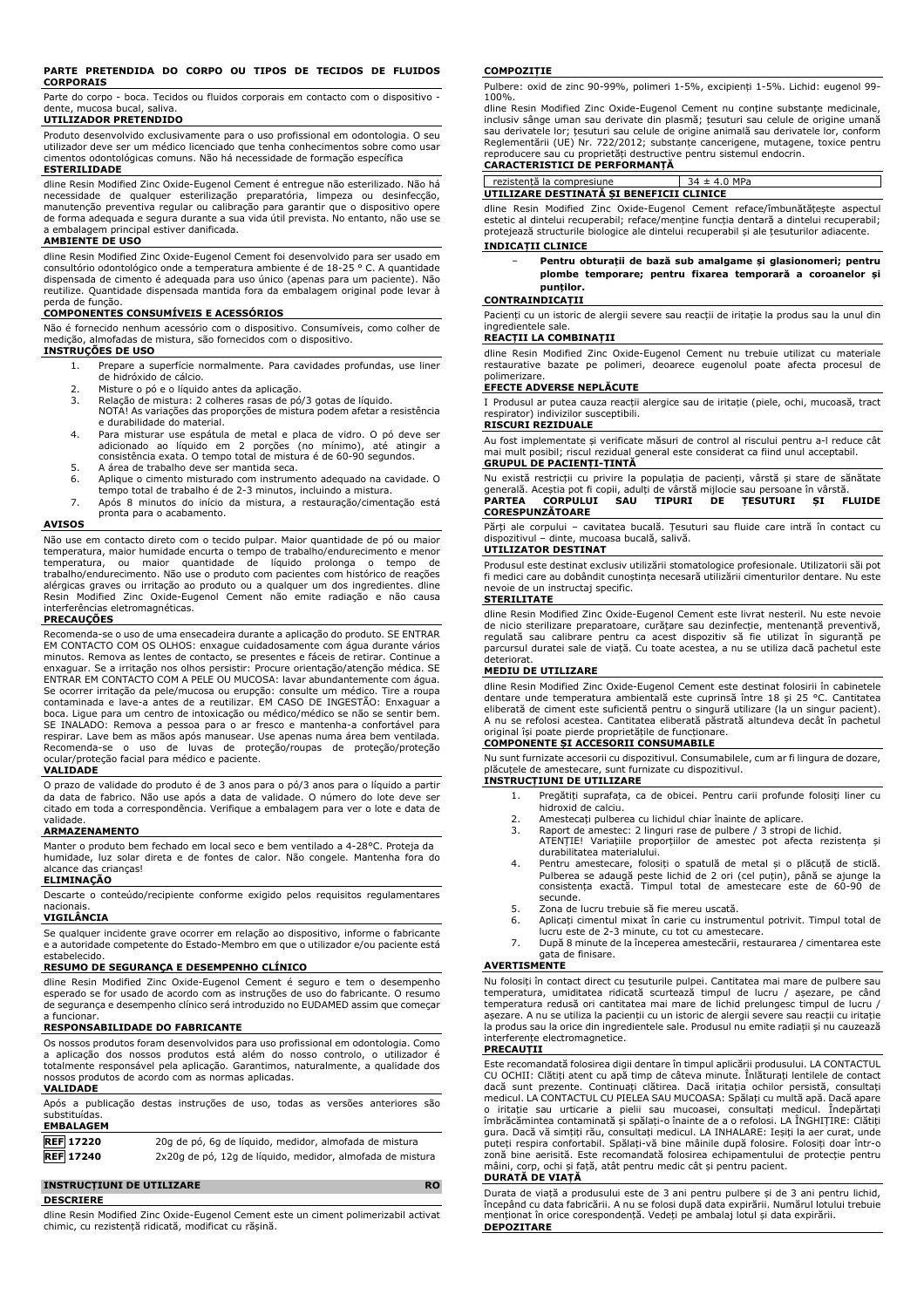#### **PARTE PRETENDIDA DO CORPO OU TIPOS DE TECIDOS DE FLUIDOS CORPORAIS**

Parte do corpo - boca. Tecidos ou fluidos corporais em contacto com o dispositivo dente, mucosa bucal, saliva.

# **UTILIZADOR PRETENDIDO**

Produto desenvolvido exclusivamente para o uso profissional em odontologia. O seu utilizador deve ser um médico licenciado que tenha conhecimentos sobre como usar cimentos odontológicas comuns. Não há necessidade de formação específica **ESTERILIDADE**

dline Resin Modified Zinc Oxide-Eugenol Cement é entregue não esterilizado. Não há necessidade de qualquer esterilização preparatória, limpeza ou desinfecção, manutenção preventiva regular ou calibração para garantir que o dispositivo opere de forma adequada e segura durante a sua vida útil prevista. No entanto, não use se a embalagem principal estiver danificada.

## **AMBIENTE DE USO**

dline Resin Modified Zinc Oxide-Eugenol Cement foi desenvolvido para ser usado em consultório odontológico onde a temperatura ambiente é de 18-25 ° C. A quantidade dispensada de cimento é adequada para uso único (apenas para um paciente). Não reutilize. Quantidade dispensada mantida fora da embalagem original pode levar à perda de função.

# **COMPONENTES CONSUMÍVEIS E ACESSÓRIOS**

Não é fornecido nenhum acessório com o dispositivo. Consumíveis, como colher de medição, almofadas de mistura, são fornecidos com o dispositivo. **INSTRUÇÕES DE USO**

- 1. Prepare a superfície normalmente. Para cavidades profundas, use liner de hidróxido de cálcio.
- 2. Misture o pó e o líquido antes da aplicação.
- Relação de mistura: 2 colheres rasas de pó/3 gotas de líquido. NOTA! As variações das proporções de mistura podem afetar a resistência
- e durabilidade do material. 4. Para misturar use espátula de metal e placa de vidro. O pó deve ser adicionado ao líquido em 2 porções (no mínimo), até atingir a consistência exata. O tempo total de mistura é de 60-90 segundos.
- 5. A área de trabalho deve ser mantida seca.<br>6. Aplique o cimento misturado com instrume
- Aplique o cimento misturado com instrumento adequado na cavidade. O tempo total de trabalho é de 2-3 minutos, incluindo a mistura.
- 7. Após 8 minutos do início da mistura, a restauração/cimentação está pronta para o acabamento.

#### **AVISOS**

Não use em contacto direto com o tecido pulpar. Maior quantidade de pó ou maior<br>temperatura, maior humidade encurta o tempo de trabalho/endurecimento e menor<br>temperatura, ou maior quantidade de líquido prolonga trabalho/endurecimento. Não use o produto com pacientes com histórico de reações alérgicas graves ou irritação ao produto ou a qualquer um dos ingredientes. dline Resin Modified Zinc Oxide-Eugenol Cement não emite radiação e não causa interferências eletromagnéticas.

#### **PRECAUÇÕES**

Recomenda-se o uso de uma ensecadeira durante a aplicação do produto. SE ENTRAR EM CONTACTO COM OS OLHOS: enxague cuidadosamente com água durante vários minutos. Remova as lentes de contacto, se presentes e fáceis de retirar. Continue a enxaguar. Se a irritação nos olhos persistir: Procure orientação/atenção médica. SE ENTRAR EM CONTACTO COM A PELE OU MUCOSA: lavar abundantemente com água. Se ocorrer irritação da pele/mucosa ou erupção: consulte um médico. Tire a roupa contaminada e lave-a antes de a reutilizar. EM CASO DE INGESTÃO: Enxaguar a boca. Ligue para um centro de intoxicação ou médico/médico se não se sentir bem. SE INALADO: Remova a pessoa para o ar fresco e mantenha-a confortável para respirar. Lave bem as mãos após manusear. Use apenas numa área bem ventilada. Recomenda-se o uso de luvas de proteção/roupas de proteção/proteção ocular/proteção facial para médico e paciente.

#### **VALIDADE**

O prazo de validade do produto é de 3 anos para o pó/3 anos para o líquido a partir da data de fabrico. Não use após a data de validade. O número do lote deve ser citado em toda a correspondência. Verifique a embalagem para ver o lote e data de validade.

# **ARMAZENAMENTO**

Manter o produto bem fechado em local seco e bem ventilado a 4-28°C. Proteja da humidade, luz solar direta e de fontes de calor. Não congele. Mantenha fora do alcance das crianças!

## **ELIMINAÇÃO**

Descarte o conteúdo/recipiente conforme exigido pelos requisitos regulamentares nacionais.

# **VIGILÂNCIA**

Se qualquer incidente grave ocorrer em relação ao dispositivo, informe o fabricante e a autoridade competente do Estado-Membro em que o utilizador e/ou paciente está estabelecido.

#### **RESUMO DE SEGURANÇA E DESEMPENHO CLÍNICO**

dline Resin Modified Zinc Oxide-Eugenol Cement é seguro e tem o desempenho esperado se for usado de acordo com as instruções de uso do fabricante. O resumo de segurança e desempenho clínico será introduzido no EUDAMED assim que começar a funcionar.

### **RESPONSABILIDADE DO FABRICANTE**

Os nossos produtos foram desenvolvidos para uso profissional em odontologia. Como<br>a aplicação dos nossos produtos está além do nosso controlo, o utilizador é<br>totalmente responsável pela aplicação. Garantimo nossos produtos de acordo com as normas aplicadas.

#### **VALIDADE** Após a publicação destas instruções de uso, todas as versões anteriores são substituídas. **EMBALAGEM REF 17220** 20g de pó, 6g de líquido, medidor, almofada de mistura **REF 17240** 2x20g de pó, 12g de líquido, medidor, almofada de mistura

#### **INSTRUCȚIUNI DE UTILIZARE RO**

**DESCRIERE**

dline Resin Modified Zinc Oxide-Eugenol Cement este un ciment polimerizabil activat chimic, cu rezistență ridicată, modificat cu rășină.

#### **COMPOZIȚIE**

Pulbere: oxid de zinc 90-99%, polimeri 1-5%, excipienți 1-5%. Lichid: eugenol 99- 100%.

dline Resin Modified Zinc Oxide-Eugenol Cement nu conține substanțe medicinale, inclusiv sânge uman sau derivate din plasmă; țesuturi sau celule de origine umană sau derivatele lor; țesuturi sau celule de origine animală sau derivatele lor, conform Reglementării (UE) Nr. 722/2012; substanțe cancerigene, mutagene, toxice pentru reproducere sau cu proprietăți destructive pentru sistemul endocrin. **CARACTERISTICI DE PERFORMANȚĂ**

rezistență la compresiune 34 ± 4.0 MPa **UTILIZARE DESTINATĂ ȘI BENEFICII CLINICE**

dline Resin Modified Zinc Oxide-Eugenol Cement reface/îmbunătățește aspectul estetic al dintelui recuperabil; reface/menține funcția dentară a dintelui recuperabil; protejează structurile biologice ale dintelui recuperabil și ale țesuturilor adiacente.

# **INDICAȚII CLINICE**

− **Pentru obturații de bază sub amalgame și glasionomeri; pentru plombe temporare; pentru fixarea temporară a coroanelor și punților.**

#### **CONTRAINDICAȚII**

Pacienți cu un istoric de alergii severe sau reacții de iritație la produs sau la unul din ingredientele sale.

# **REACȚII LA COMBINAȚII**

dline Resin Modified Zinc Oxide-Eugenol Cement nu trebuie utilizat cu materiale restaurative bazate pe polimeri, deoarece eugenolul poate afecta procesul de polimerizare.

### **EFECTE ADVERSE NEPLĂCUTE**

I Produsul ar putea cauza reacții alergice sau de iritație (piele, ochi, mucoasă, tract respirator) indivizilor susceptibili.

# **RISCURI REZIDUALE** Au fost implementate și verificate măsuri de control al riscului pentru a-l reduce cât

mai mult posibil; riscul rezidual general este considerat ca fiind unul acceptabil. **GRUPUL DE PACIENȚI-ȚINTĂ**

Nu există restricții cu privire la populația de pacienți, vârstă și stare de sănătate generală. Aceștia pot fi copii, adulți de vârstă mijlocie sau persoane în vârstă. **PARTEA CORPULUI SAU TIPURI DE ȚESUTURI ȘI FLUIDE CORESPUNZĂTOARE**

Părți ale corpului – cavitatea bucală. Țesuturi sau fluide care intră în contact cu dispozitivul – dinte, mucoasa bucală, salivă.

# **UTILIZATOR DESTINAT**

Produsul este destinat exclusiv utilizării stomatologice profesionale. Utilizatorii săi pot fi medici care au dobândit cunoștința necesară utilizării cimenturilor dentare. Nu este nevoie de un instructaj specific.

# **STERILITATE**

dline Resin Modified Zinc Oxide-Eugenol Cement este livrat nesteril. Nu este nevoie de nicio sterilizare preparatoare, curățare sau dezinfecție, mentenanță preventivă, regulată sau calibrare pentru ca acest dispozitiv să fie utilizat în siguranță pe parcursul duratei sale de viață. Cu toate acestea, a nu se utiliza dacă pachetul este deteriorat.

### **MEDIU DE UTILIZARE**

dline Resin Modified Zinc Oxide-Eugenol Cement este destinat folosirii în cabinetele dentare unde temperatura ambientală este cuprinsă între 18 și 25 °C. Cantitatea eliberată de ciment este suficientă pentru o singură utilizare (la un singur pacient). A nu se refolosi acestea. Cantitatea eliberată păstrată altundeva decât în pachetul original își poate pierde proprietățile de funcționare.

# **COMPONENTE ȘI ACCESORII CONSUMABILE**

Nu sunt furnizate accesorii cu dispozitivul. Consumabilele, cum ar fi lingura de dozare, plăcuțele de amestecare, sunt furnizate cu dispozitivul.

## **INSTRUCȚIUNI DE UTILIZARE**

- 1. Pregătiți suprafața, ca de obicei. Pentru carii profunde folosiți liner cu hidroxid de calciu.
- 2. Amestecați pulberea cu lichidul chiar înainte de aplicare.<br>3. Raport de amestec: 2 linguri rașe de pulbere / 3 stropi c
- 3. Raport de amestec: 2 linguri rase de pulbere / 3 stropi de lichid. ATENȚIE! Variațiile proporțiilor de amestec pot afecta rezistența și durabilitatea materialului.
- 4. Pentru amestecare, folosiți o spatulă de metal și o plăcuță de sticlă. Pulberea se adaugă peste lichid de 2 ori (cel puțin), până se ajunge la consistența exactă. Timpul total de amestecare este de 60-90 de secunde.
- 5. Zona de lucru trebuie să fie mereu uscată.
- 6. Aplicați cimentul mixat în carie cu instrumentul potrivit. Timpul total de lucru este de 2-3 minute, cu tot cu amestecare.
- 7. După 8 minute de la începerea amestecării, restaurarea / cimentarea este gata de finisare.

#### **AVERTISMENTE**

Nu folosiți în contact direct cu țesuturile pulpei. Cantitatea mai mare de pulbere sau temperatura, umiditatea ridicată scurtează timpul de lucru / așezare, pe când temperatura redusă ori cantitatea mai mare de lichid prelungesc timpul de lucru / așezare. A nu se utiliza la pacienții cu un istoric de alergii severe sau reacții cu iritație la produs sau la orice din ingredientele sale. Produsul nu emite radiații și nu cauzează interferențe electromagnetice.

#### **PRECAUȚII**

Este recomandată folosirea digii dentare în timpul aplicării produsului. LA CONTACTUL CU OCHII: Clătiți atent cu apă timp de câteva minute. Înlăturați lentilele de contact dacă sunt prezente. Continuați clătirea. Dacă iritația ochilor persistă, consultați medicul. LA CONTACTUL CU PIELEA SAU MUCOASA: Spălați cu multă apă. Dacă apare o iritație sau urticarie a pielii sau mucoasei, consultați medicul. Îndepărtați îmbrăcămintea contaminată și spălați-o înainte de a o refolosi. LA ÎNGHIȚIRE: Clătiți gura. Dacă vă simțiți rău, consultați medicul. LA INHALARE: Ieșiți la aer curat, unde puteți respira confortabil. Spălați-vă bine mâinile după folosire. Folosiți doar într-o zonă bine aerisită. Este recomandată folosirea echipamentului de protecție pentru mâini, corp, ochi și față, atât pentru medic cât și pentru pacient.

# **DURATĂ DE VIAȚĂ**

Durata de viață a produsului este de 3 ani pentru pulbere și de 3 ani pentru lichid, începând cu data fabricării. A nu se folosi după data expirării. Numărul lotului trebuie menționat în orice corespondență. Vedeți pe ambalaj lotul și data expirării. **DEPOZITARE**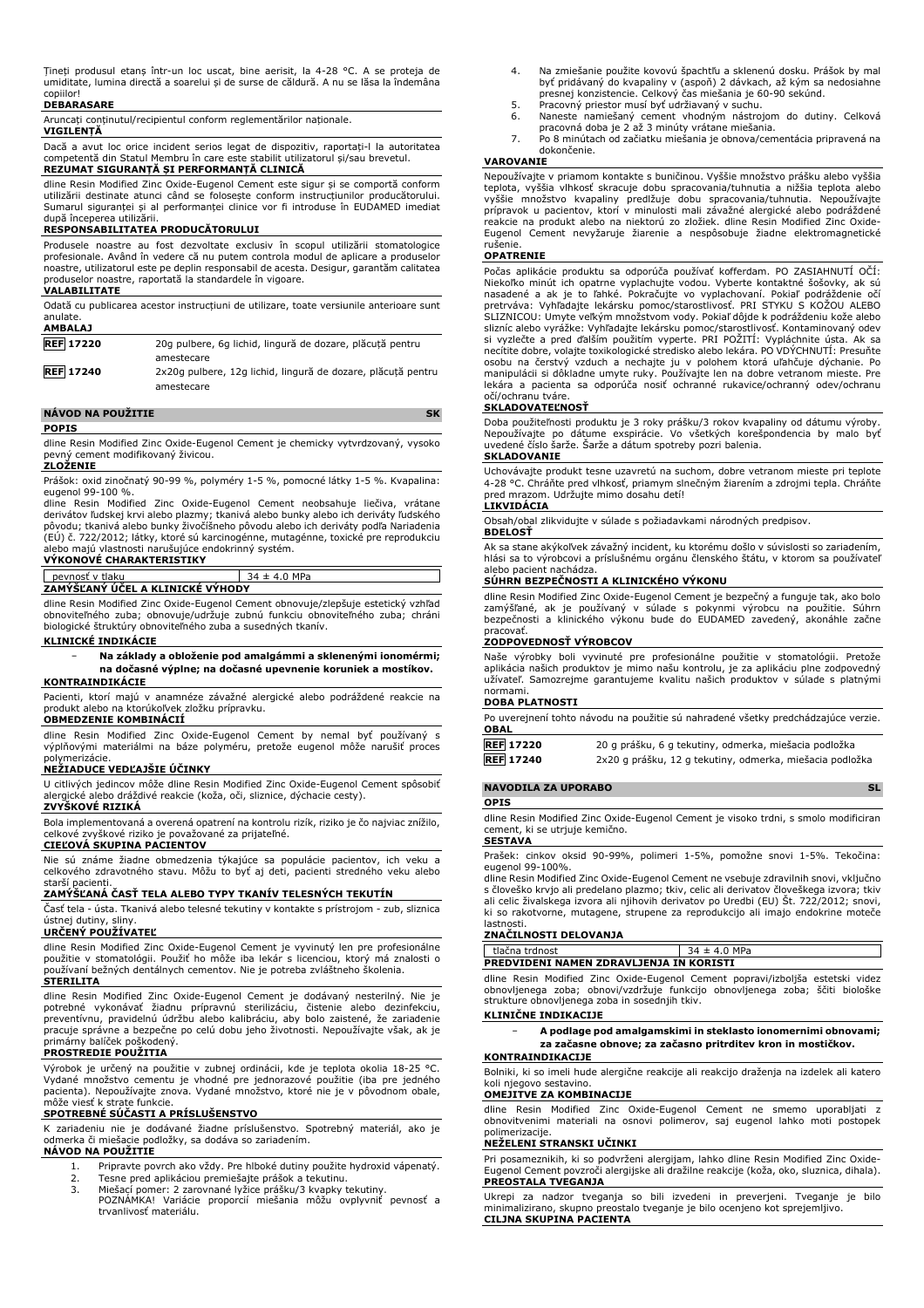Țineți produsul etanș într-un loc uscat, bine aerisit, la 4-28 °C. A se proteja de umiditate, lumina directă a soarelui și de surse de căldură. A nu se lăsa la îndemâna copiilor!

# **DEBARASARE**

Aruncați conținutul/recipientul conform reglementărilor naționale.

#### **VIGILENȚĂ**

Dacă a avut loc orice incident serios legat de dispozitiv, raportați-l la autoritatea competentă din Statul Membru în care este stabilit utilizatorul și/sau brevetul.

# **REZUMAT SIGURANȚĂ ȘI PERFORMANȚĂ CLINICĂ**

dline Resin Modified Zinc Oxide-Eugenol Cement este sigur și se comportă conform utilizării destinate atunci când se folosește conform instrucțiunilor producătorului. Sumarul siguranței și al performanței clinice vor fi introduse în EUDAMED imediat după începerea utilizării.

# **RESPONSABILITATEA PRODUCĂTORULUI**

Produsele noastre au fost dezvoltate exclusiv în scopul utilizării stomatologice profesionale. Având în vedere că nu putem controla modul de aplicare a produselor noastre, utilizatorul este pe deplin responsabil de acesta. Desigur, garantăm calitatea produselor noastre, raportată la standardele în vigoare.

#### **VALABILITATE**

Odată cu publicarea acestor instrucțiuni de utilizare, toate versiunile anterioare sunt anulate.

| AMBALAJ          |                                                              |
|------------------|--------------------------------------------------------------|
| <b>REF</b> 17220 | 20g pulbere, 6g lichid, lingură de dozare, plăcută pentru    |
|                  | amestecare                                                   |
| <b>REF 17240</b> | 2x20q pulbere, 12q lichid, lingură de dozare, plăcută pentru |
|                  | amestecare                                                   |

#### **NÁVOD NA POUŽITIE SK POPIS**

dline Resin Modified Zinc Oxide-Eugenol Cement je chemicky vytvrdzovaný, vysoko pevný cement modifikovaný živicou.

#### **ZLOŽENIE**

Prášok: oxid zinočnatý 90-99 %, polyméry 1-5 %, pomocné látky 1-5 %. Kvapalina: eugenol 99-100 %.

dline Resin Modified Zinc Oxide-Eugenol Cement neobsahuje liečiva, vrátane derivátov ľudskej krvi alebo plazmy; tkanivá alebo bunky alebo ich deriváty ľudského pôvodu; tkanivá alebo bunky živočíšneho pôvodu alebo ich deriváty podľa Nariadenia (EÚ) č. 722/2012; látky, ktoré sú karcinogénne, mutagénne, toxické pre reprodukciu alebo majú vlastnosti narušujúce endokrinný systém. **VÝKONOVÉ CHARAKTERISTIKY**

# pevnosť v tlaku 34 ± 4.0 MPa **ZAMÝŠĽANÝ ÚČEL A KLINICKÉ VÝHODY**

dline Resin Modified Zinc Oxide-Eugenol Cement obnovuje/zlepšuje estetický vzhľad obnoviteľného zuba; obnovuje/udržuje zubnú funkciu obnoviteľného zuba; chráni biologické štruktúry obnoviteľného zuba a susedných tkanív.

### **KLINICKÉ INDIKÁCIE**

# − **Na základy a obloženie pod amalgámmi a sklenenými ionomérmi; na dočasné výplne; na dočasné upevnenie koruniek a mostíkov.**

# **KONTRAINDIKÁCIE**

Pacienti, ktorí majú v anamnéze závažné alergické alebo podráždené reakcie na produkt alebo na ktorúkoľvek zložku prípravku.

# **OBMEDZENIE KOMBINÁCIÍ**

dline Resin Modified Zinc Oxide-Eugenol Cement by nemal byť používaný s výplňovými materiálmi na báze polyméru, pretože eugenol môže narušiť proces polymerizácie.

# **NEŽIADUCE VEDĽAJŠIE ÚČINKY**

U citlivých jedincov môže dline Resin Modified Zinc Oxide-Eugenol Cement spôsobiť alergické alebo dráždivé reakcie (koža, oči, sliznice, dýchacie cesty). **ZVYŠKOVÉ RIZIKÁ**

Bola implementovaná a overená opatrení na kontrolu rizík, riziko je čo najviac znížilo, celkové zvyškové riziko je považované za prijateľné. **CIEĽOVÁ SKUPINA PACIENTOV**

Nie sú známe žiadne obmedzenia týkajúce sa populácie pacientov, ich veku a celkového zdravotného stavu. Môžu to byť aj deti, pacienti stredného veku alebo starší pacienti.

## **ZAMÝŠĽANÁ ČASŤ TELA ALEBO TYPY TKANÍV TELESNÝCH TEKUTÍN**

Časť tela - ústa. Tkanivá alebo telesné tekutiny v kontakte s prístrojom - zub, sliznica

# ústnej dutiny, sliny. **URČENÝ POUŽÍVATEĽ**

dline Resin Modified Zinc Oxide-Eugenol Cement je vyvinutý len pre profesionálne použitie v stomatológii. Použiť ho môže iba lekár s licenciou, ktorý má znalosti o používaní bežných dentálnych cementov. Nie je potreba zvláštneho školenia. **STERILITA**

dline Resin Modified Zinc Oxide-Eugenol Cement je dodávaný nesterilný. Nie je potrebné vykonávať žiadnu prípravnú sterilizáciu, čistenie alebo dezinfekciu, preventívnu, pravidelnú údržbu alebo kalibráciu, aby bolo zaistené, že zariadenie pracuje správne a bezpečne po celú dobu jeho životnosti. Nepoužívajte však, ak je primárny balíček poškodený.

#### **PROSTREDIE POUŽITIA**

Výrobok je určený na použitie v zubnej ordinácii, kde je teplota okolia 18-25 °C. Vydané množstvo cementu je vhodné pre jednorazové použitie (iba pre jedného pacienta). Nepoužívajte znova. Vydané množstvo, ktoré nie je v pôvodnom obale, môže viesť k strate funkcie.

# **SPOTREBNÉ SÚČASTI A PRÍSLUŠENSTVO**

K zariadeniu nie je dodávané žiadne príslušenstvo. Spotrebný materiál, ako je odmerka či miešacie podložky, sa dodáva so zariadením. **NÁVOD NA POUŽITIE**

- 
- 1. Pripravte povrch ako vždy. Pre hlboké dutiny použite hydroxid vápenatý. 2. Tesne pred aplikáciou premiešajte prášok a tekutinu.
- 3. Miešací pomer: 2 zarovnané lyžice prášku/3 kvapky tekutiny.
- POZNÁMKA! Variácie proporcií miešania môžu ovplyvniť pevnosť a trvanlivosť materiálu.
- 4. Na zmiešanie použite kovovú špachtľu a sklenenú dosku. Prášok by mal byť pridávaný do kvapaliny v (aspoň) 2 dávkach, až kým sa nedosiahne presnej konzistencie. Celkový čas miešania je 60-90 sekúnd.
- 5. Pracovný priestor musí byť udržiavaný v suchu.<br>6. Naneste namiešaný cement vhodným nástroj
- 6. Naneste namiešaný cement vhodným nástrojom do dutiny. Celková<br>– pracovná doba je 2 až 3 minúty vrátane miešania.<br>7. Po 8 minútach od začiatku miešania je obnova/cementácia pripravená na
- dokončenie.

# **VAROVANIE**

Nepoužívajte v priamom kontakte s buničinou. Vyššie množstvo prášku alebo vyššia teplota, vyššia vlhkosť skracuje dobu spracovania/tuhnutia a nižšia teplota alebo<br>vyššie množstvo kvapaliny predlžuje dobu spracovania/tuhnutia. Nepoužívajte<br>prípravok u pacientov, ktorí v minulosti mali závažné alergické Eugenol Cement nevyžaruje žiarenie a nespôsobuje žiadne elektromagnetické rušenie.

#### **OPATRENIE**

Počas aplikácie produktu sa odporúča používať kofferdam. PO ZASIAHNUTÍ OČÍ: Niekoľko minút ich opatrne vyplachujte vodou. Vyberte kontaktné šošovky, ak sú nasadené a ak je to ľahké. Pokračujte vo vyplachovaní. Pokiaľ podráždenie očí pretrváva: Vyhľadajte lekársku pomoc/starostlivosť. PRI STYKU S KOŽOU ALEBO SLIZNICOU: Umyte veľkým množstvom vody. Pokiaľ dôjde k podráždeniu kože alebo<br>slizníc alebo vyrážke: Vyhľadajte lekársku pomoc/starostlivosť. Kontaminovaný odev<br>si vyzlečte a pred ďalším použitím vyperte. PRI POŽITÍ: Vyplá osobu na čerstvý vzduch a nechajte ju v polohem ktorá uľahčuje dýchanie. Po manipulácii si dôkladne umyte ruky. Používajte len na dobre vetranom mieste. Pre lekára a pacienta sa odporúča nosiť ochranné rukavice/ochranný odev/ochranu očí/ochranu tváre.

#### **SKLADOVATEĽNOSŤ**

Doba použiteľnosti produktu je 3 roky prášku/3 rokov kvapaliny od dátumu výroby.<br>Nepoužívajte po dátume exspirácie. Vo všetkých korešpondencia by malo byť<br>uvedené číslo šarže. Šarže a dátum spotreby pozri balenia. **SKLADOVANIE**

Uchovávajte produkt tesne uzavretú na suchom, dobre vetranom mieste pri teplote 4-28 °C. Chráňte pred vlhkosť, priamym slnečným žiarením a zdrojmi tepla. Chráňte pred mrazom. Udržujte mimo dosahu detí! **LIKVIDÁCIA**

Obsah/obal zlikvidujte v súlade s požiadavkami národných predpisov. **BDELOSŤ**

Ak sa stane akýkoľvek závažný incident, ku ktorému došlo v súvislosti so zariadením, hlási sa to výrobcovi a príslušnému orgánu členského štátu, v ktorom sa používateľ alebo pacient nachádza.

### **SÚHRN BEZPEČNOSTI A KLINICKÉHO VÝKONU**

dline Resin Modified Zinc Oxide-Eugenol Cement je bezpečný a funguje tak, ako bolo zamýšľané, ak je používaný v súlade s pokynmi výrobcu na použitie. Súhrn bezpečnosti a klinického výkonu bude do EUDAMED zavedený, akonáhle začne

# pracovať. **ZODPOVEDNOSŤ VÝROBCOV**

Naše výrobky boli vyvinuté pre profesionálne použitie v stomatológii. Pretože aplikácia našich produktov je mimo našu kontrolu, je za aplikáciu plne zodpovedný užívateľ. Samozrejme garantujeme kvalitu našich produktov v súlade s platnými normami.

### **DOBA PLATNOSTI**

Po uverejnení tohto návodu na použitie sú nahradené všetky predchádzajúce verzie. **OBAL**

| <b>REF 17220</b> | 20 g prášku, 6 g tekutiny, odmerka, miešacia podložka    |
|------------------|----------------------------------------------------------|
| <b>REF 17240</b> | 2x20 g prášku, 12 g tekutiny, odmerka, miešacia podložka |

# **NAVODILA ZA UPORABO** SL

### **OPIS**

dline Resin Modified Zinc Oxide-Eugenol Cement je visoko trdni, s smolo modificiran cement, ki se utriuje kemično.

# **SESTAVA**

Prašek: cinkov oksid 90-99%, polimeri 1-5%, pomožne snovi 1-5%. Tekočina: eugenol 99-100%.

dline Resin Modified Zinc Oxide-Eugenol Cement ne vsebuje zdravilnih snovi, vključno s človeško krvjo ali predelano plazmo; tkiv, celic ali derivatov človeškega izvora; tkiv ali celic živalskega izvora ali njihovih derivatov po Uredbi (EU) Št. 722/2012; snovi, ki so rakotvorne, mutagene, strupene za reprodukcijo ali imajo endokrine moteče lastnosti.

#### **ZNAČILNOSTI DELOVANJA**

tlačna trdnost 34 ± 4.0 MPa **PREDVIDENI NAMEN ZDRAVLJENJA IN KORISTI**

dline Resin Modified Zinc Oxide-Eugenol Cement popravi/izboljša estetski videz obnovljenega zoba; obnovi/vzdržuje funkcijo obnovljenega zoba; ščiti biološke strukture obnovljenega zoba in sosednjih tkiv.

# **KLINIČNE INDIKACIJE**

− **A podlage pod amalgamskimi in steklasto ionomernimi obnovami; za začasne obnove; za začasno pritrditev kron in mostičkov.**

# **KONTRAINDIKACIJE**

Bolniki, ki so imeli hude alergične reakcije ali reakcijo draženja na izdelek ali katero koli njegovo sestavino.

### **OMEJITVE ZA KOMBINACIJE**

dline Resin Modified Zinc Oxide-Eugenol Cement ne smemo uporabljati z obnovitvenimi materiali na osnovi polimerov, saj eugenol lahko moti postopek polimerizacije.

#### **NEŽELENI STRANSKI UČINKI**

Pri posameznikih, ki so podvrženi alergijam, lahko dline Resin Modified Zinc Oxide-Eugenol Cement povzroči alergijske ali dražilne reakcije (koža, oko, sluznica, dihala). **PREOSTALA TVEGANJA**

Ukrepi za nadzor tveganja so bili izvedeni in preverjeni. Tveganje je bilo minimalizirano, skupno preostalo tveganje je bilo ocenjeno kot sprejemljivo. **CILJNA SKUPINA PACIENTA**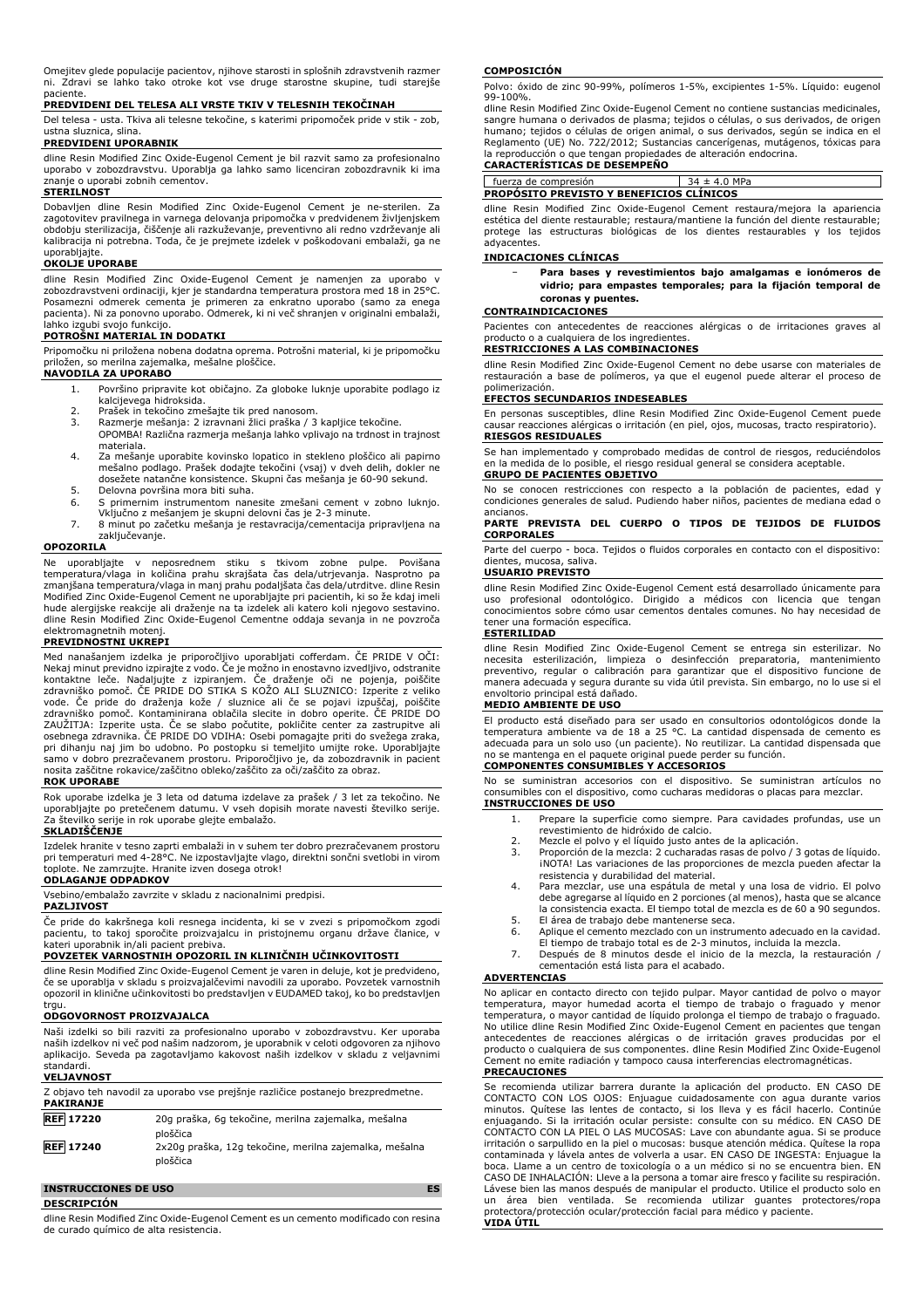Omejitev glede populacije pacientov, njihove starosti in splošnih zdravstvenih razmer ni. Zdravi se lahko tako otroke kot vse druge starostne skupine, tudi starejše paciente.

# **PREDVIDENI DEL TELESA ALI VRSTE TKIV V TELESNIH TEKOČINAH**

Del telesa - usta. Tkiva ali telesne tekočine, s katerimi pripomoček pride v stik - zob, ustna sluznica, slina.

# **PREDVIDENI UPORABNIK**

dline Resin Modified Zinc Oxide-Eugenol Cement je bil razvit samo za profesionalno uporabo v zobozdravstvu. Uporablja ga lahko samo licenciran zobozdravnik ki ima znanje o uporabi zobnih cementov.

# **STERILNOST**

Dobavljen dline Resin Modified Zinc Oxide-Eugenol Cement je ne-sterilen. Za zagotovitev pravilnega in varnega delovanja pripomočka v predvidenem življenjskem obdobju sterilizacija, čiščenje ali razkuževanje, preventivno ali redno vzdrževanje ali kalibracija ni potrebna. Toda, če je prejmete izdelek v poškodovani embalaži, ga ne uporabliaite

# **OKOLJE UPORABE**

dline Resin Modified Zinc Oxide-Eugenol Cement je namenjen za uporabo v zobozdravstveni ordinaciji, kjer je standardna temperatura prostora med 18 in 25°C. Posamezni odmerek cementa je primeren za enkratno uporabo (samo za enega pacienta). Ni za ponovno uporabo. Odmerek, ki ni več shranjen v originalni embalaži, lahko izgubi svojo funkcijo.

# **POTROŠNI MATERIAL IN DODATKI**

Pripomočku ni priložena nobena dodatna oprema. Potrošni material, ki je pripomočku priložen, so merilna zajemalka, mešalne ploščice.

### **NAVODILA ZA UPORABO**

- 1. Površino pripravite kot običajno. Za globoke luknje uporabite podlago iz
- kalcijevega hidroksida. 2. Prašek in tekočino zmešajte tik pred nanosom.
- 3. Razmerje mešanja: 2 izravnani žlici praška / 3 kapljice tekočine.
- OPOMBA! Različna razmerja mešanja lahko vplivajo na trdnost in trajnost materiala.
- 4. Za mešanje uporabite kovinsko lopatico in stekleno ploščico ali papirno mešalno podlago. Prašek dodajte tekočini (vsaj) v dveh delih, dokler ne dosežete natančne konsistence. Skupni čas mešanja je 60-90 sekund.
- 5. Delovna površina mora biti suha.<br>6. S primernim instrumentom nane
- 6. S primernim instrumentom nanesite zmešani cement v zobno luknjo. Vključno z mešanjem je skupni delovni čas je 2-3 minute.
- 7. 8 minut po začetku mešanja je restavracija/cementacija pripravljena na zaključevanje.

#### **OPOZORILA**

Ne uporabljajte v neposrednem stiku s tkivom zobne pulpe. Povišana temperatura/vlaga in količina prahu skrajšata čas dela/utrjevanja. Nasprotno pa<br>zmanjšana|temperatura/vlaga|n manj prahu podaljšata čas dela/utrditve. dline Resin<br>Modified Zinc Oxide-Eugenol Cement ne uporabljajte pri paci hude alergijske reakcije ali draženje na ta izdelek ali katero koli njegovo sestavino. dline Resin Modified Zinc Oxide-Eugenol Cementne oddaja sevanja in ne povzroča elektromagnetnih motenj. **PREVIDNOSTNI UKREPI**

Med nanašanjem izdelka je priporočljivo uporabljati cofferdam. ČE PRIDE V OČI: Nekaj minut previdno izpirajte z vodo. Če je možno in enostavno izvedljivo, odstranite kontaktne leče. Nadaljujte z izpiranjem. Če draženje oči ne pojenja, poiščite zdravniško pomoč. ČE PRIDE DO STIKA S KOŽO ALI SLUZNICO: Izperite z veliko vode. Če pride do draženja kože / sluznice ali če se pojavi izpuščaj, poiščite zdravniško pomoč. Kontaminirana oblačila slecite in dobro operite. ČE PRIDE DO ZAUŽITJA: Izperite usta. Če se slabo počutite, pokličite center za zastrupitve ali osebnega zdravnika. ČE PRIDE DO VDIHA: Osebi pomagajte priti do svežega zraka, pri dihanju naj jim bo udobno. Po postopku si temeljito umijte roke. Uporabljajte samo v dobro prezračevanem prostoru. Priporočljivo je, da zobozdravnik in pacient nosita zaščitne rokavice/zaščitno obleko/zaščito za oči/zaščito za obraz.

#### **ROK UPORABE**

Rok uporabe izdelka je 3 leta od datuma izdelave za prašek / 3 let za tekočino. Ne uporabljajte po pretečenem datumu. V vseh dopisih morate navesti številko serije. Za številko serije in rok uporabe glejte embalažo.

#### **SKLADIŠČENJE**

Izdelek hranite v tesno zaprti embalaži in v suhem ter dobro prezračevanem prostoru pri temperaturi med 4-28°C. Ne izpostavljajte vlago, direktni sončni svetlobi in virom toplote. Ne zamrzujte. Hranite izven dosega otrok!

# **ODLAGANJE ODPADKOV**

Vsebino/embalažo zavrzite v skladu z nacionalnimi predpisi.

# **PAZLJIVOST**

Če pride do kakršnega koli resnega incidenta, ki se v zvezi s pripomočkom zgodi pacientu, to takoj sporočite proizvajalcu in pristojnemu organu države članice, v kateri uporabnik in/ali pacient prebiva.

# **POVZETEK VARNOSTNIH OPOZORIL IN KLINIČNIH UČINKOVITOSTI**

dline Resin Modified Zinc Oxide-Eugenol Cement je varen in deluje, kot je predvideno, če se uporablja v skladu s proizvajalčevimi navodili za uporabo. Povzetek varnostnih opozoril in klinične učinkovitosti bo predstavljen v EUDAMED takoj, ko bo predstavljen trau

#### **ODGOVORNOST PROIZVAJALCA**

Naši izdelki so bili razviti za profesionalno uporabo v zobozdravstvu. Ker uporaba naših izdelkov ni več pod našim nadzorom, je uporabnik v celoti odgovoren za njihovo aplikacijo. Seveda pa zagotavljamo kakovost naših izdelkov v skladu z veljavnimi standardi.

#### **VELJAVNOST**

| <b>PAKIRANJE</b> | Z objavo teh navodil za uporabo vse prejšnje različice postanejo brezpredmetne. |
|------------------|---------------------------------------------------------------------------------|
| <b>REF</b> 17220 | 20g praška, 6g tekočine, merilna zajemalka, mešalna<br>ploščica                 |
| <b>REF 17240</b> | 2x20q praška, 12q tekočine, merilna zajemalka, mešalna<br>ploščica              |

### **INSTRUCCIONES DE USO ES**

**DESCRIPCIÓN**

dline Resin Modified Zinc Oxide-Eugenol Cement es un cemento modificado con resina de curado químico de alta resistencia.

#### **COMPOSICIÓN**

Polvo: óxido de zinc 90-99%, polímeros 1-5%, excipientes 1-5%. Líquido: eugenol 99-100%.

dline Resin Modified Zinc Oxide-Eugenol Cement no contiene sustancias medicinales, sangre humana o derivados de plasma; tejidos o células, o sus derivados, de origen humano; tejidos o células de origen animal, o sus derivados, según se indica en el Reglamento (UE) No. 722/2012; Sustancias cancerígenas, mutágenos, tóxicas para la reproducción o que tengan propiedades de alteración endocrina. **CARACTERÍSTICAS DE DESEMPEÑO**

fuerza de compresión 34 ± 4.0 MPa **PROPÓSITO PREVISTO Y BENEFICIOS CLÍNICOS**

dline Resin Modified Zinc Oxide-Eugenol Cement restaura/mejora la apariencia estética del diente restaurable; restaura/mantiene la función del diente restaurable; protege las estructuras biológicas de los dientes restaurables y los tejidos adyacentes.

#### **INDICACIONES CLÍNICAS**

− **Para bases y revestimientos bajo amalgamas e ionómeros de vidrio; para empastes temporales; para la fijación temporal de coronas y puentes.**

#### **CONTRAINDICACIONES**

Pacientes con antecedentes de reacciones alérgicas o de irritaciones graves al producto o a cualquiera de los ingredientes.

# **RESTRICCIONES A LAS COMBINACIONES**

dline Resin Modified Zinc Oxide-Eugenol Cement no debe usarse con materiales de restauración a base de polímeros, ya que el eugenol puede alterar el proceso de polimerización.

### **EFECTOS SECUNDARIOS INDESEABLES**

En personas susceptibles, dline Resin Modified Zinc Oxide-Eugenol Cement puede causar reacciones alérgicas o irritación (en piel, ojos, mucosas, tracto respiratorio). **RIESGOS RESIDUALES**

# Se han implementado y comprobado medidas de control de riesgos, reduciéndolos en la medida de lo posible, el riesgo residual general se considera aceptable. **GRUPO DE PACIENTES OBJETIVO**

No se conocen restricciones con respecto a la población de pacientes, edad y condiciones generales de salud. Pudiendo haber niños, pacientes de mediana edad o

# ancianos. **PARTE PREVISTA DEL CUERPO O TIPOS DE TEJIDOS DE FLUIDOS CORPORALES**

Parte del cuerpo - boca. Tejidos o fluidos corporales en contacto con el dispositivo: dientes, mucosa, saliva.

#### **USUARIO PREVISTO**

dline Resin Modified Zinc Oxide-Eugenol Cement está desarrollado únicamente para uso profesional odontológico. Dirigido a médicos con licencia que tengan conocimientos sobre cómo usar cementos dentales comunes. No hay necesidad de tener una formación específica.

## **ESTERILIDAD**

dline Resin Modified Zinc Oxide-Eugenol Cement se entrega sin esterilizar. No necesita esterilización, limpieza o desinfección preparatoria, mantenimiento preventivo, regular o calibración para garantizar que el dispositivo funcione de manera adecuada y segura durante su vida útil prevista. Sin embargo, no lo use si el envoltorio principal está dañado.

# **MEDIO AMBIENTE DE USO**

El producto está diseñado para ser usado en consultorios odontológicos donde la temperatura ambiente va de 18 a 25 °C. La cantidad dispensada de cemento es adecuada para un solo uso (un paciente). No reutilizar. La cantidad dispensada que no se mantenga en el paquete original puede perder su función.

# **COMPONENTES CONSUMIBLES Y ACCESORIOS**

No se suministran accesorios con el dispositivo. Se suministran artículos no consumibles con el dispositivo, como cucharas medidoras o placas para mezclar. **INSTRUCCIONES DE USO**

- 1. Prepare la superficie como siempre. Para cavidades profundas, use un revestimiento de hidróxido de calcio.
	- 2. Mezcle el polvo y el líquido justo antes de la aplicación.<br>
	2. Mezcle el polvo y el líquido justo antes de la aplicación.<br>
	3. Proporción de la mezcla: 2 cucharadas rasas de polvo / 3.
	- 3. Proporción de la mezcla: 2 cucharadas rasas de polvo / 3 gotas de líquido. ¡NOTA! Las variaciones de las proporciones de mezcla pueden afectar la resistencia y durabilidad del material.
	- 4. Para mezclar, use una espátula de metal y una losa de vidrio. El polvo debe agregarse al líquido en 2 porciones (al menos), hasta que se alcance la consistencia exacta. El tiempo total de mezcla es de 60 a 90 segundos.
	- 5. El área de trabajo debe mantenerse seca.<br>6. Aplique el cemento mezclado con un instru Aplique el cemento mezclado con un instrumento adecuado en la cavidad.
	- El tiempo de trabajo total es de 2-3 minutos, incluida la mezcla. 7. Después de 8 minutos desde el inicio de la mezcla, la restauración / cementación está lista para el acabado.

# **ADVERTENCIAS**

No aplicar en contacto directo con tejido pulpar. Mayor cantidad de polvo o mayor temperatura, mayor humedad acorta el tiempo de trabajo o fraguado y menor temperatura, o mayor cantidad de líquido prolonga el tiempo de trabajo o fraguado.<br>No utilice dline Resin Modified Zinc Oxide-Eugenol Cement en pacientes que tengan<br>antecedentes de reacciones alérgicas o de irritació producto o cualquiera de sus componentes. dline Resin Modified Zinc Oxide-Eugenol Cement no emite radiación y tampoco causa interferencias electromagnéticas. **PRECAUCIONES**

#### Se recomienda utilizar barrera durante la aplicación del producto. EN CASO DE CONTACTO CON LOS OJOS: Enjuague cuidadosamente con agua durante varios minutos. Quítese las lentes de contacto, si los lleva y es fácil hacerlo. Continúe enjuagando. Si la irritación ocular persiste: consulte con su médico. EN CASO DE CONTACTO CON LA PIEL O LAS MUCOSAS: Lave con abundante agua. Si se produce irritación o sarpullido en la piel o mucosas: busque atención médica. Quítese la ropa contaminada y lávela antes de volverla a usar. EN CASO DE INGESTA: Enjuague la boca. Llame a un centro de toxicología o a un médico si no se encuentra bien. EN CASO DE INHALACIÓN: Lleve a la persona a tomar aire fresco y facilite su respiración. Lávese bien las manos después de manipular el producto. Utilice el producto solo en un área bien ventilada. Se recomienda utilizar guantes protectores/ropa protectora/protección ocular/protección facial para médico y paciente. **VIDA ÚTIL**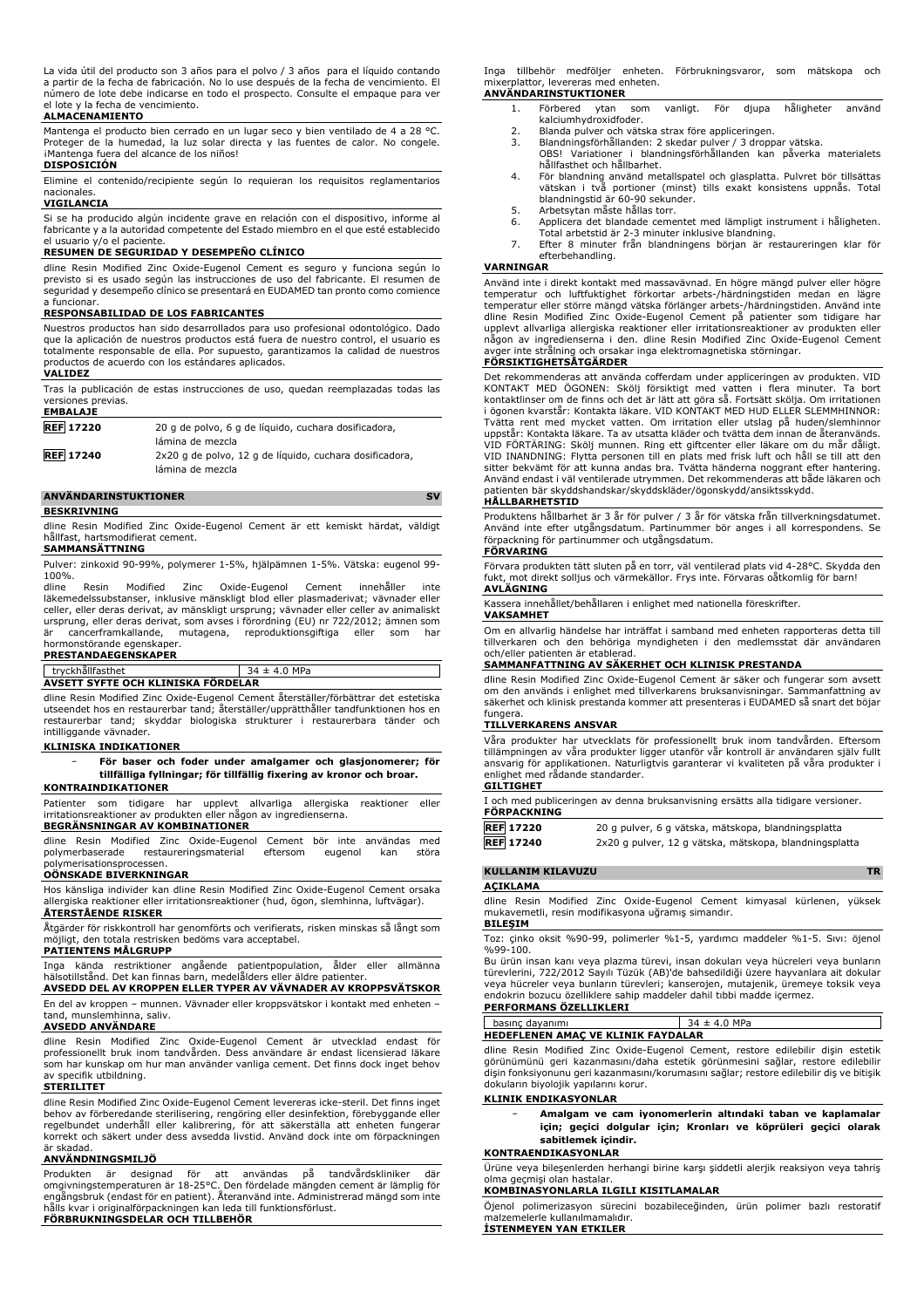La vida útil del producto son 3 años para el polvo / 3 años para el líquido contando a partir de la fecha de fabricación. No lo use después de la fecha de vencimiento. El número de lote debe indicarse en todo el prospecto. Consulte el empaque para ver el lote y la fecha de vencimiento.

#### **ALMACENAMIENTO**

Mantenga el producto bien cerrado en un lugar seco y bien ventilado de 4 a 28 °C. Proteger de la humedad, la luz solar directa y las fuentes de calor. No congele. iMantenga fuera del alcance de los niños!

# **DISPOSICIÓN**

Elimine el contenido/recipiente según lo requieran los requisitos reglamentarios nacionales.

#### **VIGILANCIA**

Si se ha producido algún incidente grave en relación con el dispositivo, informe al fabricante y a la autoridad competente del Estado miembro en el que esté establecido el usuario y/o el paciente.

#### **RESUMEN DE SEGURIDAD Y DESEMPEÑO CLÍNICO**

dline Resin Modified Zinc Oxide-Eugenol Cement es seguro y funciona según lo previsto si es usado según las instrucciones de uso del fabricante. El resumen de seguridad y desempeño clínico se presentará en EUDAMED tan pronto como comience a funcionar.

### **RESPONSABILIDAD DE LOS FABRICANTES**

Nuestros productos han sido desarrollados para uso profesional odontológico. Dado que la aplicación de nuestros productos está fuera de nuestro control, el usuario es totalmente responsable de ella. Por supuesto, garantizamos la calidad de nuestros productos de acuerdo con los estándares aplicados.

#### **VALIDEZ**

Tras la publicación de estas instrucciones de uso, quedan reemplazadas todas las versiones previas. **EMBALAJE**

| ---------        |                                                         |
|------------------|---------------------------------------------------------|
| <b>REF 17220</b> | 20 g de polvo, 6 g de líquido, cuchara dosificadora,    |
|                  | lámina de mezcla                                        |
| <b>REF 17240</b> | 2x20 g de polvo, 12 g de líquido, cuchara dosificadora, |
|                  | lámina de mezcla                                        |

# **ANVÄNDARINSTUKTIONER SV**

**BESKRIVNING**

dline Resin Modified Zinc Oxide-Eugenol Cement är ett kemiskt härdat, väldigt hållfast, hartsmodifierat cement.

#### **SAMMANSÄTTNING**

Pulver: zinkoxid 90-99%, polymerer 1-5%, hjälpämnen 1-5%. Vätska: eugenol 99- 100%.<br>dline

Resin Modified Zinc Oxide-Eugenol Cement innehåller inte läkemedelssubstanser, inklusive mänskligt blod eller plasmaderivat; vävnader eller celler, eller deras derivat, av mänskligt ursprung; vävnader eller celler av animaliskt ursprung, eller deras derivat, som avses i förordning (EU) nr 722/2012; ämnen som<br>är cancerframkallande. mutagena. reproduktionsgiftiga eller som har cancerframkallande, mutagena, reproduktionsgiftiga

# hormonstörande egenskaper. **PRESTANDAEGENSKAPER**

| tryckhällfasthet                   | $34 \pm 4.0$ MPa |
|------------------------------------|------------------|
| AVSETT SYFTE OCH KLINISKA FÖRDELAR |                  |
|                                    |                  |

dline Resin Modified Zinc Oxide-Eugenol Cement återställer/förbättrar det estetiska utseendet hos en restaurerbar tand; återställer/upprätthåller tandfunktionen hos en restaurerbar tand; skyddar biologiska strukturer i restaurerbara tänder och intilliggande vävnader.

#### **KLINISKA INDIKATIONER**

− **För baser och foder under amalgamer och glasjonomerer; för tillfälliga fyllningar; för tillfällig fixering av kronor och broar.**

# **KONTRAINDIKATIONER**

Patienter som tidigare har upplevt allvarliga allergiska reaktioner eller irritationsreaktioner av produkten eller någon av ingredienserna.

#### **BEGRÄNSNINGAR AV KOMBINATIONER**

dline Resin Modified Zinc Oxide-Eugenol Cement bör inte användas med polymerbaserade restaureringsmaterial eftersom eugenol kan störa restaureringsmaterial eftersom eugenol kan störa polymerisationsprocessen. **OÖNSKADE BIVERKNINGAR**

Hos känsliga individer kan dline Resin Modified Zinc Oxide-Eugenol Cement orsaka allergiska reaktioner eller irritationsreaktioner (hud, ögon, slemhinna, luftvägar). **ÅTERSTÅENDE RISKER**

Åtgärder för riskkontroll har genomförts och verifierats, risken minskas så långt som möjligt, den totala restrisken bedöms vara acceptabel.

### **PATIENTENS MÅLGRUPP**

Inga kända restriktioner angående patientpopulation, ålder eller allmänna hälsotillstånd. Det kan finnas barn, medelålders eller äldre patienter.

**AVSEDD DEL AV KROPPEN ELLER TYPER AV VÄVNADER AV KROPPSVÄTSKOR** En del av kroppen – munnen. Vävnader eller kroppsvätskor i kontakt med enheten – tand, munslemhinna, saliv.

### **AVSEDD ANVÄNDARE**

dline Resin Modified Zinc Oxide-Eugenol Cement är utvecklad endast för professionellt bruk inom tandvården. Dess användare är endast licensierad läkare som har kunskap om hur man använder vanliga cement. Det finns dock inget behov av specifik utbildning.

#### **STERILITET**

dline Resin Modified Zinc Oxide-Eugenol Cement levereras icke-steril. Det finns inget behov av förberedande sterilisering, rengöring eller desinfektion, förebyggande eller regelbundet underhåll eller kalibrering, för att säkerställa att enheten fungerar korrekt och säkert under dess avsedda livstid. Använd dock inte om förpackningen är skadad.

#### **ANVÄNDNINGSMILJÖ**

Produkten är designad för att användas på tandvårdskliniker där omgivningstemperaturen är 18-25°C. Den fördelade mängden cement är lämplig för engångsbruk (endast för en patient). Återanvänd inte. Administrerad mängd som inte hålls kvar i originalförpackningen kan leda till funktionsförlust. **FÖRBRUKNINGSDELAR OCH TILLBEHÖR**

Inga tillbehör medföljer enheten. Förbrukningsvaror, som mätskopa och mixerplattor, levereras med enheten. **ANVÄNDARINSTUKTIONER**

- 1. Förbered ytan som vanligt. För djupa håligheter använd kalciumhydroxidfoder.
	-
	- 2. Blanda pulver och vätska strax före appliceringen.<br>2. Blanda pulver och vätska strax före appliceringen.
	- 3. Blandningsförhållanden: 2 skedar pulver / 3 droppar vätska. OBS! Variationer i blandningsförhållanden kan påverka materialets hållfasthet och hållbarhet.
	- 4. För blandning använd metallspatel och glasplatta. Pulvret bör tillsättas vätskan i två portioner (minst) tills exakt konsistens uppnås. Total blandningstid är 60-90 sekunder.
	- 5. Arbetsytan måste hållas torr.<br>6. Applicera det blandade cemer
	- 6. Applicera det blandade cementet med lämpligt instrument i håligheten.<br>– Total arbetstid är 2-3 minuter inklusive blandning.<br>7. Efter 8 minuter från blandningens början är restaureringen klar för
	- efterbehandling.

#### **VARNINGAR**

Använd inte i direkt kontakt med massavävnad. En högre mängd pulver eller högre temperatur och luftfuktighet förkortar arbets-/härdningstiden medan en lägre temperatur eller större mängd vätska förlänger arbets-/härdningstiden. Använd inte dline Resin Modified Zinc Oxide-Eugenol Cement på patienter som tidigare har upplevt allvarliga allergiska reaktioner eller irritationsreaktioner av produkten eller någon av ingredienserna i den. dline Resin Modified Zinc Oxide-Eugenol Cement avger inte strålning och orsakar inga elektromagnetiska störningar. **FÖRSIKTIGHETSÅTGÄRDER**

Det rekommenderas att använda cofferdam under appliceringen av produkten. VID KONTAKT MED ÖGONEN: Skölj försiktigt med vatten i flera minuter. Ta bort kontaktlinser om de finns och det är lätt att göra så. Fortsätt skölja. Om irritationen i ögonen kvarstår: Kontakta läkare. VID KONTAKT MED HUD ELLER SLEMMHINNOR: Tvätta rent med mycket vatten. Om irritation eller utslag på huden/slemhinnor uppstår: Kontakta läkare. Ta av utsatta kläder och tvätta dem innan de återanvänds. VID FÖRTÄRING: Skölj munnen. Ring ett giftcenter eller läkare om du mår dåligt. VID INANDNING: Flytta personen till en plats med frisk luft och håll se till att den sitter bekvämt för att kunna andas bra. Tvätta händerna noggrant efter hantering. Använd endast i väl ventilerade utrymmen. Det rekommenderas att både läkaren och patienten bär skyddshandskar/skyddskläder/ögonskydd/ansiktsskydd.

#### **HÅLLBARHETSTID**

Produktens hållbarhet är 3 år för pulver / 3 år för vätska från tillverkningsdatumet. Använd inte efter utgångsdatum. Partinummer bör anges i all korrespondens. Se förpackning för partinummer och utgångsdatum. **FÖRVARING**

Förvara produkten tätt sluten på en torr, väl ventilerad plats vid 4-28°C. Skydda den fukt, mot direkt solljus och värmekällor. Frys inte. Förvaras oåtkomlig för barn! **AVLÄGNING**

Kassera innehållet/behållaren i enlighet med nationella föreskrifter. **VAKSAMHET**

Om en allvarlig händelse har inträffat i samband med enheten rapporteras detta till tillverkaren och den behöriga myndigheten i den medlemsstat där användaren och/eller patienten är etablerad.

## **SAMMANFATTNING AV SÄKERHET OCH KLINISK PRESTANDA**

dline Resin Modified Zinc Oxide-Eugenol Cement är säker och fungerar som avsett om den används i enlighet med tillverkarens bruksanvisningar. Sammanfattning av säkerhet och klinisk prestanda kommer att presenteras i EUDAMED så snart det böjar fungera

#### **TILLVERKARENS ANSVAR**

Våra produkter har utvecklats för professionellt bruk inom tandvården. Eftersom tillämpningen av våra produkter ligger utanför vår kontroll är användaren själv fullt ansvarig för applikationen. Naturligtvis garanterar vi kvaliteten på våra produkter i enlighet med rådande standarder. **GILTIGHET**

| I och med publiceringen av denna bruksanvisning ersätts alla tidigare versioner. |               |  |  |  |  |
|----------------------------------------------------------------------------------|---------------|--|--|--|--|
| FÖRPACKNING                                                                      |               |  |  |  |  |
| ——— <i>-</i> ————                                                                | $\sim$ $\sim$ |  |  |  |  |

| <b>REF 17220</b> | 20 g pulver, 6 g vätska, mätskopa, blandningsplatta    |
|------------------|--------------------------------------------------------|
| <b>REF 17240</b> | 2x20 g pulver, 12 g vätska, mätskopa, blandningsplatta |
|                  |                                                        |

# **KULLANIM KILAVUZU TR**

**AÇIKLAMA** dline Resin Modified Zinc Oxide-Eugenol Cement kimyasal kürlenen, yüksek

mukavemetli, resin modifikasyona uğramış simandır. **BILEŞIM**

Toz: çinko oksit %90-99, polimerler %1-5, yardımcı maddeler %1-5. Sıvı: öjenol %99-100.

Bu ürün insan kanı veya plazma türevi, insan dokuları veya hücreleri veya bunların türevlerini, 722/2012 Sayılı Tüzük (AB)'de bahsedildiği üzere hayvanlara ait dokular veya hücreler veya bunların türevleri; kanserojen, mutajenik, üremeye toksik veya endokrin bozucu özelliklere sahip maddeler dahil tıbbi madde içermez. **PERFORMANS ÖZELLIKLERI**

| <b>HEDEFLENEN AMAC VE KLINIK FAYDALAR</b> |             |  |  |
|-------------------------------------------|-------------|--|--|
| basınc davanımı                           | $±$ 4.0 MPa |  |  |
|                                           |             |  |  |

dline Resin Modified Zinc Oxide-Eugenol Cement, restore edilebilir dişin estetik görünümünü geri kazanmasını/daha estetik görünmesini sağlar, restore edilebilir dişin fonksiyonunu geri kazanmasını/korumasını sağlar; restore edilebilir diş ve bitişik dokuların biyolojik yapılarını korur.

#### **KLINIK ENDIKASYONLAR**

− **Amalgam ve cam iyonomerlerin altındaki taban ve kaplamalar için; geçici dolgular için; Kronları ve köprüleri geçici olarak sabitlemek içindir.**

#### **KONTRAENDIKASYONLAR**

Ürüne veya bileşenlerden herhangi birine karşı şiddetli alerjik reaksiyon veya tahriş olma geçmişi olan hastalar.

# **KOMBINASYONLARLA ILGILI KISITLAMALAR**

Öjenol polimerizasyon sürecini bozabileceğinden, ürün polimer bazlı restoratif malzemelerle kullanılmamalıdır. **İSTENMEYEN YAN ETKILER**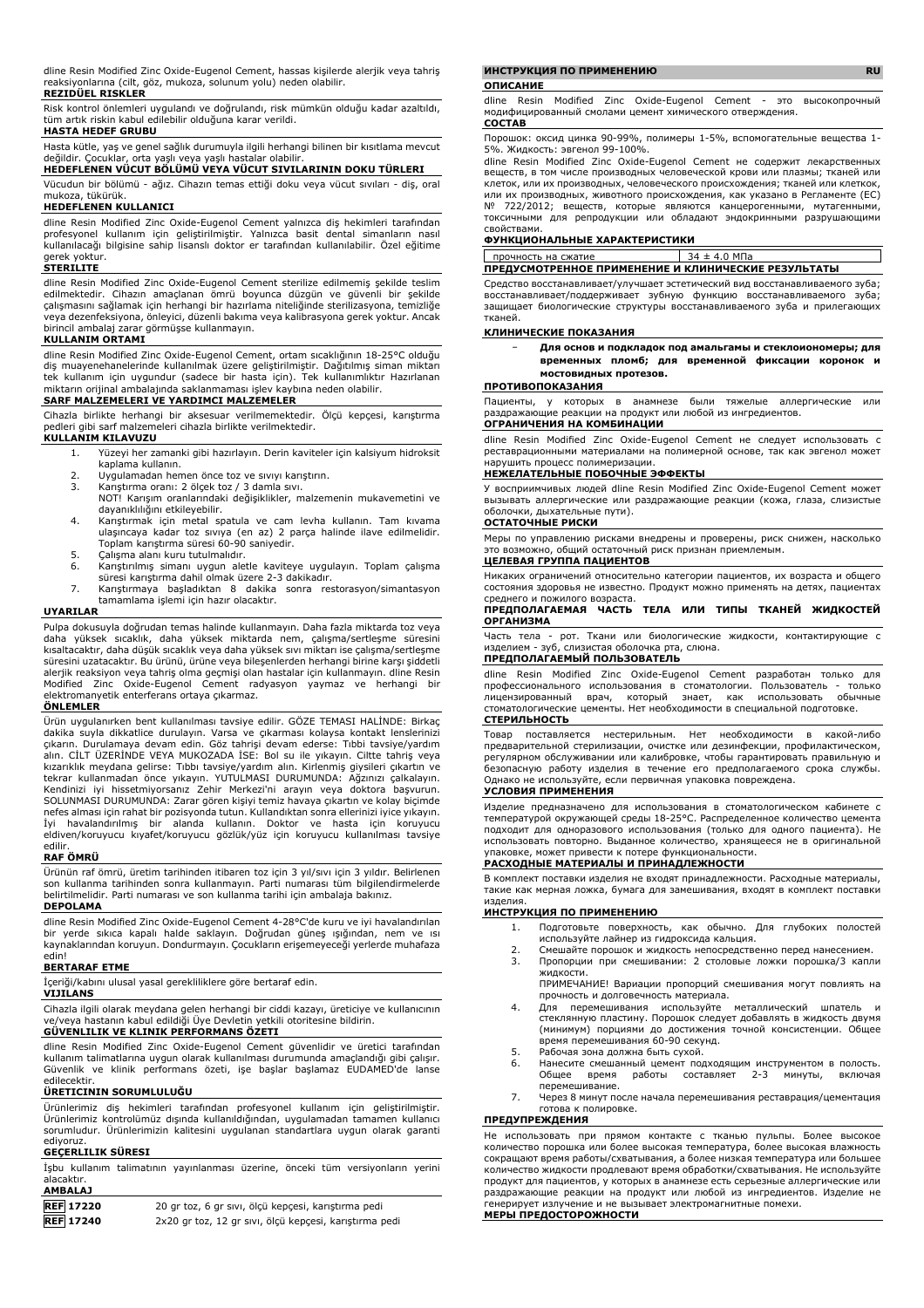dline Resin Modified Zinc Oxide-Eugenol Cement, hassas kişilerde alerjik veya tahriş reaksiyonlarına (cilt, göz, mukoza, solunum yolu) neden olabilir.

### **REZIDÜEL RISKLER**

Risk kontrol önlemleri uygulandı ve doğrulandı, risk mümkün olduğu kadar azaltıldı, tüm artık riskin kabul edilebilir olduğuna karar verildi.

# **HASTA HEDEF GRUBU**

Hasta kütle, yaş ve genel sağlık durumuyla ilgili herhangi bilinen bir kısıtlama mevcut değildir. Çocuklar, orta yaşlı veya yaşlı hastalar olabilir.

# **HEDEFLENEN VÜCUT BÖLÜMÜ VEYA VÜCUT SIVILARININ DOKU TÜRLERI**

Vücudun bir bölümü - ağız. Cihazın temas ettiği doku veya vücut sıvıları - diş, oral mukoza, tükürük. **HEDEFLENEN KULLANICI**

# dline Resin Modified Zinc Oxide-Eugenol Cement yalnızca diş hekimleri tarafından profesyonel kullanım için geliştirilmiştir. Yalnızca basit dental simanların nasıl kullanılacağı bilgisine sahip lisanslı doktor er tarafından kullanılabilir. Özel eğitime gerek yoktur.

#### **STERILITE**

dline Resin Modified Zinc Oxide-Eugenol Cement sterilize edilmemiş şekilde teslim edilmektedir. Cihazın amaçlanan ömrü boyunca düzgün ve güvenli bir şekilde çalışmasını sağlamak için herhangi bir hazırlama niteliğinde sterilizasyona, temizliğe veya dezenfeksiyona, önleyici, düzenli bakıma veya kalibrasyona gerek yoktur. Ancak birincil ambalaj zarar görmüşse kullanmayın.

#### **KULLANIM ORTAMI**

dline Resin Modified Zinc Oxide-Eugenol Cement, ortam sıcaklığının 18-25°C olduğu diş muayenehanelerinde kullanılmak üzere geliştirilmiştir. Dağıtılmış siman miktarı tek kullanım için uygundur (sadece bir hasta için). Tek kullanımlıktır Hazırlanan miktarın orijinal ambalajında saklanmaması işlev kaybına neden olabilir.

# **SARF MALZEMELERI VE YARDIMCI MALZEMELER**

Cihazla birlikte herhangi bir aksesuar verilmemektedir. Ölçü kepçesi, karıştırma pedleri gibi sarf malzemeleri cihazla birlikte verilmektedir.

- **KULLANIM KILAVUZU**
	- 1. Yüzeyi her zamanki gibi hazırlayın. Derin kaviteler için kalsiyum hidroksit kaplama kullanın.
	- 2. Uygulamadan hemen önce toz ve sıvıyı karıştırın.<br>3. Karıstırma oranı: 2 ölcek toz / 3 damla sıvı.
	- 3. Karıştırma oranı: 2 ölçek toz / 3 damla sıvı. NOT! Karışım oranlarındaki değişiklikler, malzemenin mukavemetini ve dayanıklılığını etkileyebilir.
	- 4. Karıştırmak için metal spatula ve cam levha kullanın. Tam kıvama ulaşıncaya kadar toz sıvıya (en az) 2 parça halinde ilave edilmelidir. Toplam karıştırma süresi 60-90 saniyedir.
	- 5. Çalışma alanı kuru tutulmalıdır. 6. Karıştırılmış simanı uygun aletle kaviteye uygulayın. Toplam çalışma
	- süresi karıştırma dahil olmak üzere 2-3 dakikadır. 7. Karıştırmaya başladıktan 8 dakika sonra restorasyon/simantasyon
	- tamamlama işlemi için hazır olacaktır.

### **UYARILAR**

Pulpa dokusuyla doğrudan temas halinde kullanmayın. Daha fazla miktarda toz veya daha yüksek sıcaklık, daha yüksek miktarda nem, çalışma/sertleşme süresini kısaltacaktır, daha düşük sıcaklık veya daha yüksek sıvı miktarı ise çalışma/sertleşme süresini uzatacaktır. Bu ürünü, ürüne veya bileşenlerden herhangi birine karşı şiddetli alerjik reaksiyon veya tahriş olma geçmişi olan hastalar için kullanmayın. dline Resin Modified Zinc Oxide-Eugenol Cement radyasyon yaymaz ve herhangi bir elektromanyetik enterferans ortaya çıkarmaz.

#### **ÖNLEMLER**

Urün uygulanırken bent kullanılması tavsiye edilir. GOZE TEMASI HALINDE: Birkaç<br>dakika suyla dikkatlice durulayın. Varsa ve çıkarması kolaysa kontakt lenslerinizi<br>çıkarın. Durulamaya devam edin. Göz tahrişi devam ederse: T kızarıklık meydana gelirse: Tıbbı tavsiye/yardım alın. Kirlenmiş giysileri çıkartın ve<br>tekrar kullanmadan önce yıkayın. YUTULMASI DURUMUNDA: Ağzınızı çalkalayın.<br>Kendinizi iyi hissetmiyorsanız Zehir Merkezi'ni arayın SOLUNMASI DURUMUNDA: Zarar gören kişiyi temiz havaya çıkartın ve kolay biçimde nefes alması için rahat bir pozisyonda tutun. Kullandıktan sonra ellerinizi iyice yıkayın. İyi havalandırılmış bir alanda kullanın. Doktor ve hasta için koruyucu eldiven/koruyucu kıyafet/koruyucu gözlük/yüz için koruyucu kullanılması tavsiye edilir.

# **RAF ÖMRÜ**

Ürünün raf ömrü, üretim tarihinden itibaren toz için 3 yıl/sıvı için 3 yıldır. Belirlenen son kullanma tarihinden sonra kullanmayın. Parti numarası tüm bilgilendirmelerde belirtilmelidir. Parti numarası ve son kullanma tarihi için ambalaja bakınız.

# **DEPOLAMA**

dline Resin Modified Zinc Oxide-Eugenol Cement 4-28°C'de kuru ve iyi havalandırılan bir yerde sıkıca kapalı halde saklayın. Doğrudan güneş ışığından, nem ve ısı kaynaklarından koruyun. Dondurmayın. Çocukların erişemeyeceği yerlerde muhafaza edin!

### **BERTARAF ETME**

İçeriği/kabını ulusal yasal gerekliliklere göre bertaraf edin.

#### **VIJILANS**

Cihazla ilgili olarak meydana gelen herhangi bir ciddi kazayı, üreticiye ve kullanıcının ve/veya hastanın kabul edildiği Üye Devletin yetkili otoritesine bildirin.

#### **GÜVENLILIK VE KLINIK PERFORMANS ÖZETI**

dline Resin Modified Zinc Oxide-Eugenol Cement güvenlidir ve üretici tarafından kullanım talimatlarına uygun olarak kullanılması durumunda amaçlandığı gibi çalışır. Güvenlik ve klinik performans özeti, işe başlar başlamaz EUDAMED'de lanse edilecektir.

## **ÜRETICININ SORUMLULUĞU**

Ürünlerimiz diş hekimleri tarafından profesyonel kullanım için geliştirilmiştir. Ürünlerimiz kontrolümüz dışında kullanıldığından, uygulamadan tamamen kullanıcı sorumludur. Ürünlerimizin kalitesini uygulanan standartlara uygun olarak garanti ediyoruz.

# **GEÇERLILIK SÜRESI**

İşbu kullanım talimatının yayınlanması üzerine, önceki tüm versiyonların yerini alacaktır. **AMBALAJ**

| <b>REF 17220</b> | 20 gr toz, 6 gr sıvı, ölçü kepçesi, karıştırma pedi    |
|------------------|--------------------------------------------------------|
| <b>REF</b> 17240 | 2x20 gr toz, 12 gr sıvı, ölçü kepçesi, karıştırma pedi |

#### **ИНСТРУКЦИЯ ПО ПРИМЕНЕНИЮ RU**

#### **ОПИСАНИЕ**

dline Resin Modified Zinc Oxide-Eugenol Cement - это высокопрочный модифицированный смолами цемент химического отверждения. **СОСТАВ**

Порошок: оксид цинка 90-99%, полимеры 1-5%, вспомогательные вещества 1- 5%. Жидкость: эвгенол 99-100%.

dline Resin Modified Zinc Oxide-Eugenol Cement не содержит лекарственных веществ, в том числе производных человеческой крови или плазмы; тканей или клеток, или их производных, человеческого происхождения; тканей или клеткок, или их производных, животного происхождения, как указано в Регламенте (ЕС)<br>№ 722/2012: веществ которые являются канцерогенными мутагенными № 722/2012; веществ, которые являются канцерогенными, мутагенными, то тестеству веществу которые изливном кандерогонными, нукагонными, свойствами.

#### **ФУНКЦИОНАЛЬНЫЕ ХАРАКТЕРИСТИКИ**

| прочность на сжатие                                 | 34 ± 4.0 MΠa |
|-----------------------------------------------------|--------------|
| ПРЕДУСМОТРЕННОЕ ПРИМЕНЕНИЕ И КЛИНИЧЕСКИЕ РЕЗУЛЬТАТЫ |              |

Средство восстанавливает/улучшает эстетический вид восстанавливаемого зуба; восстанавливает/поддерживает зубную функцию восстанавливаемого зуба; защищает биологические структуры восстанавливаемого зуба и прилегающих тканей.

### **КЛИНИЧЕСКИЕ ПОКАЗАНИЯ**

| $\overline{\phantom{0}}$ | Для основ и подкладок под амальгамы и стеклоиономеры; для |  |  |  |
|--------------------------|-----------------------------------------------------------|--|--|--|
|                          | временных пломб; для временной фиксации коронок и         |  |  |  |
|                          | мостовидных протезов.                                     |  |  |  |

#### **ПРОТИВОПОКАЗАНИЯ**

Пациенты, у которых в анамнезе были тяжелые аллергические или раздражающие реакции на продукт или любой из ингредиентов. **ОГРАНИЧЕНИЯ НА КОМБИНАЦИИ**

dline Resin Modified Zinc Oxide-Eugenol Cement не следует использовать с реставрационными материалами на полимерной основе, так как эвгенол может нарушить процесс полимеризации.

#### **НЕЖЕЛАТЕЛЬНЫЕ ПОБОЧНЫЕ ЭФФЕКТЫ**

У восприимчивых людей dline Resin Modified Zinc Oxide-Eugenol Cement может вызывать аллергические или раздражающие реакции (кожа, глаза, слизистые оболочки, дыхательные пути).

### **ОСТАТОЧНЫЕ РИСКИ**

Меры по управлению рисками внедрены и проверены, риск снижен, насколько это возможно, общий остаточный риск признан приемлемым. **ЦЕЛЕВАЯ ГРУППА ПАЦИЕНТОВ**

Никаких ограничений относительно категории пациентов, их возраста и общего состояния здоровья не известно. Продукт можно применять на детях, пациентах среднего и пожилого возраста.

#### **ПРЕДПОЛАГАЕМАЯ ЧАСТЬ ТЕЛА ИЛИ ТИПЫ ТКАНЕЙ ЖИДКОСТЕЙ ОРГАНИЗМА**

Часть тела - рот. Ткани или биологические жидкости, контактирующие с изделием - зуб, слизистая оболочка рта, слюна.

#### **ПРЕДПОЛАГАЕМЫЙ ПОЛЬЗОВАТЕЛЬ**

dline Resin Modified Zinc Oxide-Eugenol Cement разработан только для профессионального использования в стоматологии. Пользователь - только лицензированный врач, который знает, как использовать обычные стоматологические цементы. Нет необходимости в специальной подготовке. **СТЕРИЛЬНОСТЬ**

Товар поставляется нестерильным. Нет необходимости в какой-либо предварительной стерилизации, очистке или дезинфекции, профилактическом, регулярном обслуживании или калибровке, чтобы гарантировать правильную и безопасную работу изделия в течение его предполагаемого срока службы. Однако не используйте, если первичная упаковка повреждена.

#### **УСЛОВИЯ ПРИМЕНЕНИЯ**

Изделие предназначено для использования в стоматологическом кабинете с температурой окружающей среды 18-25°C. Распределенное количество цемента подходит для одноразового использования (только для одного пациента). Не использовать повторно. Выданное количество, хранящееся не в оригинальной упаковке, может привести к потере функциональности.

## **РАСХОДНЫЕ МАТЕРИАЛЫ И ПРИНАДЛЕЖНОСТИ**

В комплект поставки изделия не входят принадлежности. Расходные материалы, такие как мерная ложка, бумага для замешивания, входят в комплект поставки изделия.

#### **ИНСТРУКЦИЯ ПО ПРИМЕНЕНИЮ**

- 1. Подготовьте поверхность, как обычно. Для глубоких полостей используйте лайнер из гидроксида кальция.
- 2. Смешайте порошок и жидкость непосредственно перед нанесением.<br>3. Пропорции при смешивании: 2 столовые ложки порошка/3 капл 3. Пропорции при смешивании: 2 столовые ложки порошка/3 капли жидкости.
- ПРИМЕЧАНИЕ! Вариации пропорций смешивания могут повлиять на прочность и долговечность материала.
- 4. Для перемешивания используйте металлический шпатель и стеклянную пластину. Порошок следует добавлять в жидкость двумя (минимум) порциями до достижения точной консистенции. Общее время перемешивания 60-90 секунд.
- 5. Рабочая зона должна быть сухой.
- 6. Нанесите смешанный цемент подходящим инструментом в полость. Общее время работы составляет 2-3 минуты, включая перемешивание.
- 7. Через 8 минут после начала перемешивания реставрация/цементация готова к полировке.

# **ПРЕДУПРЕЖДЕНИЯ**

Не использовать при прямом контакте с тканью пульпы. Более высокое количество порошка или более высокая температура, более высокая влажность сокращают время работы/схватывания, а более низкая температура или большее количество жидкости продлевают время обработки/схватывания. Не используйте продукт для пациентов, у которых в анамнезе есть серьезные аллергические или раздражающие реакции на продукт или любой из ингредиентов. Изделие не генерирует излучение и не вызывает электромагнитные помехи. **МЕРЫ ПРЕДОСТОРОЖНОСТИ**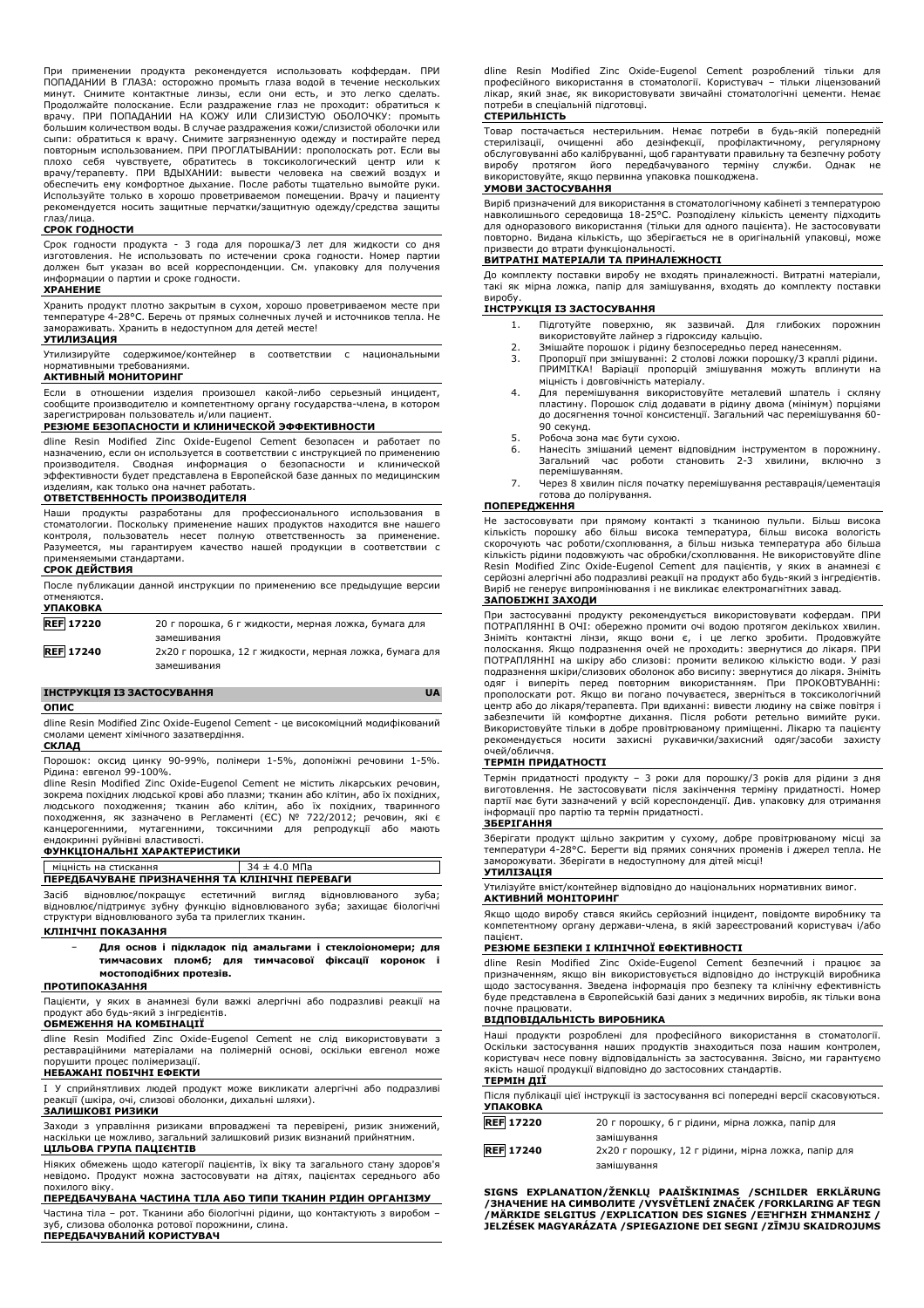При применении продукта рекомендуется использовать коффердам. ПРИ ПОПАДАНИИ В ГЛАЗА: осторожно промыть глаза водой в течение нескольких минут. Снимите контактные линзы, если они есть, и это легко сделать. Продолжайте полоскание. Если раздражение глаз не проходит: обратиться к врачу. ПРИ ПОПАДАНИИ НА КОЖУ ИЛИ СЛИЗИСТУЮ ОБОЛОЧКУ: промыть большим количеством воды. В случае раздражения кожи/слизистой оболочки или<br>сыпи: обратиться к врачу. Снимите загрязненную одежду и постирайте перед<br>повторным использованием. ПРИ ПРОГЛАТЫВАНИИ: прополоскать ро плохо себя чувствуете, обратитесь в токсикологический центр или к врачу/терапевту. ПРИ ВДЫХАНИИ: вывести человека на свежий воздух и обеспечить ему комфортное дыхание. После работы тщательно вымойте руки. Используйте только в хорошо проветриваемом помещении. Врачу и пациенту рекомендуется носить защитные перчатки/защитную одежду/средства защиты глаз/лица.

## **СРОК ГОДНОСТИ**

Срок годности продукта - 3 года для порошка/3 лет для жидкости со дня изготовления. Не использовать по истечении срока годности. Номер партии должен быт указан во всей корреспонденции. См. упаковку для получения информации о партии и сроке годности.

# **ХРАНЕНИЕ**

Хранить продукт плотно закрытым в сухом, хорошо проветриваемом месте при температуре 4-28°C. Беречь от прямых солнечных лучей и источников тепла. Не замораживать. Хранить в недоступном для детей месте!

# **УТИЛИЗАЦИЯ**

Утилизируйте содержимое/контейнер в соответствии с национальными нормативными требованиями.

#### **АКТИВНЫЙ МОНИТОРИНГ**

Если в отношении изделия произошел какой-либо серьезный инцидент, сообщите производителю и компетентному органу государства-члена, в котором зарегистрирован пользователь и/или пациент.

#### **РЕЗЮМЕ БЕЗОПАСНОСТИ И КЛИНИЧЕСКОЙ ЭФФЕКТИВНОСТИ**

dline Resin Modified Zinc Oxide-Eugenol Cement безопасен и работает по назначению, если он используется в соответствии с инструкцией по применению производителя. Сводная информация о безопасности и клинической эффективности будет представлена в Европейской базе данных по медицинским изделиям, как только она начнет работать.

# **ОТВЕТСТВЕННОСТЬ ПРОИЗВОДИТЕЛЯ**

Наши продукты разработаны для профессионального использования в стоматологии. Поскольку применение наших продуктов находится вне нашего контроля, пользователь несет полную ответственность за применение. Разумеется, мы гарантируем качество нашей продукции в соответствии с применяемыми стандартами.

### **СРОК ДЕЙСТВИЯ**

|                  | После публикации данной инструкции по применению все предыдущие версии |
|------------------|------------------------------------------------------------------------|
| отменяются.      |                                                                        |
| <b>УПАКОВКА</b>  |                                                                        |
| <b>REF 17220</b> | 20 г порошка, 6 г жидкости, мерная ложка, бумага для                   |
|                  | замешивания                                                            |
| <b>REF 17240</b> | 2х20 г порошка, 12 г жидкости, мерная ложка, бумага для                |
|                  | замешивания                                                            |

#### **ІНСТРУКЦІЯ ІЗ ЗАСТОСУВАННЯ UA**

#### **ОПИС**

dline Resin Modified Zinc Oxide-Eugenol Cement - це високоміцний модифікований смолами цемент хімічного зазатвердіння. **СКЛАД**

Порошок: оксид цинку 90-99%, полімери 1-5%, допоміжні речовини 1-5%. Рідина: евгенол 99-100%.

dline Resin Modified Zinc Oxide-Eugenol Cement не містить лікарських речовин, зокрема похідних людської крові або плазми; тканин або клітин, або їх похідних, людського походження; тканин або клітин, або їх похідних, тваринного походження, як зазначено в Регламенті (ЄС) № 722/2012; речовин, які є канцерогенними, мутагенними, токсичними для репродукції або мають ендокринні руйнівні властивості.

# **ФУНКЦІОНАЛЬНІ ХАРАКТЕРИСТИКИ**

#### міцність на стискання  $34 \pm 4.0$  МПа **ПЕРЕДБАЧУВАНЕ ПРИЗНАЧЕННЯ ТА КЛІНІЧНІ ПЕРЕВАГИ**

Засіб відновлює/покращує естетичний вигляд відновлюваного зуба; відновлює/підтримує зубну функцію відновлюваного зуба; захищає біологічні структури відновлюваного зуба та прилеглих тканин.

# **КЛІНІЧНІ ПОКАЗАННЯ**

− **Для основ і підкладок під амальгами і стеклоіономери; для тимчасових пломб; для тимчасової фіксації коронок і мостоподібних протезів.**

# **ПРОТИПОКАЗАННЯ**

Пацієнти, у яких в анамнезі були важкі алергічні або подразливі реакції на продукт або будь-який з інгредієнтів. **ОБМЕЖЕННЯ НА КОМБІНАЦІЇ**

dline Resin Modified Zinc Oxide-Eugenol Cement не слід використовувати з реставраційними матеріалами на полімерній основі, оскільки евгенол може порушити процес полімеризації.

### **НЕБАЖАНІ ПОБІЧНІ ЕФЕКТИ**

I У сприйнятливих людей продукт може викликати алергічні або подразливі реакції (шкіра, очі, слизові оболонки, дихальні шляхи).

# **ЗАЛИШКОВІ РИЗИКИ**

Заходи з управління ризиками впроваджені та перевірені, ризик знижений, наскільки це можливо, загальний залишковий ризик визнаний прийнятним. **ЦІЛЬОВА ГРУПА ПАЦІЄНТІВ**

Ніяких обмежень щодо категорії пацієнтів, їх віку та загального стану здоров'я невідомо. Продукт можна застосовувати на дітях, пацієнтах середнього або похилого віку.

**ПЕРЕДБАЧУВАНА ЧАСТИНА ТІЛА АБО ТИПИ ТКАНИН РІДИН ОРГАНІЗМУ** Частина тіла – рот. Тканини або біологічні рідини, що контактують з виробом – зуб, слизова оболонка ротової порожнини, слина. **ПЕРЕДБАЧУВАНИЙ КОРИСТУВАЧ**

dline Resin Modified Zinc Oxide-Eugenol Cement розроблений тільки для професійного використання в стоматології. Користувач – тільки ліцензований лікар, який знає, як використовувати звичайні стоматологічні цементи. Немає потреби в спеціальній підготовці.

#### **СТЕРИЛЬНІСТЬ**

Товар постачається нестерильним. Немає потреби в будь-якій попередній стерилізації, очищенні або дезінфекції, профілактичному, регулярному обслуговуванні або калібруванні, щоб гарантувати правильну та безпечну роботу виробу протягом його передбачуваного терміну служби. Однак використовуйте, якщо первинна упаковка пошкоджена.

#### **УМОВИ ЗАСТОСУВАННЯ**

Виріб призначений для використання в стоматологічному кабінеті з температурою навколишнього середовища 18-25°C. Розподілену кількість цементу підходить для одноразового використання (тільки для одного пацієнта). Не застосовувати повторно. Видана кількість, що зберігається не в оригінальній упаковці, може призвести до втрати функціональності.

### **ВИТРАТНІ МАТЕРІАЛИ ТА ПРИНАЛЕЖНОСТІ**

До комплекту поставки виробу не входять приналежності. Витратні матеріали, .<br>такі як мірна ложка, папір для замішування, входять до комплекту поставки виробу.

#### **ІНСТРУКЦІЯ ІЗ ЗАСТОСУВАННЯ**

- 1. Підготуйте поверхню, як зазвичай. Для глибоких порожнин використовуйте лайнер з гідроксиду кальцію.
- 
- 2. Змішайте порошок і рідину безпосередньо перед нанесенням.<br>3. Пропорції при змішуванні: 2 столові ложи порошку/3 краплі рідини.<br>— ПРИМІТКА! Варіації пропорцій змішування можуть вплинути на міцність і довговічність матеріалу.
- 4. Для перемішування використовуйте металевий шпатель і скляну пластину. Порошок слід додавати в рідину двома (мінімум) порціями до досягнення точної консистенції. Загальний час перемішування 60- 90 секунд.
- 5. Робоча зона має бути сухою.<br>6. Нанесіть змішаний цемент в
- Нанесіть змішаний цемент відповідним інструментом в порожнину. Загальний час роботи становить 2-3 хвилини, включно перемішуванням.
- 7. Через 8 хвилин після початку перемішування реставрація/цементація готова до полірування.

# **ПОПЕРЕДЖЕННЯ**

Не застосовувати при прямому контакті з тканиною пульпи. Більш висока кількість порошку або більш висока температура, більш висока вологість скорочують час роботи/схоплювання, а більш низька температура або більша кількість рідини подовжують час обробки/схоплювання. Не використовуйте dline Resin Modified Zinc Oxide-Eugenol Cement для пацієнтів, у яких в анамнезі є серйозні алергічні або подразливі реакції на продукт або будь-який з інгредієнтів. Виріб не генерує випромінювання і не викликає електромагнітних завад.

### **ЗАПОБІЖНІ ЗАХОДИ**

При застосуванні продукту рекомендується використовувати кофердам. ПРИ ПОТРАПЛЯННІ В ОЧІ: обережно промити очі водою протягом декількох хвилин. Зніміть контактні лінзи, якщо вони є, і це легко зробити. Продовжуйте полоскання. Якщо подразнення очей не проходить: звернутися до лікаря. ПРИ ПОТРАПЛЯННІ на шкіру або слизові: промити великою кількістю води. У разі подразнення шкіри/слизових оболонок або висипу: звернутися до лікаря. Зніміть одяг і виперіть перед повторним використанням. При ПРОКОВТУВАННі: прополоскати рот. Якщо ви погано почуваєтеся, зверніться в токсикологічний центр або до лікаря/терапевта. При вдиханні: вивести людину на свіже повітря і забезпечити їй комфортне дихання. Після роботи ретельно вимийте руки. Використовуйте тільки в добре провітрюваному приміщенні. Лікарю та пацієнту рекомендується носити захисні рукавички/захисний одяг/засоби захисту очей/обличчя.

#### **ТЕРМІН ПРИДАТНОСТІ**

Термін придатності продукту – 3 роки для порошку/3 років для рідини з дня виготовлення. Не застосовувати після закінчення терміну придатності. Номер партії має бути зазначений у всій кореспонденції. Див. упаковку для отримання інформації про партію та термін придатності.

# **ЗБЕРІГАННЯ**

Зберігати продукт щільно закритим у сухому, добре провітрюваному місці за температури 4-28°C. Берегти від прямих сонячних променів і джерел тепла. Не заморожувати. Зберігати в недоступному для дітей місці!

# **УТИЛІЗАЦІЯ**

Утилізуйте вміст/контейнер відповідно до національних нормативних вимог. **АКТИВНИЙ МОНІТОРИНГ**

Якщо щодо виробу стався якийсь серйозний інцидент, повідомте виробнику та компетентному органу держави-члена, в якій зареєстрований користувач і/або

# пацієнт. **РЕЗЮМЕ БЕЗПЕКИ І КЛІНІЧНОЇ ЕФЕКТИВНОСТІ**

dline Resin Modified Zinc Oxide-Eugenol Cement безпечний і працює за призначенням, якщо він використовується відповідно до інструкцій виробника щодо застосування. Зведена інформація про безпеку та клінічну ефективність буде представлена в Європейській базі даних з медичних виробів, як тільки вона почне працювати.

#### **ВІДПОВІДАЛЬНІСТЬ ВИРОБНИКА**

Наші продукти розроблені для професійного використання в стоматології. Оскільки застосування наших продуктів знаходиться поза нашим контролем, користувач несе повну відповідальність за застосування. Звісно, ми гарантуємо якість нашої продукції відповідно до застосовних стандартів.

# **ТЕРМІН ДІЇ**

| <b>УПАКОВКА</b>  | Після публікації цієї інструкції із застосування всі попередні версії скасовуються. |
|------------------|-------------------------------------------------------------------------------------|
| <b>REF</b> 17220 | 20 г порошку, 6 г рідини, мірна ложка, папір для                                    |
|                  | замішування                                                                         |
| <b>REF</b> 17240 | 2х20 г порошку, 12 г рідини, мірна ложка, папір для                                 |
|                  | замішування                                                                         |

**SIGNS EXPLANATION/ŽENKLŲ PAAIŠKINIMAS /SCHILDER ERKLÄRUNG** /ЗНАЧЕНИЕ НА СИМВОЛИТЕ /VYSVETLENI ZNACEK /FORKLARING AF TEGN<br>/МÄRKIDE SELGITUS /EXPLICATION DES SIGNES /ЕΞΉΓΗΣΗ ΣΉΜΑΝΣΗΣ /

**JELZÉSEK MAGYARÁZATA /SPIEGAZIONE DEI SEGNI /ZĪMJU SKAIDROJUMS**